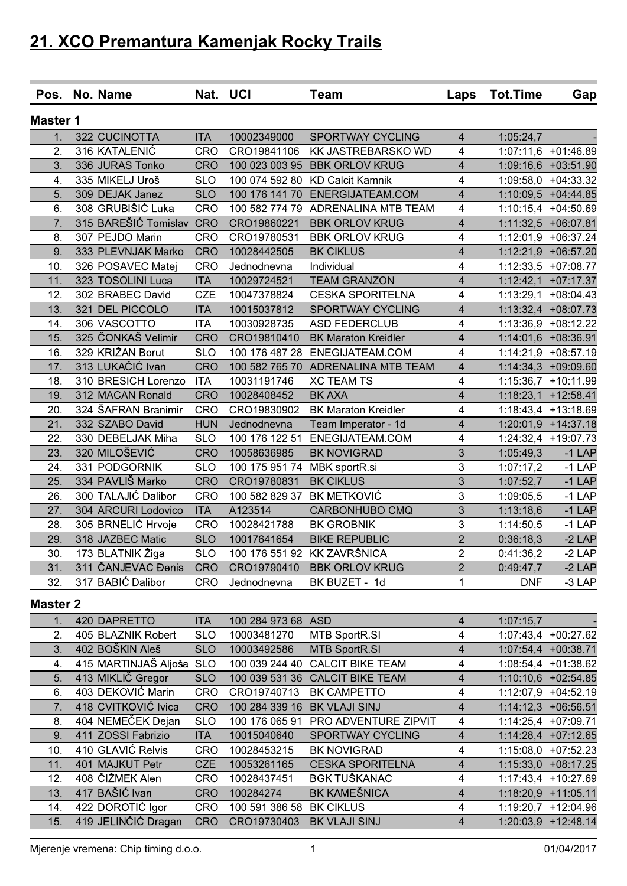|                  | Pos. No. Name            | Nat. UCI   |                          | <b>Team</b>                        | Laps                    | <b>Tot.Time</b> | Gap                   |
|------------------|--------------------------|------------|--------------------------|------------------------------------|-------------------------|-----------------|-----------------------|
| <b>Master 1</b>  |                          |            |                          |                                    |                         |                 |                       |
| 1.               | 322 CUCINOTTA            | <b>ITA</b> | 10002349000              | <b>SPORTWAY CYCLING</b>            | $\overline{4}$          | 1:05:24,7       |                       |
| 2.               | 316 KATALENIĆ            | <b>CRO</b> | CRO19841106              | KK JASTREBARSKO WD                 | 4                       |                 | 1:07:11,6 +01:46.89   |
| 3.               | 336 JURAS Tonko          | <b>CRO</b> | 100 023 003 95           | <b>BBK ORLOV KRUG</b>              | $\overline{\mathbf{4}}$ |                 | 1:09:16,6 +03:51.90   |
| 4.               | 335 MIKELJ Uroš          | <b>SLO</b> | 100 074 592 80           | <b>KD Calcit Kamnik</b>            | 4                       |                 | 1:09:58,0 +04:33.32   |
| 5.               | 309 DEJAK Janez          | <b>SLO</b> | 100 176 141 70           | ENERGIJATEAM.COM                   | $\overline{\mathbf{4}}$ |                 | 1:10:09,5 +04:44.85   |
| 6.               | 308 GRUBIŠIĆ Luka        | <b>CRO</b> |                          | 100 582 774 79 ADRENALINA MTB TEAM | 4                       |                 | 1:10:15,4 +04:50.69   |
| $\overline{7}$ . | 315 BAREŠIĆ Tomislav     | <b>CRO</b> | CRO19860221              | <b>BBK ORLOV KRUG</b>              | 4                       |                 | 1:11:32,5 +06:07.81   |
| 8.               | 307 PEJDO Marin          | <b>CRO</b> | CRO19780531              | <b>BBK ORLOV KRUG</b>              | 4                       |                 | 1:12:01,9 +06:37.24   |
| 9.               | 333 PLEVNJAK Marko       | <b>CRO</b> | 10028442505              | <b>BK CIKLUS</b>                   | 4                       |                 | 1:12:21,9 +06:57.20   |
| 10.              | 326 POSAVEC Matej        | <b>CRO</b> | Jednodnevna              | Individual                         | 4                       |                 | 1:12:33,5 +07:08.77   |
| 11.              | 323 TOSOLINI Luca        | <b>ITA</b> | 10029724521              | <b>TEAM GRANZON</b>                | 4                       |                 | $1:12:42,1$ +07:17.37 |
| 12.              | 302 BRABEC David         | <b>CZE</b> | 10047378824              | <b>CESKA SPORITELNA</b>            | 4                       |                 | 1:13:29,1 +08:04.43   |
| 13.              | 321 DEL PICCOLO          | <b>ITA</b> | 10015037812              | <b>SPORTWAY CYCLING</b>            | 4                       |                 | 1:13:32,4 +08:07.73   |
| 14.              | 306 VASCOTTO             | <b>ITA</b> | 10030928735              | <b>ASD FEDERCLUB</b>               | 4                       |                 | 1:13:36,9 +08:12.22   |
| 15.              | 325 ČONKAŠ Velimir       | <b>CRO</b> | CRO19810410              | <b>BK Maraton Kreidler</b>         | 4                       |                 | 1:14:01,6 +08:36.91   |
| 16.              | 329 KRIŽAN Borut         | <b>SLO</b> | 100 176 487 28           | ENEGIJATEAM.COM                    | 4                       |                 | 1:14:21,9 +08:57.19   |
| 17.              | 313 LUKAČIĆ Ivan         | <b>CRO</b> | 100 582 765 70           | <b>ADRENALINA MTB TEAM</b>         | 4                       |                 | 1:14:34,3 +09:09.60   |
| 18.              | 310 BRESICH Lorenzo      | <b>ITA</b> | 10031191746              | <b>XC TEAM TS</b>                  | 4                       |                 | 1:15:36,7 +10:11.99   |
| 19.              | 312 MACAN Ronald         | <b>CRO</b> | 10028408452              | <b>BK AXA</b>                      | 4                       |                 | $1:18:23,1$ +12:58.41 |
| 20.              | 324 ŠAFRAN Branimir      | <b>CRO</b> | CRO19830902              | <b>BK Maraton Kreidler</b>         | 4                       |                 | 1:18:43,4 +13:18.69   |
| 21.              | 332 SZABO David          | <b>HUN</b> | Jednodnevna              | Team Imperator - 1d                | 4                       |                 | $1:20:01,9$ +14:37.18 |
| 22.              | 330 DEBELJAK Miha        | <b>SLO</b> | 100 176 122 51           | ENEGIJATEAM.COM                    | 4                       |                 | 1:24:32,4 +19:07.73   |
| 23.              | 320 MILOŠEVIĆ            | <b>CRO</b> | 10058636985              | <b>BK NOVIGRAD</b>                 | 3                       | 1:05:49,3       | $-1$ LAP              |
| 24.              | 331 PODGORNIK            | <b>SLO</b> | 100 175 951 74           | MBK sportR.si                      | 3                       | 1:07:17,2       | $-1$ LAP              |
| 25.              | 334 PAVLIŠ Marko         | <b>CRO</b> | CRO19780831              | <b>BK CIKLUS</b>                   | 3                       | 1:07:52,7       | $-1$ LAP              |
| 26.              | 300 TALAJIĆ Dalibor      | <b>CRO</b> | 100 582 829 37           | <b>BK METKOVIĆ</b>                 | 3                       | 1:09:05,5       | $-1$ LAP              |
| 27.              | 304 ARCURI Lodovico      | <b>ITA</b> | A123514                  | <b>CARBONHUBO CMQ</b>              | 3                       | 1:13:18,6       | $-1$ LAP              |
| 28.              | 305 BRNELIĆ Hrvoje       | <b>CRO</b> | 10028421788              | <b>BK GROBNIK</b>                  | 3                       | 1:14:50,5       | $-1$ LAP              |
| 29.              | 318 JAZBEC Matic         | <b>SLO</b> | 10017641654              | <b>BIKE REPUBLIC</b>               | $\overline{2}$          | 0:36:18,3       | $-2$ LAP              |
| 30.              | 173 BLATNIK Žiga         | <b>SLO</b> |                          | 100 176 551 92 KK ZAVRŠNICA        | $\mathbf 2$             | 0:41:36,2       | $-2$ LAP              |
| 31.              | 311 ČANJEVAC Đenis       | <b>CRO</b> |                          | CRO19790410 BBK ORLOV KRUG         | 2                       | 0:49:47,7       | $-2$ LAP              |
| 32.              | 317 BABIC Dalibor        | CRO        | Jednodnevna              | BK BUZET - 1d                      | 1                       | <b>DNF</b>      | $-3$ LAP              |
|                  |                          |            |                          |                                    |                         |                 |                       |
| <b>Master 2</b>  |                          |            |                          |                                    |                         |                 |                       |
| 1.               | 420 DAPRETTO             | <b>ITA</b> | 100 284 973 68 ASD       |                                    | 4                       | 1:07:15,7       |                       |
| 2.               | 405 BLAZNIK Robert       | <b>SLO</b> | 10003481270              | <b>MTB SportR.SI</b>               | 4                       |                 | 1:07:43,4 +00:27.62   |
| 3.               | 402 BOŠKIN Aleš          | <b>SLO</b> | 10003492586              | <b>MTB SportR.SI</b>               | 4                       |                 | 1:07:54,4 +00:38.71   |
| 4.               | 415 MARTINJAŠ Aljoša SLO |            |                          | 100 039 244 40 CALCIT BIKE TEAM    | $\overline{\mathbf{4}}$ |                 | 1:08:54,4 +01:38.62   |
| 5.               | 413 MIKLIČ Gregor        | <b>SLO</b> |                          | 100 039 531 36 CALCIT BIKE TEAM    | 4                       |                 | 1:10:10,6 +02:54.85   |
| 6.               | 403 DEKOVIĆ Marin        | CRO        | CRO19740713              | <b>BK CAMPETTO</b>                 | 4                       |                 | 1:12:07,9 +04:52.19   |
| 7.               | 418 CVITKOVIĆ Ivica      | <b>CRO</b> |                          | 100 284 339 16 BK VLAJI SINJ       | 4                       |                 | $1:14:12,3$ +06:56.51 |
| 8.               | 404 NEMEČEK Dejan        | <b>SLO</b> | 100 176 065 91           | PRO ADVENTURE ZIPVIT               | $\overline{\mathbf{4}}$ |                 | 1:14:25,4 +07:09.71   |
| 9.               | 411 ZOSSI Fabrizio       | <b>ITA</b> | 10015040640              | SPORTWAY CYCLING                   | $\overline{\mathbf{r}}$ |                 | 1:14:28,4 +07:12.65   |
| 10.              | 410 GLAVIĆ Relvis        | <b>CRO</b> | 10028453215              | <b>BK NOVIGRAD</b>                 | $\overline{\mathbf{4}}$ |                 | 1:15:08,0 +07:52.23   |
| 11.              | 401 MAJKUT Petr          | <b>CZE</b> | 10053261165              | <b>CESKA SPORITELNA</b>            | $\overline{4}$          |                 | 1:15:33,0 +08:17.25   |
| 12.              | 408 ČIŽMEK Alen          | <b>CRO</b> | 10028437451              | <b>BGK TUŠKANAC</b>                | 4                       |                 | 1:17:43,4 +10:27.69   |
| 13.              | 417 BAŠIĆ Ivan           | <b>CRO</b> | 100284274                | <b>BK KAMEŠNICA</b>                | $\overline{4}$          |                 | 1:18:20,9 +11:05.11   |
| 14.              | 422 DOROTIĆ Igor         | CRO        | 100 591 386 58 BK CIKLUS |                                    | 4                       |                 | 1:19:20,7 +12:04.96   |
| 15.              | 419 JELINČIĆ Dragan      | <b>CRO</b> | CRO19730403              | BK VLAJI SINJ                      | $\overline{4}$          |                 | 1:20:03,9 +12:48.14   |

Mjerenje vremena: Chip timing d.o.o. 1 01/04/2017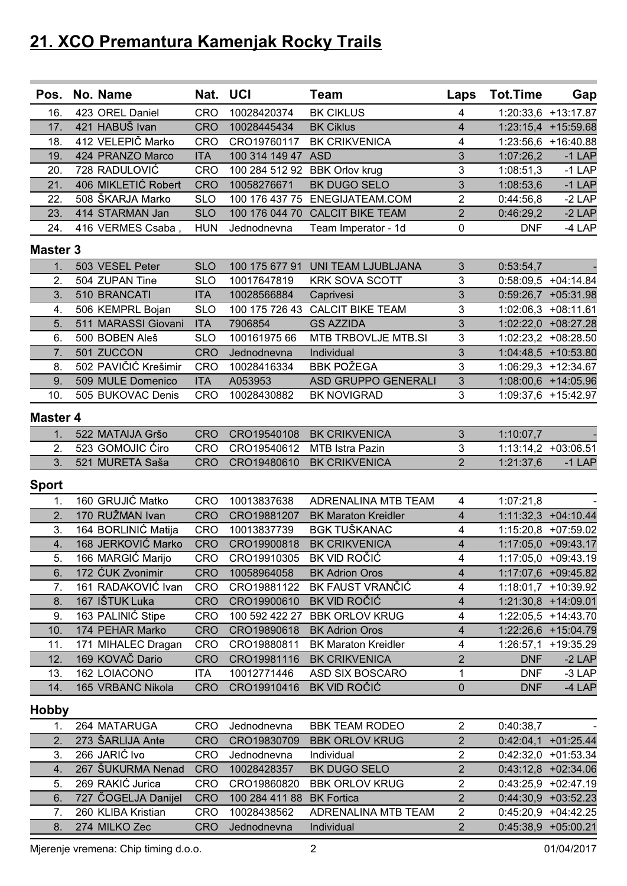| Pos.             | No. Name             | Nat. UCI   |                | <b>Team</b>                       | Laps                    | <b>Tot.Time</b> | Gap                   |
|------------------|----------------------|------------|----------------|-----------------------------------|-------------------------|-----------------|-----------------------|
| 16.              | 423 OREL Daniel      | <b>CRO</b> | 10028420374    | <b>BK CIKLUS</b>                  | $\overline{4}$          |                 | 1:20:33,6 +13:17.87   |
| 17.              | 421 HABUŠ Ivan       | <b>CRO</b> | 10028445434    | <b>BK Ciklus</b>                  | $\overline{4}$          |                 | 1:23:15,4 +15:59.68   |
| 18.              | 412 VELEPIČ Marko    | <b>CRO</b> | CRO19760117    | <b>BK CRIKVENICA</b>              | 4                       |                 | 1:23:56,6 +16:40.88   |
| 19.              | 424 PRANZO Marco     | <b>ITA</b> | 100 314 149 47 | <b>ASD</b>                        | 3                       | 1:07:26,2       | $-1$ LAP              |
| 20.              | 728 RADULOVIĆ        | <b>CRO</b> | 100 284 512 92 | <b>BBK Orlov krug</b>             | $\mathbf{3}$            | 1:08:51,3       | $-1$ LAP              |
| 21.              | 406 MIKLETIĆ Robert  | <b>CRO</b> | 10058276671    | <b>BK DUGO SELO</b>               | 3                       | 1:08:53,6       | $-1$ LAP              |
| 22.              | 508 ŠKARJA Marko     | <b>SLO</b> | 100 176 437 75 | ENEGIJATEAM.COM                   | $\overline{2}$          | 0:44:56,8       | $-2$ LAP              |
| 23.              | 414 STARMAN Jan      | <b>SLO</b> | 100 176 044 70 | <b>CALCIT BIKE TEAM</b>           | $\overline{2}$          | 0:46:29,2       | $-2$ LAP              |
| 24.              | 416 VERMES Csaba,    | <b>HUN</b> | Jednodnevna    | Team Imperator - 1d               | $\mathbf 0$             | <b>DNF</b>      | -4 LAP                |
| <b>Master 3</b>  |                      |            |                |                                   |                         |                 |                       |
| 1.               | 503 VESEL Peter      | <b>SLO</b> |                | 100 175 677 91 UNI TEAM LJUBLJANA | $\mathfrak{S}$          | 0:53:54,7       |                       |
| 2.               | 504 ZUPAN Tine       | <b>SLO</b> | 10017647819    | <b>KRK SOVA SCOTT</b>             | $\mathbf{3}$            |                 | 0:58:09,5 +04:14.84   |
| 3.               | 510 BRANCATI         | <b>ITA</b> | 10028566884    | Caprivesi                         | 3                       |                 | 0:59:26,7 +05:31.98   |
| 4.               | 506 KEMPRL Bojan     | <b>SLO</b> | 100 175 726 43 | <b>CALCIT BIKE TEAM</b>           | $\mathbf{3}$            |                 | 1:02:06,3 +08:11.61   |
| 5.               | 511 MARASSI Giovani  | <b>ITA</b> | 7906854        | <b>GS AZZIDA</b>                  | 3                       |                 | 1:02:22,0 +08:27.28   |
| 6.               | 500 BOBEN Aleš       | <b>SLO</b> | 100161975 66   | MTB TRBOVLJE MTB.SI               | 3                       |                 | 1:02:23,2 +08:28.50   |
| $\overline{7}$ . | 501 ZUCCON           | <b>CRO</b> | Jednodnevna    | Individual                        | 3                       |                 | 1:04:48,5 +10:53.80   |
| 8.               | 502 PAVIČIĆ Krešimir | <b>CRO</b> | 10028416334    | <b>BBK POŽEGA</b>                 | $\overline{3}$          |                 | 1:06:29,3 +12:34.67   |
| 9.               | 509 MULE Domenico    | <b>ITA</b> | A053953        | <b>ASD GRUPPO GENERALI</b>        | 3                       |                 | 1:08:00,6 +14:05.96   |
| 10.              | 505 BUKOVAC Denis    | <b>CRO</b> | 10028430882    | <b>BK NOVIGRAD</b>                | 3                       |                 | 1:09:37,6 +15:42.97   |
|                  |                      |            |                |                                   |                         |                 |                       |
| <b>Master 4</b>  |                      |            |                |                                   |                         |                 |                       |
| 1.               | 522 MATAIJA Gršo     | <b>CRO</b> | CRO19540108    | <b>BK CRIKVENICA</b>              | $\mathfrak{Z}$          | 1:10:07,7       |                       |
| 2.               | 523 GOMOJIC Ćiro     | <b>CRO</b> | CRO19540612    | MTB Istra Pazin                   | $\mathfrak{B}$          |                 | 1:13:14,2 +03:06.51   |
| 3.               | 521 MURETA Saša      | <b>CRO</b> | CRO19480610    | <b>BK CRIKVENICA</b>              | $\overline{2}$          | 1:21:37,6       | $-1$ LAP              |
| <b>Sport</b>     |                      |            |                |                                   |                         |                 |                       |
| 1.               | 160 GRUJIĆ Matko     | <b>CRO</b> | 10013837638    | <b>ADRENALINA MTB TEAM</b>        | $\overline{\mathbf{4}}$ | 1:07:21,8       |                       |
| $\overline{2}$ . | 170 RUŽMAN Ivan      | <b>CRO</b> | CRO19881207    | <b>BK Maraton Kreidler</b>        | $\overline{4}$          |                 | 1:11:32,3 +04:10.44   |
| 3.               | 164 BORLINIĆ Matija  | <b>CRO</b> | 10013837739    | <b>BGK TUŠKANAC</b>               | 4                       |                 | 1:15:20,8 +07:59.02   |
| 4.               | 168 JERKOVIĆ Marko   | <b>CRO</b> | CRO19900818    | <b>BK CRIKVENICA</b>              | $\overline{\mathbf{4}}$ |                 | 1:17:05,0 +09:43.17   |
| 5.               | 166 MARGIĆ Marijo    | <b>CRO</b> | CRO19910305    | BK VID ROČIĆ                      | 4                       |                 | 1:17:05,0 +09:43.19   |
| 6.               | 172 ĆUK Zvonimir     | <b>CRO</b> | 10058964058    | <b>BK Adrion Oros</b>             | $\overline{4}$          |                 | 1:17:07,6 +09:45.82   |
| 7.               | 161 RADAKOVIĆ Ivan   | CRO        | CRO19881122    | BK FAUST VRANČIĆ                  | $\overline{4}$          |                 | 1:18:01,7 +10:39.92   |
| 8.               | 167 IŠTUK Luka       | <b>CRO</b> | CRO19900610    | BK VID ROČIĆ                      | 4                       |                 | 1:21:30,8 +14:09.01   |
| 9.               | 163 PALINIĆ Stipe    | CRO        | 100 592 422 27 | <b>BBK ORLOV KRUG</b>             | $\overline{\mathbf{4}}$ |                 | 1:22:05,5 +14:43.70   |
| 10.              | 174 PEHAR Marko      | <b>CRO</b> | CRO19890618    | <b>BK Adrion Oros</b>             | $\overline{\mathbf{4}}$ |                 | 1:22:26,6 +15:04.79   |
| 11.              | 171 MIHALEC Dragan   | <b>CRO</b> | CRO19880811    | <b>BK Maraton Kreidler</b>        | $\overline{\mathbf{4}}$ | 1:26:57,1       | +19:35.29             |
| 12.              | 169 KOVAČ Dario      | <b>CRO</b> | CRO19981116    | <b>BK CRIKVENICA</b>              | $\overline{2}$          | <b>DNF</b>      | $-2$ LAP              |
| 13.              | 162 LOIACONO         | <b>ITA</b> | 10012771446    | <b>ASD SIX BOSCARO</b>            | 1                       | <b>DNF</b>      | $-3$ LAP              |
| 14.              | 165 VRBANC Nikola    | <b>CRO</b> | CRO19910416    | <b>BK VID ROČIĆ</b>               | $\pmb{0}$               | <b>DNF</b>      | $-4$ LAP              |
| <b>Hobby</b>     |                      |            |                |                                   |                         |                 |                       |
| 1.               | 264 MATARUGA         | <b>CRO</b> | Jednodnevna    | <b>BBK TEAM RODEO</b>             | $\mathbf{2}$            | 0:40:38,7       |                       |
| 2.               | 273 ŠARLIJA Ante     | <b>CRO</b> | CRO19830709    | <b>BBK ORLOV KRUG</b>             | $\overline{2}$          |                 | $0:42:04,1$ +01:25.44 |
| 3.               | 266 JARIĆ Ivo        | CRO        | Jednodnevna    | Individual                        | $\overline{2}$          |                 | $0:42:32,0$ +01:53.34 |
| 4.               | 267 ŠUKURMA Nenad    | <b>CRO</b> | 10028428357    | BK DUGO SELO                      | $\overline{2}$          |                 | $0:43:12,8$ +02:34.06 |
| 5.               | 269 RAKIĆ Jurica     | <b>CRO</b> | CRO19860820    | <b>BBK ORLOV KRUG</b>             | $\sqrt{2}$              |                 | $0:43:25,9$ +02:47.19 |
| 6.               | 727 ČOGELJA Danijel  | <b>CRO</b> | 100 284 411 88 | <b>BK Fortica</b>                 | $\overline{2}$          |                 | $0:44:30,9$ +03:52.23 |
| 7.               | 260 KLIBA Kristian   | <b>CRO</b> | 10028438562    | ADRENALINA MTB TEAM               | $\overline{2}$          |                 | $0:45:20,9$ +04:42.25 |
| 8.               | 274 MILKO Zec        | <b>CRO</b> | Jednodnevna    | Individual                        | 2 <sup>1</sup>          |                 | $0:45:38,9$ +05:00.21 |

Mjerenje vremena: Chip timing d.o.o. 2 01/04/2017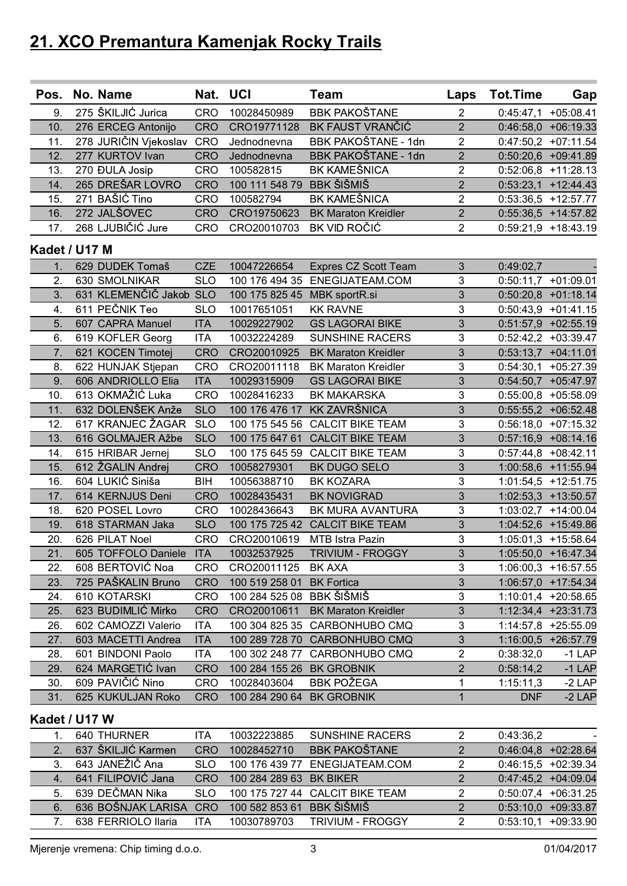| Pos.          | No. Name                | Nat. UCI   |                              | <b>Team</b>                     |                | Laps Tot.Time          | Gap                             |
|---------------|-------------------------|------------|------------------------------|---------------------------------|----------------|------------------------|---------------------------------|
| 9.            | 275 ŠKILJIĆ Jurica      | <b>CRO</b> | 10028450989                  | <b>BBK PAKOŠTANE</b>            | $\overline{2}$ |                        | $0:45:47,1$ +05:08.41           |
| 10.           | 276 ERCEG Antonijo      | <b>CRO</b> | CRO19771128                  | BK FAUST VRANČIĆ                | $\overline{2}$ |                        | $0:46:58,0$ +06:19.33           |
| 11.           | 278 JURIČIN Vjekoslav   | CRO        | Jednodnevna                  | BBK PAKOŠTANE - 1dn             | $\overline{2}$ |                        | $0:47:50,2$ +07:11.54           |
| 12.           | 277 KURTOV Ivan         | <b>CRO</b> | Jednodnevna                  | BBK PAKOŠTANE - 1dn             | $\overline{2}$ |                        | $0:50:20,6$ +09:41.89           |
| 13.           | 270 ĐULA Josip          | <b>CRO</b> | 100582815                    | <b>BK KAMEŠNICA</b>             | $\overline{2}$ |                        | $0:52:06,8$ +11:28.13           |
| 14.           | 265 DREŠAR LOVRO        | <b>CRO</b> | 100 111 548 79               | <b>BBK ŠIŠMIŠ</b>               | $\overline{2}$ |                        | $0:53:23,1$ +12:44.43           |
| 15.           | 271 BAŠIĆ Tino          | <b>CRO</b> | 100582794                    | <b>BK KAMEŠNICA</b>             | $\overline{2}$ |                        | $0:53:36,5$ +12:57.77           |
| 16.           | 272 JALŠOVEC            | <b>CRO</b> | CRO19750623                  | <b>BK Maraton Kreidler</b>      | $\overline{2}$ |                        | $0:55:36,5$ +14:57.82           |
| 17.           | 268 LJUBIČIĆ Jure       | <b>CRO</b> | CRO20010703                  | BK VID ROČIĆ                    | $\overline{2}$ |                        | $0:59:21,9$ +18:43.19           |
| Kadet / U17 M |                         |            |                              |                                 |                |                        |                                 |
| 1.            | 629 DUDEK Tomaš         | <b>CZE</b> | 10047226654                  | Expres CZ Scott Team            | $\mathfrak{S}$ | 0:49:02,7              |                                 |
| 2.            | 630 SMOLNIKAR           | <b>SLO</b> |                              | 100 176 494 35 ENEGIJATEAM.COM  | 3              |                        | $0:50:11,7$ +01:09.01           |
| 3.            | 631 KLEMENČIČ Jakob SLO |            | 100 175 825 45 MBK sportR.si |                                 | 3              |                        | $0:50:20,8$ +01:18.14           |
| 4.            | 611 PEČNIK Teo          | <b>SLO</b> | 10017651051                  | <b>KK RAVNE</b>                 | 3              |                        | $0:50:43,9$ +01:41.15           |
| 5.            | 607 CAPRA Manuel        | <b>ITA</b> | 10029227902                  | <b>GS LAGORAI BIKE</b>          | 3              |                        | $0:51:57,9$ +02:55.19           |
| 6.            | 619 KOFLER Georg        | <b>ITA</b> | 10032224289                  | <b>SUNSHINE RACERS</b>          | 3              |                        | $0:52:42,2$ +03:39.47           |
| 7.            | 621 KOCEN Timotej       | <b>CRO</b> | CRO20010925                  | <b>BK Maraton Kreidler</b>      | 3              |                        | $0:53:13,7$ +04:11.01           |
| 8.            | 622 HUNJAK Stjepan      | <b>CRO</b> | CRO20011118                  | <b>BK Maraton Kreidler</b>      | 3              |                        | $0:54:30,1$ +05:27.39           |
| 9.            | 606 ANDRIOLLO Elia      | <b>ITA</b> | 10029315909                  | <b>GS LAGORAI BIKE</b>          | 3              |                        | $0:54:50,7$ +05:47.97           |
| 10.           | 613 OKMAŽIĆ Luka        | <b>CRO</b> | 10028416233                  | <b>BK MAKARSKA</b>              | 3              |                        | 0:55:00,8 +05:58.09             |
| 11.           | 632 DOLENŠEK Anže       | <b>SLO</b> | 100 176 476 17               | <b>KK ZAVRŠNICA</b>             | 3              |                        | 0:55:55,2 +06:52.48             |
| 12.           | 617 KRANJEC ŽAGAR       | <b>SLO</b> | 100 175 545 56               | <b>CALCIT BIKE TEAM</b>         | $\mathbf{3}$   |                        | $0:56:18,0$ +07:15.32           |
| 13.           | 616 GOLMAJER Ažbe       | <b>SLO</b> | 100 175 647 61               | <b>CALCIT BIKE TEAM</b>         | 3              |                        | $0:57:16,9$ +08:14.16           |
| 14.           | 615 HRIBAR Jernej       | <b>SLO</b> |                              | 100 175 645 59 CALCIT BIKE TEAM | 3              |                        | $0:57:44,8$ +08:42.11           |
| 15.           | 612 ŽGALIN Andrej       | <b>CRO</b> | 10058279301                  | BK DUGO SELO                    | 3              |                        | 1:00:58,6 +11:55.94             |
| 16.           | 604 LUKIĆ Siniša        | BIH        | 10056388710                  | <b>BK KOZARA</b>                | $\mathbf{3}$   |                        | $1:01:54,5$ +12:51.75           |
| 17.           | 614 KERNJUS Deni        | <b>CRO</b> | 10028435431                  | <b>BK NOVIGRAD</b>              | 3              |                        | $1:02:53,3$ +13:50.57           |
| 18.           | 620 POSEL Lovro         | <b>CRO</b> | 10028436643                  | BK MURA AVANTURA                | 3              |                        | 1:03:02,7 +14:00.04             |
| 19.           | 618 STARMAN Jaka        | <b>SLO</b> |                              | 100 175 725 42 CALCIT BIKE TEAM | 3              |                        | 1:04:52,6 +15:49.86             |
| 20.           | 626 PILAT Noel          | <b>CRO</b> | CRO20010619                  | MTB Istra Pazin                 | $\mathbf{3}$   |                        | $1:05:01,3$ +15:58.64           |
| 21.           | 605 TOFFOLO Daniele ITA |            | 10032537925                  | <b>TRIVIUM - FROGGY</b>         | 3              |                        | 1:05:50,0 +16:47.34             |
| 22.           | 608 BERTOVIĆ Noa        | <b>CRO</b> | CRO20011125                  | <b>BK AXA</b>                   | 3              |                        | $1:06:00,3$ +16:57.55           |
| 23.           | 725 PAŠKALIN Bruno      | <b>CRO</b> | 100 519 258 01 BK Fortica    |                                 | $\mathfrak{S}$ |                        | 1:06:57,0 +17:54.34             |
| 24.           | 610 KOTARSKI            | <b>CRO</b> | 100 284 525 08 BBK ŠIŠMIŠ    |                                 | 3              |                        | 1:10:01,4 +20:58.65             |
| 25.           | 623 BUDIMLIĆ Mirko      | <b>CRO</b> | CRO20010611                  | <b>BK Maraton Kreidler</b>      | 3              |                        | 1:12:34,4 +23:31.73             |
| 26.           | 602 CAMOZZI Valerio     | <b>ITA</b> |                              | 100 304 825 35 CARBONHUBO CMQ   | 3              |                        | 1:14:57,8 +25:55.09             |
| 27.           | 603 MACETTI Andrea      | <b>ITA</b> |                              | 100 289 728 70 CARBONHUBO CMQ   | $\mathfrak{Z}$ |                        |                                 |
| 28.           | 601 BINDONI Paolo       | <b>ITA</b> |                              | 100 302 248 77 CARBONHUBO CMQ   | $\overline{2}$ | 0:38:32,0              | 1:16:00,5 +26:57.79<br>$-1$ LAP |
| 29.           | 624 MARGETIĆ Ivan       | <b>CRO</b> | 100 284 155 26 BK GROBNIK    |                                 | $\overline{2}$ |                        |                                 |
| 30.           | 609 PAVIČIĆ Nino        | <b>CRO</b> | 10028403604                  | <b>BBK POŽEGA</b>               | 1              | 0:58:14,2<br>1:15:11,3 | $-1$ LAP<br>$-2$ LAP            |
| 31.           |                         | <b>CRO</b> | 100 284 290 64 BK GROBNIK    |                                 | 1              |                        |                                 |
|               | 625 KUKULJAN Roko       |            |                              |                                 |                | <b>DNF</b>             | $-2$ LAP                        |
| Kadet / U17 W |                         |            |                              |                                 |                |                        |                                 |
| 1.            | 640 THURNER             | ITA        | 10032223885                  | <b>SUNSHINE RACERS</b>          | $\overline{2}$ | 0:43:36,2              |                                 |
| 2.            | 637 ŠKILJIĆ Karmen      | <b>CRO</b> | 10028452710                  | <b>BBK PAKOŠTANE</b>            | $\overline{2}$ |                        | $0:46:04,8$ +02:28.64           |
| 3.            | 643 JANEŽIČ Ana         | <b>SLO</b> | 100 176 439 77               | ENEGIJATEAM.COM                 | $\overline{2}$ |                        | $0:46:15,5$ +02:39.34           |
| 4.            | 641 FILIPOVIĆ Jana      | <b>CRO</b> | 100 284 289 63 BK BIKER      |                                 | $\overline{2}$ |                        | $0:47:45,2$ +04:09.04           |
| 5.            | 639 DEČMAN Nika         | <b>SLO</b> |                              | 100 175 727 44 CALCIT BIKE TEAM | $\overline{2}$ |                        | $0:50:07,4$ +06:31.25           |
| 6.            | 636 BOŠNJAK LARISA      | <b>CRO</b> | 100 582 853 61               | <b>BBK ŠIŠMIŠ</b>               | $\overline{2}$ |                        | $0:53:10,0$ +09:33.87           |
| 7.            | 638 FERRIOLO Ilaria     | <b>ITA</b> | 10030789703                  | TRIVIUM - FROGGY                | $\overline{2}$ |                        | $0:53:10,1$ +09:33.90           |

Mjerenje vremena: Chip timing d.o.o. 3 01/04/2017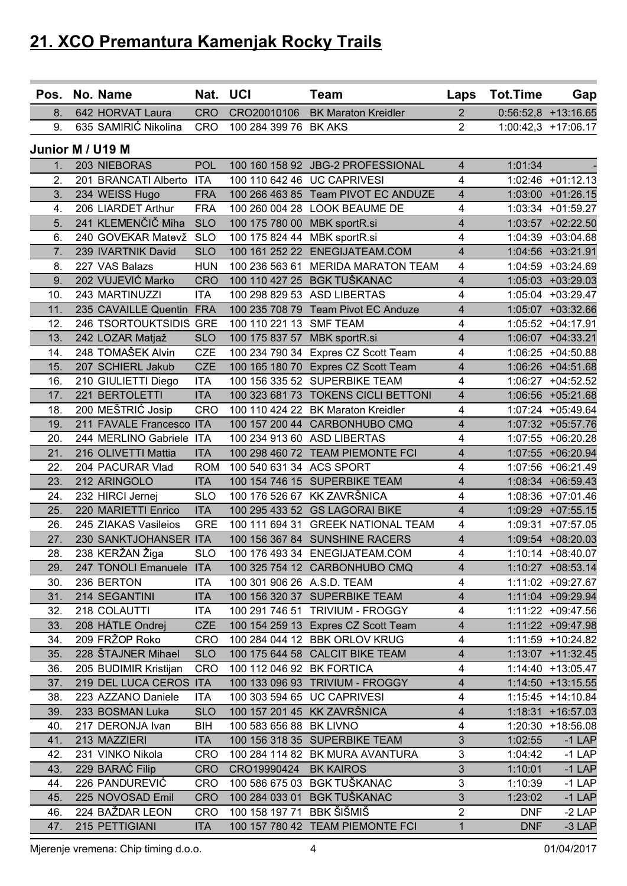| <b>CRO</b><br>CRO20010106<br><b>BK Maraton Kreidler</b><br>642 HORVAT Laura<br>$\overline{2}$<br>$0:56:52,8$ +13:16.65<br>8.<br>635 SAMIRIĆ Nikolina<br>$\overline{2}$<br>9.<br><b>CRO</b><br>100 284 399 76 BK AKS<br>$1:00:42,3$ +17:06.17<br>Junior M / U19 M<br>203 NIEBORAS<br><b>POL</b><br>100 160 158 92 JBG-2 PROFESSIONAL<br>$\overline{4}$<br>1:01:34<br>1 <sub>1</sub><br>2.<br>201 BRANCATI Alberto<br><b>ITA</b><br>100 110 642 46 UC CAPRIVESI<br>4<br>1:02:46 +01:12.13<br>100 266 463 85 Team PIVOT EC ANDUZE<br>3.<br>234 WEISS Hugo<br><b>FRA</b><br>$\overline{\mathbf{4}}$<br>1:03:00 +01:26.15<br>206 LIARDET Arthur<br><b>FRA</b><br>100 260 004 28 LOOK BEAUME DE<br>1:03:34 +01:59.27<br>4.<br>4<br>241 KLEMENČIČ Miha<br><b>SLO</b><br>$\overline{4}$<br>5.<br>100 175 780 00 MBK sportR.si<br>1:03:57 +02:22.50<br><b>SLO</b><br>6.<br>240 GOVEKAR Matevž<br>100 175 824 44 MBK sportR.si<br>4<br>1:04:39 +03:04.68<br>7.<br>239 IVARTNIK David<br><b>SLO</b><br>100 161 252 22 ENEGIJATEAM.COM<br>4<br>1:04:56 +03:21.91<br>8.<br>227 VAS Balazs<br><b>HUN</b><br>100 236 563 61 MERIDA MARATON TEAM<br>4<br>1:04:59 +03:24.69<br>202 VUJEVIĆ Marko<br>100 110 427 25 BGK TUŠKANAC<br>$\overline{4}$<br>9.<br><b>CRO</b><br>1:05:03 +03:29.03<br>243 MARTINUZZI<br>100 298 829 53 ASD LIBERTAS<br>1:05:04 +03:29.47<br>10.<br><b>ITA</b><br>4<br>FRA<br>100 235 708 79 Team Pivot EC Anduze<br>4<br>11.<br>235 CAVAILLE Quentin<br>1:05:07 +03:32.66<br>12.<br>246 TSORTOUKTSIDIS GRE<br>100 110 221 13 SMF TEAM<br>$\overline{4}$<br>1:05:52 +04:17.91<br><b>SLO</b><br>100 175 837 57<br>4<br>13.<br>242 LOZAR Matjaž<br>MBK sportR.si<br>1:06:07 +04:33.21<br>248 TOMAŠEK Alvin<br><b>CZE</b><br>100 234 790 34 Expres CZ Scott Team<br>4<br>14.<br>1:06:25 +04:50.88<br><b>CZE</b><br>15.<br>207 SCHIERL Jakub<br>100 165 180 70 Expres CZ Scott Team<br>4<br>1:06:26 +04:51.68<br>$\overline{4}$<br><b>ITA</b><br>100 156 335 52 SUPERBIKE TEAM<br>16.<br>210 GIULIETTI Diego<br>1:06:27 +04:52.52<br>221 BERTOLETTI<br>100 323 681 73 TOKENS CICLI BETTONI<br>17.<br>1:06:56 +05:21.68<br><b>ITA</b><br>4<br>200 MEŠTRIĆ Josip<br><b>CRO</b><br>100 110 424 22 BK Maraton Kreidler<br>1:07:24 +05:49.64<br>18.<br>4<br>19.<br>211 FAVALE Francesco ITA<br>100 157 200 44 CARBONHUBO CMQ<br>$\overline{4}$<br>1:07:32 +05:57.76<br>20.<br>244 MERLINO Gabriele ITA<br>100 234 913 60 ASD LIBERTAS<br>4<br>1:07:55 +06:20.28<br>21.<br>100 298 460 72 TEAM PIEMONTE FCI<br>4<br>216 OLIVETTI Mattia<br>1:07:55 +06:20.94<br><b>ITA</b><br>22.<br>204 PACURAR Vlad<br><b>ROM</b><br>100 540 631 34 ACS SPORT<br>4<br>1:07:56 +06:21.49<br>23.<br><b>ITA</b><br>100 154 746 15 SUPERBIKE TEAM<br>$\overline{4}$<br>212 ARINGOLO<br>1:08:34 +06:59.43<br>100 176 526 67 KK ZAVRŠNICA<br>24.<br>232 HIRCI Jernej<br><b>SLO</b><br>4<br>1:08:36 +07:01.46<br>220 MARIETTI Enrico<br>100 295 433 52 GS LAGORAI BIKE<br>$\overline{4}$<br>25.<br><b>ITA</b><br>1:09:29 +07:55.15<br>26.<br>245 ZIAKAS Vasileios<br><b>GRE</b><br>100 111 694 31 GREEK NATIONAL TEAM<br>1:09:31 +07:57.05<br>4<br>$\overline{4}$<br>27.<br>230 SANKTJOHANSER ITA<br>100 156 367 84 SUNSHINE RACERS<br>1:09:54 +08:20.03<br>238 KERŽAN Žiga<br>28.<br>4<br><b>SLO</b><br>100 176 493 34 ENEGIJATEAM.COM<br>1:10:14 +08:40.07<br>247 TONOLI Emanuele ITA<br>100 325 754 12 CARBONHUBO CMQ<br>$\overline{4}$<br>1:10:27 +08:53.14<br>29.<br>$\overline{4}$<br>30.<br>236 BERTON<br><b>ITA</b><br>100 301 906 26 A.S.D. TEAM<br>31.<br>214 SEGANTINI<br><b>ITA</b><br>100 156 320 37 SUPERBIKE TEAM<br>$\overline{4}$<br>1:11:04 +09:29.94<br>32.<br>218 COLAUTTI<br>100 291 746 51 TRIVIUM - FROGGY<br>$\overline{\mathbf{4}}$<br><b>ITA</b><br>1:11:22 +09:47.56<br>208 HÁTLE Ondrej<br><b>CZE</b><br>33.<br>100 154 259 13 Expres CZ Scott Team<br>4<br>1:11:22 +09:47.98<br>209 FRŽOP Roko<br>$\overline{\mathbf{4}}$<br>34.<br><b>CRO</b><br>100 284 044 12 BBK ORLOV KRUG<br>1:11:59 +10:24.82<br>35.<br>228 ŠTAJNER Mihael<br><b>SLO</b><br>100 175 644 58 CALCIT BIKE TEAM<br>$\overline{4}$<br>1:13:07 +11:32.45<br>205 BUDIMIR Kristijan<br>CRO<br>100 112 046 92 BK FORTICA<br>4<br>1:14:40 +13:05.47<br>36.<br>37.<br>219 DEL LUCA CEROS ITA<br>100 133 096 93 TRIVIUM - FROGGY<br>$\overline{\mathbf{4}}$<br>1:14:50 +13:15.55<br>$\overline{4}$<br>100 303 594 65 UC CAPRIVESI<br>38.<br>223 AZZANO Daniele<br><b>ITA</b><br>1:15:45 +14:10.84<br>233 BOSMAN Luka<br>100 157 201 45 KK ZAVRŠNICA<br>$\overline{4}$<br>39.<br><b>SLO</b><br>1:18:31 +16:57.03<br>217 DERONJA Ivan<br><b>BIH</b><br>100 583 656 88 BK LIVNO<br>$\overline{\mathbf{4}}$<br>1:20:30 +18:56.08<br>40.<br>$\overline{3}$<br>41.<br>213 MAZZIERI<br>100 156 318 35 SUPERBIKE TEAM<br><b>ITA</b><br>$-1$ LAP<br>1:02:55<br>3<br>42.<br>231 VINKO Nikola<br><b>CRO</b><br>100 284 114 82 BK MURA AVANTURA<br>$-1$ LAP<br>1:04:42<br>229 BARAĆ Filip<br><b>CRO</b><br>43.<br>CRO19990424 BK KAIROS<br>3 <sup>2</sup><br>1:10:01<br>$-1$ LAP<br>226 PANDUREVIĆ<br>100 586 675 03 BGK TUŠKANAC<br><b>CRO</b><br>3<br>1:10:39<br>$-1$ LAP<br>44.<br>$\mathfrak{S}$<br>225 NOVOSAD Emil<br><b>CRO</b><br>100 284 033 01 BGK TUŠKANAC<br>$-1$ LAP<br>45.<br>1:23:02<br>$\overline{2}$<br>100 158 197 71 BBK ŠIŠMIŠ<br>46.<br>224 BAŽDAR LEON<br><b>CRO</b><br><b>DNF</b><br>$-2$ LAP<br>215 PETTIGIANI<br>47.<br><b>ITA</b><br>100 157 780 42 TEAM PIEMONTE FCI<br>$\mathbf{1}$<br><b>DNF</b><br>$-3$ LAP |  | Pos. No. Name | Nat. UCI | <b>Team</b> | Laps | Tot.Time | Gap |
|----------------------------------------------------------------------------------------------------------------------------------------------------------------------------------------------------------------------------------------------------------------------------------------------------------------------------------------------------------------------------------------------------------------------------------------------------------------------------------------------------------------------------------------------------------------------------------------------------------------------------------------------------------------------------------------------------------------------------------------------------------------------------------------------------------------------------------------------------------------------------------------------------------------------------------------------------------------------------------------------------------------------------------------------------------------------------------------------------------------------------------------------------------------------------------------------------------------------------------------------------------------------------------------------------------------------------------------------------------------------------------------------------------------------------------------------------------------------------------------------------------------------------------------------------------------------------------------------------------------------------------------------------------------------------------------------------------------------------------------------------------------------------------------------------------------------------------------------------------------------------------------------------------------------------------------------------------------------------------------------------------------------------------------------------------------------------------------------------------------------------------------------------------------------------------------------------------------------------------------------------------------------------------------------------------------------------------------------------------------------------------------------------------------------------------------------------------------------------------------------------------------------------------------------------------------------------------------------------------------------------------------------------------------------------------------------------------------------------------------------------------------------------------------------------------------------------------------------------------------------------------------------------------------------------------------------------------------------------------------------------------------------------------------------------------------------------------------------------------------------------------------------------------------------------------------------------------------------------------------------------------------------------------------------------------------------------------------------------------------------------------------------------------------------------------------------------------------------------------------------------------------------------------------------------------------------------------------------------------------------------------------------------------------------------------------------------------------------------------------------------------------------------------------------------------------------------------------------------------------------------------------------------------------------------------------------------------------------------------------------------------------------------------------------------------------------------------------------------------------------------------------------------------------------------------------------------------------------------------------------------------------------------------------------------------------------------------------------------------------------------------------------------------------------------------------------------------------------------------------------------------------------------------------------------------------------------------------------------------------------------------------------------------------------------------------------------------------------------------------------------------------------------------------------------------------------------------------------------------------------------------------------------------------------------------------------------------------------------------------------------------------------------------------------------------------------------------------------------------------------------------------------------------------------------------------------------------------------------------------------------------------------------------------------------------------------------------------------------------------------------------------------------------------------------------------------------------------------------------------------|--|---------------|----------|-------------|------|----------|-----|
|                                                                                                                                                                                                                                                                                                                                                                                                                                                                                                                                                                                                                                                                                                                                                                                                                                                                                                                                                                                                                                                                                                                                                                                                                                                                                                                                                                                                                                                                                                                                                                                                                                                                                                                                                                                                                                                                                                                                                                                                                                                                                                                                                                                                                                                                                                                                                                                                                                                                                                                                                                                                                                                                                                                                                                                                                                                                                                                                                                                                                                                                                                                                                                                                                                                                                                                                                                                                                                                                                                                                                                                                                                                                                                                                                                                                                                                                                                                                                                                                                                                                                                                                                                                                                                                                                                                                                                                                                                                                                                                                                                                                                                                                                                                                                                                                                                                                                                                                                                                                                                                                                                                                                                                                                                                                                                                                                                                                                                                                                              |  |               |          |             |      |          |     |
|                                                                                                                                                                                                                                                                                                                                                                                                                                                                                                                                                                                                                                                                                                                                                                                                                                                                                                                                                                                                                                                                                                                                                                                                                                                                                                                                                                                                                                                                                                                                                                                                                                                                                                                                                                                                                                                                                                                                                                                                                                                                                                                                                                                                                                                                                                                                                                                                                                                                                                                                                                                                                                                                                                                                                                                                                                                                                                                                                                                                                                                                                                                                                                                                                                                                                                                                                                                                                                                                                                                                                                                                                                                                                                                                                                                                                                                                                                                                                                                                                                                                                                                                                                                                                                                                                                                                                                                                                                                                                                                                                                                                                                                                                                                                                                                                                                                                                                                                                                                                                                                                                                                                                                                                                                                                                                                                                                                                                                                                                              |  |               |          |             |      |          |     |
| 1:11:02 +09:27.67                                                                                                                                                                                                                                                                                                                                                                                                                                                                                                                                                                                                                                                                                                                                                                                                                                                                                                                                                                                                                                                                                                                                                                                                                                                                                                                                                                                                                                                                                                                                                                                                                                                                                                                                                                                                                                                                                                                                                                                                                                                                                                                                                                                                                                                                                                                                                                                                                                                                                                                                                                                                                                                                                                                                                                                                                                                                                                                                                                                                                                                                                                                                                                                                                                                                                                                                                                                                                                                                                                                                                                                                                                                                                                                                                                                                                                                                                                                                                                                                                                                                                                                                                                                                                                                                                                                                                                                                                                                                                                                                                                                                                                                                                                                                                                                                                                                                                                                                                                                                                                                                                                                                                                                                                                                                                                                                                                                                                                                                            |  |               |          |             |      |          |     |
|                                                                                                                                                                                                                                                                                                                                                                                                                                                                                                                                                                                                                                                                                                                                                                                                                                                                                                                                                                                                                                                                                                                                                                                                                                                                                                                                                                                                                                                                                                                                                                                                                                                                                                                                                                                                                                                                                                                                                                                                                                                                                                                                                                                                                                                                                                                                                                                                                                                                                                                                                                                                                                                                                                                                                                                                                                                                                                                                                                                                                                                                                                                                                                                                                                                                                                                                                                                                                                                                                                                                                                                                                                                                                                                                                                                                                                                                                                                                                                                                                                                                                                                                                                                                                                                                                                                                                                                                                                                                                                                                                                                                                                                                                                                                                                                                                                                                                                                                                                                                                                                                                                                                                                                                                                                                                                                                                                                                                                                                                              |  |               |          |             |      |          |     |
|                                                                                                                                                                                                                                                                                                                                                                                                                                                                                                                                                                                                                                                                                                                                                                                                                                                                                                                                                                                                                                                                                                                                                                                                                                                                                                                                                                                                                                                                                                                                                                                                                                                                                                                                                                                                                                                                                                                                                                                                                                                                                                                                                                                                                                                                                                                                                                                                                                                                                                                                                                                                                                                                                                                                                                                                                                                                                                                                                                                                                                                                                                                                                                                                                                                                                                                                                                                                                                                                                                                                                                                                                                                                                                                                                                                                                                                                                                                                                                                                                                                                                                                                                                                                                                                                                                                                                                                                                                                                                                                                                                                                                                                                                                                                                                                                                                                                                                                                                                                                                                                                                                                                                                                                                                                                                                                                                                                                                                                                                              |  |               |          |             |      |          |     |
|                                                                                                                                                                                                                                                                                                                                                                                                                                                                                                                                                                                                                                                                                                                                                                                                                                                                                                                                                                                                                                                                                                                                                                                                                                                                                                                                                                                                                                                                                                                                                                                                                                                                                                                                                                                                                                                                                                                                                                                                                                                                                                                                                                                                                                                                                                                                                                                                                                                                                                                                                                                                                                                                                                                                                                                                                                                                                                                                                                                                                                                                                                                                                                                                                                                                                                                                                                                                                                                                                                                                                                                                                                                                                                                                                                                                                                                                                                                                                                                                                                                                                                                                                                                                                                                                                                                                                                                                                                                                                                                                                                                                                                                                                                                                                                                                                                                                                                                                                                                                                                                                                                                                                                                                                                                                                                                                                                                                                                                                                              |  |               |          |             |      |          |     |
|                                                                                                                                                                                                                                                                                                                                                                                                                                                                                                                                                                                                                                                                                                                                                                                                                                                                                                                                                                                                                                                                                                                                                                                                                                                                                                                                                                                                                                                                                                                                                                                                                                                                                                                                                                                                                                                                                                                                                                                                                                                                                                                                                                                                                                                                                                                                                                                                                                                                                                                                                                                                                                                                                                                                                                                                                                                                                                                                                                                                                                                                                                                                                                                                                                                                                                                                                                                                                                                                                                                                                                                                                                                                                                                                                                                                                                                                                                                                                                                                                                                                                                                                                                                                                                                                                                                                                                                                                                                                                                                                                                                                                                                                                                                                                                                                                                                                                                                                                                                                                                                                                                                                                                                                                                                                                                                                                                                                                                                                                              |  |               |          |             |      |          |     |
|                                                                                                                                                                                                                                                                                                                                                                                                                                                                                                                                                                                                                                                                                                                                                                                                                                                                                                                                                                                                                                                                                                                                                                                                                                                                                                                                                                                                                                                                                                                                                                                                                                                                                                                                                                                                                                                                                                                                                                                                                                                                                                                                                                                                                                                                                                                                                                                                                                                                                                                                                                                                                                                                                                                                                                                                                                                                                                                                                                                                                                                                                                                                                                                                                                                                                                                                                                                                                                                                                                                                                                                                                                                                                                                                                                                                                                                                                                                                                                                                                                                                                                                                                                                                                                                                                                                                                                                                                                                                                                                                                                                                                                                                                                                                                                                                                                                                                                                                                                                                                                                                                                                                                                                                                                                                                                                                                                                                                                                                                              |  |               |          |             |      |          |     |
|                                                                                                                                                                                                                                                                                                                                                                                                                                                                                                                                                                                                                                                                                                                                                                                                                                                                                                                                                                                                                                                                                                                                                                                                                                                                                                                                                                                                                                                                                                                                                                                                                                                                                                                                                                                                                                                                                                                                                                                                                                                                                                                                                                                                                                                                                                                                                                                                                                                                                                                                                                                                                                                                                                                                                                                                                                                                                                                                                                                                                                                                                                                                                                                                                                                                                                                                                                                                                                                                                                                                                                                                                                                                                                                                                                                                                                                                                                                                                                                                                                                                                                                                                                                                                                                                                                                                                                                                                                                                                                                                                                                                                                                                                                                                                                                                                                                                                                                                                                                                                                                                                                                                                                                                                                                                                                                                                                                                                                                                                              |  |               |          |             |      |          |     |
|                                                                                                                                                                                                                                                                                                                                                                                                                                                                                                                                                                                                                                                                                                                                                                                                                                                                                                                                                                                                                                                                                                                                                                                                                                                                                                                                                                                                                                                                                                                                                                                                                                                                                                                                                                                                                                                                                                                                                                                                                                                                                                                                                                                                                                                                                                                                                                                                                                                                                                                                                                                                                                                                                                                                                                                                                                                                                                                                                                                                                                                                                                                                                                                                                                                                                                                                                                                                                                                                                                                                                                                                                                                                                                                                                                                                                                                                                                                                                                                                                                                                                                                                                                                                                                                                                                                                                                                                                                                                                                                                                                                                                                                                                                                                                                                                                                                                                                                                                                                                                                                                                                                                                                                                                                                                                                                                                                                                                                                                                              |  |               |          |             |      |          |     |
|                                                                                                                                                                                                                                                                                                                                                                                                                                                                                                                                                                                                                                                                                                                                                                                                                                                                                                                                                                                                                                                                                                                                                                                                                                                                                                                                                                                                                                                                                                                                                                                                                                                                                                                                                                                                                                                                                                                                                                                                                                                                                                                                                                                                                                                                                                                                                                                                                                                                                                                                                                                                                                                                                                                                                                                                                                                                                                                                                                                                                                                                                                                                                                                                                                                                                                                                                                                                                                                                                                                                                                                                                                                                                                                                                                                                                                                                                                                                                                                                                                                                                                                                                                                                                                                                                                                                                                                                                                                                                                                                                                                                                                                                                                                                                                                                                                                                                                                                                                                                                                                                                                                                                                                                                                                                                                                                                                                                                                                                                              |  |               |          |             |      |          |     |
|                                                                                                                                                                                                                                                                                                                                                                                                                                                                                                                                                                                                                                                                                                                                                                                                                                                                                                                                                                                                                                                                                                                                                                                                                                                                                                                                                                                                                                                                                                                                                                                                                                                                                                                                                                                                                                                                                                                                                                                                                                                                                                                                                                                                                                                                                                                                                                                                                                                                                                                                                                                                                                                                                                                                                                                                                                                                                                                                                                                                                                                                                                                                                                                                                                                                                                                                                                                                                                                                                                                                                                                                                                                                                                                                                                                                                                                                                                                                                                                                                                                                                                                                                                                                                                                                                                                                                                                                                                                                                                                                                                                                                                                                                                                                                                                                                                                                                                                                                                                                                                                                                                                                                                                                                                                                                                                                                                                                                                                                                              |  |               |          |             |      |          |     |
|                                                                                                                                                                                                                                                                                                                                                                                                                                                                                                                                                                                                                                                                                                                                                                                                                                                                                                                                                                                                                                                                                                                                                                                                                                                                                                                                                                                                                                                                                                                                                                                                                                                                                                                                                                                                                                                                                                                                                                                                                                                                                                                                                                                                                                                                                                                                                                                                                                                                                                                                                                                                                                                                                                                                                                                                                                                                                                                                                                                                                                                                                                                                                                                                                                                                                                                                                                                                                                                                                                                                                                                                                                                                                                                                                                                                                                                                                                                                                                                                                                                                                                                                                                                                                                                                                                                                                                                                                                                                                                                                                                                                                                                                                                                                                                                                                                                                                                                                                                                                                                                                                                                                                                                                                                                                                                                                                                                                                                                                                              |  |               |          |             |      |          |     |
|                                                                                                                                                                                                                                                                                                                                                                                                                                                                                                                                                                                                                                                                                                                                                                                                                                                                                                                                                                                                                                                                                                                                                                                                                                                                                                                                                                                                                                                                                                                                                                                                                                                                                                                                                                                                                                                                                                                                                                                                                                                                                                                                                                                                                                                                                                                                                                                                                                                                                                                                                                                                                                                                                                                                                                                                                                                                                                                                                                                                                                                                                                                                                                                                                                                                                                                                                                                                                                                                                                                                                                                                                                                                                                                                                                                                                                                                                                                                                                                                                                                                                                                                                                                                                                                                                                                                                                                                                                                                                                                                                                                                                                                                                                                                                                                                                                                                                                                                                                                                                                                                                                                                                                                                                                                                                                                                                                                                                                                                                              |  |               |          |             |      |          |     |
|                                                                                                                                                                                                                                                                                                                                                                                                                                                                                                                                                                                                                                                                                                                                                                                                                                                                                                                                                                                                                                                                                                                                                                                                                                                                                                                                                                                                                                                                                                                                                                                                                                                                                                                                                                                                                                                                                                                                                                                                                                                                                                                                                                                                                                                                                                                                                                                                                                                                                                                                                                                                                                                                                                                                                                                                                                                                                                                                                                                                                                                                                                                                                                                                                                                                                                                                                                                                                                                                                                                                                                                                                                                                                                                                                                                                                                                                                                                                                                                                                                                                                                                                                                                                                                                                                                                                                                                                                                                                                                                                                                                                                                                                                                                                                                                                                                                                                                                                                                                                                                                                                                                                                                                                                                                                                                                                                                                                                                                                                              |  |               |          |             |      |          |     |
|                                                                                                                                                                                                                                                                                                                                                                                                                                                                                                                                                                                                                                                                                                                                                                                                                                                                                                                                                                                                                                                                                                                                                                                                                                                                                                                                                                                                                                                                                                                                                                                                                                                                                                                                                                                                                                                                                                                                                                                                                                                                                                                                                                                                                                                                                                                                                                                                                                                                                                                                                                                                                                                                                                                                                                                                                                                                                                                                                                                                                                                                                                                                                                                                                                                                                                                                                                                                                                                                                                                                                                                                                                                                                                                                                                                                                                                                                                                                                                                                                                                                                                                                                                                                                                                                                                                                                                                                                                                                                                                                                                                                                                                                                                                                                                                                                                                                                                                                                                                                                                                                                                                                                                                                                                                                                                                                                                                                                                                                                              |  |               |          |             |      |          |     |
|                                                                                                                                                                                                                                                                                                                                                                                                                                                                                                                                                                                                                                                                                                                                                                                                                                                                                                                                                                                                                                                                                                                                                                                                                                                                                                                                                                                                                                                                                                                                                                                                                                                                                                                                                                                                                                                                                                                                                                                                                                                                                                                                                                                                                                                                                                                                                                                                                                                                                                                                                                                                                                                                                                                                                                                                                                                                                                                                                                                                                                                                                                                                                                                                                                                                                                                                                                                                                                                                                                                                                                                                                                                                                                                                                                                                                                                                                                                                                                                                                                                                                                                                                                                                                                                                                                                                                                                                                                                                                                                                                                                                                                                                                                                                                                                                                                                                                                                                                                                                                                                                                                                                                                                                                                                                                                                                                                                                                                                                                              |  |               |          |             |      |          |     |
|                                                                                                                                                                                                                                                                                                                                                                                                                                                                                                                                                                                                                                                                                                                                                                                                                                                                                                                                                                                                                                                                                                                                                                                                                                                                                                                                                                                                                                                                                                                                                                                                                                                                                                                                                                                                                                                                                                                                                                                                                                                                                                                                                                                                                                                                                                                                                                                                                                                                                                                                                                                                                                                                                                                                                                                                                                                                                                                                                                                                                                                                                                                                                                                                                                                                                                                                                                                                                                                                                                                                                                                                                                                                                                                                                                                                                                                                                                                                                                                                                                                                                                                                                                                                                                                                                                                                                                                                                                                                                                                                                                                                                                                                                                                                                                                                                                                                                                                                                                                                                                                                                                                                                                                                                                                                                                                                                                                                                                                                                              |  |               |          |             |      |          |     |
|                                                                                                                                                                                                                                                                                                                                                                                                                                                                                                                                                                                                                                                                                                                                                                                                                                                                                                                                                                                                                                                                                                                                                                                                                                                                                                                                                                                                                                                                                                                                                                                                                                                                                                                                                                                                                                                                                                                                                                                                                                                                                                                                                                                                                                                                                                                                                                                                                                                                                                                                                                                                                                                                                                                                                                                                                                                                                                                                                                                                                                                                                                                                                                                                                                                                                                                                                                                                                                                                                                                                                                                                                                                                                                                                                                                                                                                                                                                                                                                                                                                                                                                                                                                                                                                                                                                                                                                                                                                                                                                                                                                                                                                                                                                                                                                                                                                                                                                                                                                                                                                                                                                                                                                                                                                                                                                                                                                                                                                                                              |  |               |          |             |      |          |     |
|                                                                                                                                                                                                                                                                                                                                                                                                                                                                                                                                                                                                                                                                                                                                                                                                                                                                                                                                                                                                                                                                                                                                                                                                                                                                                                                                                                                                                                                                                                                                                                                                                                                                                                                                                                                                                                                                                                                                                                                                                                                                                                                                                                                                                                                                                                                                                                                                                                                                                                                                                                                                                                                                                                                                                                                                                                                                                                                                                                                                                                                                                                                                                                                                                                                                                                                                                                                                                                                                                                                                                                                                                                                                                                                                                                                                                                                                                                                                                                                                                                                                                                                                                                                                                                                                                                                                                                                                                                                                                                                                                                                                                                                                                                                                                                                                                                                                                                                                                                                                                                                                                                                                                                                                                                                                                                                                                                                                                                                                                              |  |               |          |             |      |          |     |
|                                                                                                                                                                                                                                                                                                                                                                                                                                                                                                                                                                                                                                                                                                                                                                                                                                                                                                                                                                                                                                                                                                                                                                                                                                                                                                                                                                                                                                                                                                                                                                                                                                                                                                                                                                                                                                                                                                                                                                                                                                                                                                                                                                                                                                                                                                                                                                                                                                                                                                                                                                                                                                                                                                                                                                                                                                                                                                                                                                                                                                                                                                                                                                                                                                                                                                                                                                                                                                                                                                                                                                                                                                                                                                                                                                                                                                                                                                                                                                                                                                                                                                                                                                                                                                                                                                                                                                                                                                                                                                                                                                                                                                                                                                                                                                                                                                                                                                                                                                                                                                                                                                                                                                                                                                                                                                                                                                                                                                                                                              |  |               |          |             |      |          |     |
|                                                                                                                                                                                                                                                                                                                                                                                                                                                                                                                                                                                                                                                                                                                                                                                                                                                                                                                                                                                                                                                                                                                                                                                                                                                                                                                                                                                                                                                                                                                                                                                                                                                                                                                                                                                                                                                                                                                                                                                                                                                                                                                                                                                                                                                                                                                                                                                                                                                                                                                                                                                                                                                                                                                                                                                                                                                                                                                                                                                                                                                                                                                                                                                                                                                                                                                                                                                                                                                                                                                                                                                                                                                                                                                                                                                                                                                                                                                                                                                                                                                                                                                                                                                                                                                                                                                                                                                                                                                                                                                                                                                                                                                                                                                                                                                                                                                                                                                                                                                                                                                                                                                                                                                                                                                                                                                                                                                                                                                                                              |  |               |          |             |      |          |     |
|                                                                                                                                                                                                                                                                                                                                                                                                                                                                                                                                                                                                                                                                                                                                                                                                                                                                                                                                                                                                                                                                                                                                                                                                                                                                                                                                                                                                                                                                                                                                                                                                                                                                                                                                                                                                                                                                                                                                                                                                                                                                                                                                                                                                                                                                                                                                                                                                                                                                                                                                                                                                                                                                                                                                                                                                                                                                                                                                                                                                                                                                                                                                                                                                                                                                                                                                                                                                                                                                                                                                                                                                                                                                                                                                                                                                                                                                                                                                                                                                                                                                                                                                                                                                                                                                                                                                                                                                                                                                                                                                                                                                                                                                                                                                                                                                                                                                                                                                                                                                                                                                                                                                                                                                                                                                                                                                                                                                                                                                                              |  |               |          |             |      |          |     |
|                                                                                                                                                                                                                                                                                                                                                                                                                                                                                                                                                                                                                                                                                                                                                                                                                                                                                                                                                                                                                                                                                                                                                                                                                                                                                                                                                                                                                                                                                                                                                                                                                                                                                                                                                                                                                                                                                                                                                                                                                                                                                                                                                                                                                                                                                                                                                                                                                                                                                                                                                                                                                                                                                                                                                                                                                                                                                                                                                                                                                                                                                                                                                                                                                                                                                                                                                                                                                                                                                                                                                                                                                                                                                                                                                                                                                                                                                                                                                                                                                                                                                                                                                                                                                                                                                                                                                                                                                                                                                                                                                                                                                                                                                                                                                                                                                                                                                                                                                                                                                                                                                                                                                                                                                                                                                                                                                                                                                                                                                              |  |               |          |             |      |          |     |
|                                                                                                                                                                                                                                                                                                                                                                                                                                                                                                                                                                                                                                                                                                                                                                                                                                                                                                                                                                                                                                                                                                                                                                                                                                                                                                                                                                                                                                                                                                                                                                                                                                                                                                                                                                                                                                                                                                                                                                                                                                                                                                                                                                                                                                                                                                                                                                                                                                                                                                                                                                                                                                                                                                                                                                                                                                                                                                                                                                                                                                                                                                                                                                                                                                                                                                                                                                                                                                                                                                                                                                                                                                                                                                                                                                                                                                                                                                                                                                                                                                                                                                                                                                                                                                                                                                                                                                                                                                                                                                                                                                                                                                                                                                                                                                                                                                                                                                                                                                                                                                                                                                                                                                                                                                                                                                                                                                                                                                                                                              |  |               |          |             |      |          |     |
|                                                                                                                                                                                                                                                                                                                                                                                                                                                                                                                                                                                                                                                                                                                                                                                                                                                                                                                                                                                                                                                                                                                                                                                                                                                                                                                                                                                                                                                                                                                                                                                                                                                                                                                                                                                                                                                                                                                                                                                                                                                                                                                                                                                                                                                                                                                                                                                                                                                                                                                                                                                                                                                                                                                                                                                                                                                                                                                                                                                                                                                                                                                                                                                                                                                                                                                                                                                                                                                                                                                                                                                                                                                                                                                                                                                                                                                                                                                                                                                                                                                                                                                                                                                                                                                                                                                                                                                                                                                                                                                                                                                                                                                                                                                                                                                                                                                                                                                                                                                                                                                                                                                                                                                                                                                                                                                                                                                                                                                                                              |  |               |          |             |      |          |     |
|                                                                                                                                                                                                                                                                                                                                                                                                                                                                                                                                                                                                                                                                                                                                                                                                                                                                                                                                                                                                                                                                                                                                                                                                                                                                                                                                                                                                                                                                                                                                                                                                                                                                                                                                                                                                                                                                                                                                                                                                                                                                                                                                                                                                                                                                                                                                                                                                                                                                                                                                                                                                                                                                                                                                                                                                                                                                                                                                                                                                                                                                                                                                                                                                                                                                                                                                                                                                                                                                                                                                                                                                                                                                                                                                                                                                                                                                                                                                                                                                                                                                                                                                                                                                                                                                                                                                                                                                                                                                                                                                                                                                                                                                                                                                                                                                                                                                                                                                                                                                                                                                                                                                                                                                                                                                                                                                                                                                                                                                                              |  |               |          |             |      |          |     |
|                                                                                                                                                                                                                                                                                                                                                                                                                                                                                                                                                                                                                                                                                                                                                                                                                                                                                                                                                                                                                                                                                                                                                                                                                                                                                                                                                                                                                                                                                                                                                                                                                                                                                                                                                                                                                                                                                                                                                                                                                                                                                                                                                                                                                                                                                                                                                                                                                                                                                                                                                                                                                                                                                                                                                                                                                                                                                                                                                                                                                                                                                                                                                                                                                                                                                                                                                                                                                                                                                                                                                                                                                                                                                                                                                                                                                                                                                                                                                                                                                                                                                                                                                                                                                                                                                                                                                                                                                                                                                                                                                                                                                                                                                                                                                                                                                                                                                                                                                                                                                                                                                                                                                                                                                                                                                                                                                                                                                                                                                              |  |               |          |             |      |          |     |
|                                                                                                                                                                                                                                                                                                                                                                                                                                                                                                                                                                                                                                                                                                                                                                                                                                                                                                                                                                                                                                                                                                                                                                                                                                                                                                                                                                                                                                                                                                                                                                                                                                                                                                                                                                                                                                                                                                                                                                                                                                                                                                                                                                                                                                                                                                                                                                                                                                                                                                                                                                                                                                                                                                                                                                                                                                                                                                                                                                                                                                                                                                                                                                                                                                                                                                                                                                                                                                                                                                                                                                                                                                                                                                                                                                                                                                                                                                                                                                                                                                                                                                                                                                                                                                                                                                                                                                                                                                                                                                                                                                                                                                                                                                                                                                                                                                                                                                                                                                                                                                                                                                                                                                                                                                                                                                                                                                                                                                                                                              |  |               |          |             |      |          |     |
|                                                                                                                                                                                                                                                                                                                                                                                                                                                                                                                                                                                                                                                                                                                                                                                                                                                                                                                                                                                                                                                                                                                                                                                                                                                                                                                                                                                                                                                                                                                                                                                                                                                                                                                                                                                                                                                                                                                                                                                                                                                                                                                                                                                                                                                                                                                                                                                                                                                                                                                                                                                                                                                                                                                                                                                                                                                                                                                                                                                                                                                                                                                                                                                                                                                                                                                                                                                                                                                                                                                                                                                                                                                                                                                                                                                                                                                                                                                                                                                                                                                                                                                                                                                                                                                                                                                                                                                                                                                                                                                                                                                                                                                                                                                                                                                                                                                                                                                                                                                                                                                                                                                                                                                                                                                                                                                                                                                                                                                                                              |  |               |          |             |      |          |     |
|                                                                                                                                                                                                                                                                                                                                                                                                                                                                                                                                                                                                                                                                                                                                                                                                                                                                                                                                                                                                                                                                                                                                                                                                                                                                                                                                                                                                                                                                                                                                                                                                                                                                                                                                                                                                                                                                                                                                                                                                                                                                                                                                                                                                                                                                                                                                                                                                                                                                                                                                                                                                                                                                                                                                                                                                                                                                                                                                                                                                                                                                                                                                                                                                                                                                                                                                                                                                                                                                                                                                                                                                                                                                                                                                                                                                                                                                                                                                                                                                                                                                                                                                                                                                                                                                                                                                                                                                                                                                                                                                                                                                                                                                                                                                                                                                                                                                                                                                                                                                                                                                                                                                                                                                                                                                                                                                                                                                                                                                                              |  |               |          |             |      |          |     |
|                                                                                                                                                                                                                                                                                                                                                                                                                                                                                                                                                                                                                                                                                                                                                                                                                                                                                                                                                                                                                                                                                                                                                                                                                                                                                                                                                                                                                                                                                                                                                                                                                                                                                                                                                                                                                                                                                                                                                                                                                                                                                                                                                                                                                                                                                                                                                                                                                                                                                                                                                                                                                                                                                                                                                                                                                                                                                                                                                                                                                                                                                                                                                                                                                                                                                                                                                                                                                                                                                                                                                                                                                                                                                                                                                                                                                                                                                                                                                                                                                                                                                                                                                                                                                                                                                                                                                                                                                                                                                                                                                                                                                                                                                                                                                                                                                                                                                                                                                                                                                                                                                                                                                                                                                                                                                                                                                                                                                                                                                              |  |               |          |             |      |          |     |
|                                                                                                                                                                                                                                                                                                                                                                                                                                                                                                                                                                                                                                                                                                                                                                                                                                                                                                                                                                                                                                                                                                                                                                                                                                                                                                                                                                                                                                                                                                                                                                                                                                                                                                                                                                                                                                                                                                                                                                                                                                                                                                                                                                                                                                                                                                                                                                                                                                                                                                                                                                                                                                                                                                                                                                                                                                                                                                                                                                                                                                                                                                                                                                                                                                                                                                                                                                                                                                                                                                                                                                                                                                                                                                                                                                                                                                                                                                                                                                                                                                                                                                                                                                                                                                                                                                                                                                                                                                                                                                                                                                                                                                                                                                                                                                                                                                                                                                                                                                                                                                                                                                                                                                                                                                                                                                                                                                                                                                                                                              |  |               |          |             |      |          |     |
|                                                                                                                                                                                                                                                                                                                                                                                                                                                                                                                                                                                                                                                                                                                                                                                                                                                                                                                                                                                                                                                                                                                                                                                                                                                                                                                                                                                                                                                                                                                                                                                                                                                                                                                                                                                                                                                                                                                                                                                                                                                                                                                                                                                                                                                                                                                                                                                                                                                                                                                                                                                                                                                                                                                                                                                                                                                                                                                                                                                                                                                                                                                                                                                                                                                                                                                                                                                                                                                                                                                                                                                                                                                                                                                                                                                                                                                                                                                                                                                                                                                                                                                                                                                                                                                                                                                                                                                                                                                                                                                                                                                                                                                                                                                                                                                                                                                                                                                                                                                                                                                                                                                                                                                                                                                                                                                                                                                                                                                                                              |  |               |          |             |      |          |     |
|                                                                                                                                                                                                                                                                                                                                                                                                                                                                                                                                                                                                                                                                                                                                                                                                                                                                                                                                                                                                                                                                                                                                                                                                                                                                                                                                                                                                                                                                                                                                                                                                                                                                                                                                                                                                                                                                                                                                                                                                                                                                                                                                                                                                                                                                                                                                                                                                                                                                                                                                                                                                                                                                                                                                                                                                                                                                                                                                                                                                                                                                                                                                                                                                                                                                                                                                                                                                                                                                                                                                                                                                                                                                                                                                                                                                                                                                                                                                                                                                                                                                                                                                                                                                                                                                                                                                                                                                                                                                                                                                                                                                                                                                                                                                                                                                                                                                                                                                                                                                                                                                                                                                                                                                                                                                                                                                                                                                                                                                                              |  |               |          |             |      |          |     |
|                                                                                                                                                                                                                                                                                                                                                                                                                                                                                                                                                                                                                                                                                                                                                                                                                                                                                                                                                                                                                                                                                                                                                                                                                                                                                                                                                                                                                                                                                                                                                                                                                                                                                                                                                                                                                                                                                                                                                                                                                                                                                                                                                                                                                                                                                                                                                                                                                                                                                                                                                                                                                                                                                                                                                                                                                                                                                                                                                                                                                                                                                                                                                                                                                                                                                                                                                                                                                                                                                                                                                                                                                                                                                                                                                                                                                                                                                                                                                                                                                                                                                                                                                                                                                                                                                                                                                                                                                                                                                                                                                                                                                                                                                                                                                                                                                                                                                                                                                                                                                                                                                                                                                                                                                                                                                                                                                                                                                                                                                              |  |               |          |             |      |          |     |
|                                                                                                                                                                                                                                                                                                                                                                                                                                                                                                                                                                                                                                                                                                                                                                                                                                                                                                                                                                                                                                                                                                                                                                                                                                                                                                                                                                                                                                                                                                                                                                                                                                                                                                                                                                                                                                                                                                                                                                                                                                                                                                                                                                                                                                                                                                                                                                                                                                                                                                                                                                                                                                                                                                                                                                                                                                                                                                                                                                                                                                                                                                                                                                                                                                                                                                                                                                                                                                                                                                                                                                                                                                                                                                                                                                                                                                                                                                                                                                                                                                                                                                                                                                                                                                                                                                                                                                                                                                                                                                                                                                                                                                                                                                                                                                                                                                                                                                                                                                                                                                                                                                                                                                                                                                                                                                                                                                                                                                                                                              |  |               |          |             |      |          |     |
|                                                                                                                                                                                                                                                                                                                                                                                                                                                                                                                                                                                                                                                                                                                                                                                                                                                                                                                                                                                                                                                                                                                                                                                                                                                                                                                                                                                                                                                                                                                                                                                                                                                                                                                                                                                                                                                                                                                                                                                                                                                                                                                                                                                                                                                                                                                                                                                                                                                                                                                                                                                                                                                                                                                                                                                                                                                                                                                                                                                                                                                                                                                                                                                                                                                                                                                                                                                                                                                                                                                                                                                                                                                                                                                                                                                                                                                                                                                                                                                                                                                                                                                                                                                                                                                                                                                                                                                                                                                                                                                                                                                                                                                                                                                                                                                                                                                                                                                                                                                                                                                                                                                                                                                                                                                                                                                                                                                                                                                                                              |  |               |          |             |      |          |     |
|                                                                                                                                                                                                                                                                                                                                                                                                                                                                                                                                                                                                                                                                                                                                                                                                                                                                                                                                                                                                                                                                                                                                                                                                                                                                                                                                                                                                                                                                                                                                                                                                                                                                                                                                                                                                                                                                                                                                                                                                                                                                                                                                                                                                                                                                                                                                                                                                                                                                                                                                                                                                                                                                                                                                                                                                                                                                                                                                                                                                                                                                                                                                                                                                                                                                                                                                                                                                                                                                                                                                                                                                                                                                                                                                                                                                                                                                                                                                                                                                                                                                                                                                                                                                                                                                                                                                                                                                                                                                                                                                                                                                                                                                                                                                                                                                                                                                                                                                                                                                                                                                                                                                                                                                                                                                                                                                                                                                                                                                                              |  |               |          |             |      |          |     |
|                                                                                                                                                                                                                                                                                                                                                                                                                                                                                                                                                                                                                                                                                                                                                                                                                                                                                                                                                                                                                                                                                                                                                                                                                                                                                                                                                                                                                                                                                                                                                                                                                                                                                                                                                                                                                                                                                                                                                                                                                                                                                                                                                                                                                                                                                                                                                                                                                                                                                                                                                                                                                                                                                                                                                                                                                                                                                                                                                                                                                                                                                                                                                                                                                                                                                                                                                                                                                                                                                                                                                                                                                                                                                                                                                                                                                                                                                                                                                                                                                                                                                                                                                                                                                                                                                                                                                                                                                                                                                                                                                                                                                                                                                                                                                                                                                                                                                                                                                                                                                                                                                                                                                                                                                                                                                                                                                                                                                                                                                              |  |               |          |             |      |          |     |
|                                                                                                                                                                                                                                                                                                                                                                                                                                                                                                                                                                                                                                                                                                                                                                                                                                                                                                                                                                                                                                                                                                                                                                                                                                                                                                                                                                                                                                                                                                                                                                                                                                                                                                                                                                                                                                                                                                                                                                                                                                                                                                                                                                                                                                                                                                                                                                                                                                                                                                                                                                                                                                                                                                                                                                                                                                                                                                                                                                                                                                                                                                                                                                                                                                                                                                                                                                                                                                                                                                                                                                                                                                                                                                                                                                                                                                                                                                                                                                                                                                                                                                                                                                                                                                                                                                                                                                                                                                                                                                                                                                                                                                                                                                                                                                                                                                                                                                                                                                                                                                                                                                                                                                                                                                                                                                                                                                                                                                                                                              |  |               |          |             |      |          |     |
|                                                                                                                                                                                                                                                                                                                                                                                                                                                                                                                                                                                                                                                                                                                                                                                                                                                                                                                                                                                                                                                                                                                                                                                                                                                                                                                                                                                                                                                                                                                                                                                                                                                                                                                                                                                                                                                                                                                                                                                                                                                                                                                                                                                                                                                                                                                                                                                                                                                                                                                                                                                                                                                                                                                                                                                                                                                                                                                                                                                                                                                                                                                                                                                                                                                                                                                                                                                                                                                                                                                                                                                                                                                                                                                                                                                                                                                                                                                                                                                                                                                                                                                                                                                                                                                                                                                                                                                                                                                                                                                                                                                                                                                                                                                                                                                                                                                                                                                                                                                                                                                                                                                                                                                                                                                                                                                                                                                                                                                                                              |  |               |          |             |      |          |     |
|                                                                                                                                                                                                                                                                                                                                                                                                                                                                                                                                                                                                                                                                                                                                                                                                                                                                                                                                                                                                                                                                                                                                                                                                                                                                                                                                                                                                                                                                                                                                                                                                                                                                                                                                                                                                                                                                                                                                                                                                                                                                                                                                                                                                                                                                                                                                                                                                                                                                                                                                                                                                                                                                                                                                                                                                                                                                                                                                                                                                                                                                                                                                                                                                                                                                                                                                                                                                                                                                                                                                                                                                                                                                                                                                                                                                                                                                                                                                                                                                                                                                                                                                                                                                                                                                                                                                                                                                                                                                                                                                                                                                                                                                                                                                                                                                                                                                                                                                                                                                                                                                                                                                                                                                                                                                                                                                                                                                                                                                                              |  |               |          |             |      |          |     |
|                                                                                                                                                                                                                                                                                                                                                                                                                                                                                                                                                                                                                                                                                                                                                                                                                                                                                                                                                                                                                                                                                                                                                                                                                                                                                                                                                                                                                                                                                                                                                                                                                                                                                                                                                                                                                                                                                                                                                                                                                                                                                                                                                                                                                                                                                                                                                                                                                                                                                                                                                                                                                                                                                                                                                                                                                                                                                                                                                                                                                                                                                                                                                                                                                                                                                                                                                                                                                                                                                                                                                                                                                                                                                                                                                                                                                                                                                                                                                                                                                                                                                                                                                                                                                                                                                                                                                                                                                                                                                                                                                                                                                                                                                                                                                                                                                                                                                                                                                                                                                                                                                                                                                                                                                                                                                                                                                                                                                                                                                              |  |               |          |             |      |          |     |
|                                                                                                                                                                                                                                                                                                                                                                                                                                                                                                                                                                                                                                                                                                                                                                                                                                                                                                                                                                                                                                                                                                                                                                                                                                                                                                                                                                                                                                                                                                                                                                                                                                                                                                                                                                                                                                                                                                                                                                                                                                                                                                                                                                                                                                                                                                                                                                                                                                                                                                                                                                                                                                                                                                                                                                                                                                                                                                                                                                                                                                                                                                                                                                                                                                                                                                                                                                                                                                                                                                                                                                                                                                                                                                                                                                                                                                                                                                                                                                                                                                                                                                                                                                                                                                                                                                                                                                                                                                                                                                                                                                                                                                                                                                                                                                                                                                                                                                                                                                                                                                                                                                                                                                                                                                                                                                                                                                                                                                                                                              |  |               |          |             |      |          |     |
|                                                                                                                                                                                                                                                                                                                                                                                                                                                                                                                                                                                                                                                                                                                                                                                                                                                                                                                                                                                                                                                                                                                                                                                                                                                                                                                                                                                                                                                                                                                                                                                                                                                                                                                                                                                                                                                                                                                                                                                                                                                                                                                                                                                                                                                                                                                                                                                                                                                                                                                                                                                                                                                                                                                                                                                                                                                                                                                                                                                                                                                                                                                                                                                                                                                                                                                                                                                                                                                                                                                                                                                                                                                                                                                                                                                                                                                                                                                                                                                                                                                                                                                                                                                                                                                                                                                                                                                                                                                                                                                                                                                                                                                                                                                                                                                                                                                                                                                                                                                                                                                                                                                                                                                                                                                                                                                                                                                                                                                                                              |  |               |          |             |      |          |     |
|                                                                                                                                                                                                                                                                                                                                                                                                                                                                                                                                                                                                                                                                                                                                                                                                                                                                                                                                                                                                                                                                                                                                                                                                                                                                                                                                                                                                                                                                                                                                                                                                                                                                                                                                                                                                                                                                                                                                                                                                                                                                                                                                                                                                                                                                                                                                                                                                                                                                                                                                                                                                                                                                                                                                                                                                                                                                                                                                                                                                                                                                                                                                                                                                                                                                                                                                                                                                                                                                                                                                                                                                                                                                                                                                                                                                                                                                                                                                                                                                                                                                                                                                                                                                                                                                                                                                                                                                                                                                                                                                                                                                                                                                                                                                                                                                                                                                                                                                                                                                                                                                                                                                                                                                                                                                                                                                                                                                                                                                                              |  |               |          |             |      |          |     |
|                                                                                                                                                                                                                                                                                                                                                                                                                                                                                                                                                                                                                                                                                                                                                                                                                                                                                                                                                                                                                                                                                                                                                                                                                                                                                                                                                                                                                                                                                                                                                                                                                                                                                                                                                                                                                                                                                                                                                                                                                                                                                                                                                                                                                                                                                                                                                                                                                                                                                                                                                                                                                                                                                                                                                                                                                                                                                                                                                                                                                                                                                                                                                                                                                                                                                                                                                                                                                                                                                                                                                                                                                                                                                                                                                                                                                                                                                                                                                                                                                                                                                                                                                                                                                                                                                                                                                                                                                                                                                                                                                                                                                                                                                                                                                                                                                                                                                                                                                                                                                                                                                                                                                                                                                                                                                                                                                                                                                                                                                              |  |               |          |             |      |          |     |
|                                                                                                                                                                                                                                                                                                                                                                                                                                                                                                                                                                                                                                                                                                                                                                                                                                                                                                                                                                                                                                                                                                                                                                                                                                                                                                                                                                                                                                                                                                                                                                                                                                                                                                                                                                                                                                                                                                                                                                                                                                                                                                                                                                                                                                                                                                                                                                                                                                                                                                                                                                                                                                                                                                                                                                                                                                                                                                                                                                                                                                                                                                                                                                                                                                                                                                                                                                                                                                                                                                                                                                                                                                                                                                                                                                                                                                                                                                                                                                                                                                                                                                                                                                                                                                                                                                                                                                                                                                                                                                                                                                                                                                                                                                                                                                                                                                                                                                                                                                                                                                                                                                                                                                                                                                                                                                                                                                                                                                                                                              |  |               |          |             |      |          |     |
|                                                                                                                                                                                                                                                                                                                                                                                                                                                                                                                                                                                                                                                                                                                                                                                                                                                                                                                                                                                                                                                                                                                                                                                                                                                                                                                                                                                                                                                                                                                                                                                                                                                                                                                                                                                                                                                                                                                                                                                                                                                                                                                                                                                                                                                                                                                                                                                                                                                                                                                                                                                                                                                                                                                                                                                                                                                                                                                                                                                                                                                                                                                                                                                                                                                                                                                                                                                                                                                                                                                                                                                                                                                                                                                                                                                                                                                                                                                                                                                                                                                                                                                                                                                                                                                                                                                                                                                                                                                                                                                                                                                                                                                                                                                                                                                                                                                                                                                                                                                                                                                                                                                                                                                                                                                                                                                                                                                                                                                                                              |  |               |          |             |      |          |     |

Mjerenje vremena: Chip timing d.o.o. 4 01/04/2017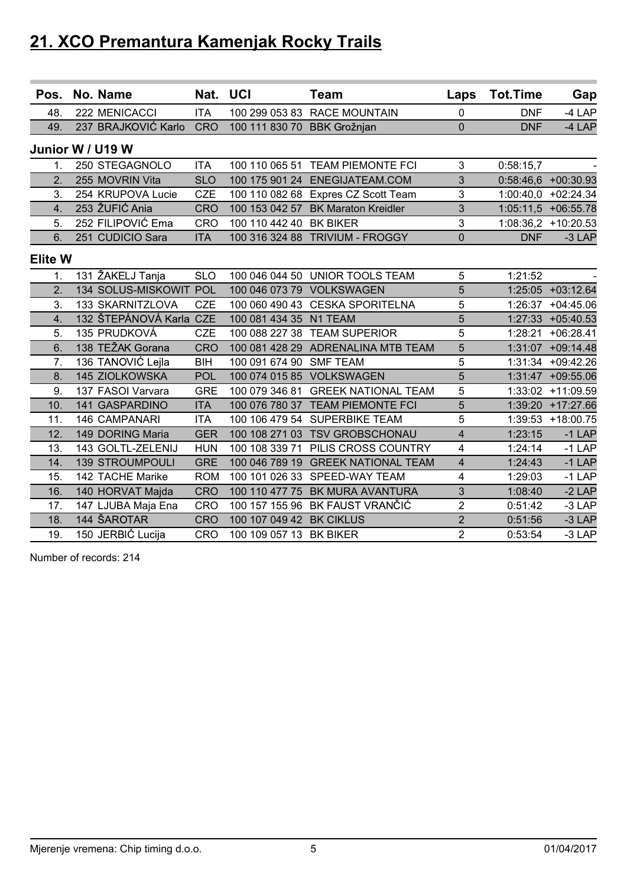| Pos.             | No. Name               | Nat. UCI   |                             | <b>Team</b>                         | Laps                    | <b>Tot.Time</b> | Gap                   |
|------------------|------------------------|------------|-----------------------------|-------------------------------------|-------------------------|-----------------|-----------------------|
| 48.              | 222 MENICACCI          | <b>ITA</b> |                             | 100 299 053 83 RACE MOUNTAIN        | 0                       | <b>DNF</b>      | $-4$ LAP              |
| 49.              | 237 BRAJKOVIĆ Karlo    | <b>CRO</b> | 100 111 830 70 BBK Grožnjan |                                     | 0                       | <b>DNF</b>      | $-4$ LAP              |
| Junior W / U19 W |                        |            |                             |                                     |                         |                 |                       |
| 1.               | 250 STEGAGNOLO         | <b>ITA</b> |                             | 100 110 065 51 TEAM PIEMONTE FCI    | 3                       | 0:58:15,7       |                       |
| 2.               | 255 MOVRIN Vita        | <b>SLO</b> |                             | 100 175 901 24 ENEGIJATEAM.COM      | 3                       |                 | $0:58:46,6$ +00:30.93 |
| 3.               | 254 KRUPOVA Lucie      | <b>CZE</b> |                             | 100 110 082 68 Expres CZ Scott Team | 3                       |                 | $1:00:40,0$ +02:24.34 |
| 4.               | 253 ŽUFIĆ Ania         | <b>CRO</b> |                             | 100 153 042 57 BK Maraton Kreidler  | 3                       |                 | 1:05:11,5 +06:55.78   |
| 5.               | 252 FILIPOVIĆ Ema      | <b>CRO</b> | 100 110 442 40 BK BIKER     |                                     | 3                       |                 | 1:08:36,2 +10:20.53   |
| 6.               | 251 CUDICIO Sara       | <b>ITA</b> |                             | 100 316 324 88 TRIVIUM - FROGGY     | $\overline{0}$          | <b>DNF</b>      | $-3$ LAP              |
| <b>Elite W</b>   |                        |            |                             |                                     |                         |                 |                       |
| 1.               | 131 ŽAKELJ Tanja       | <b>SLO</b> |                             | 100 046 044 50 UNIOR TOOLS TEAM     | 5                       | 1:21:52         |                       |
| 2.               | 134 SOLUS-MISKOWIT POL |            |                             | 100 046 073 79 VOLKSWAGEN           | 5                       |                 | 1:25:05 +03:12.64     |
| 3.               | 133 SKARNITZLOVA       | <b>CZE</b> | 100 060 490 43              | <b>CESKA SPORITELNA</b>             | 5                       | 1:26:37         | $+04:45.06$           |
| 4.               | 132 ŠTEPÁNOVÁ Karla    | <b>CZE</b> | 100 081 434 35 N1 TEAM      |                                     | 5                       |                 | 1:27:33 +05:40.53     |
| 5.               | 135 PRUDKOVÁ           | <b>CZE</b> |                             | 100 088 227 38 TEAM SUPERIOR        | 5                       | 1:28:21         | $+06:28.41$           |
| 6.               | 138 TEŽAK Gorana       | <b>CRO</b> |                             | 100 081 428 29 ADRENALINA MTB TEAM  | 5                       |                 | 1:31:07 +09:14.48     |
| 7.               | 136 TANOVIĆ Lejla      | <b>BIH</b> | 100 091 674 90 SMF TEAM     |                                     | 5                       |                 | 1:31:34 +09:42.26     |
| 8.               | 145 ZIOLKOWSKA         | POL        |                             | 100 074 015 85 VOLKSWAGEN           | 5                       |                 | 1:31:47 +09:55.06     |
| 9.               | 137 FASOI Varvara      | <b>GRE</b> | 100 079 346 81              | <b>GREEK NATIONAL TEAM</b>          | 5                       |                 | 1:33:02 +11:09.59     |
| 10.              | 141 GASPARDINO         | <b>ITA</b> |                             | 100 076 780 37 TEAM PIEMONTE FCI    | 5                       |                 | 1:39:20 +17:27.66     |
| 11.              | 146 CAMPANARI          | <b>ITA</b> |                             | 100 106 479 54 SUPERBIKE TEAM       | 5                       |                 | 1:39:53 +18:00.75     |
| 12.              | 149 DORING Maria       | <b>GER</b> |                             | 100 108 271 03 TSV GROBSCHONAU      | $\overline{\mathbf{4}}$ | 1:23:15         | $-1$ LAP              |
| 13.              | 143 GOLTL-ZELENIJ      | <b>HUN</b> | 100 108 339 71              | PILIS CROSS COUNTRY                 | 4                       | 1:24:14         | $-1$ LAP              |
| 14.              | <b>139 STROUMPOULI</b> | <b>GRE</b> |                             | 100 046 789 19 GREEK NATIONAL TEAM  | $\overline{\mathbf{4}}$ | 1:24:43         | $-1$ LAP              |
| 15.              | 142 TACHE Marike       | <b>ROM</b> | 100 101 026 33              | SPEED-WAY TEAM                      | 4                       | 1:29:03         | $-1$ LAP              |
| 16.              | 140 HORVAT Majda       | <b>CRO</b> |                             | 100 110 477 75 BK MURA AVANTURA     | 3                       | 1:08:40         | $-2$ LAP              |
| 17.              | 147 LJUBA Maja Ena     | CRO        |                             | 100 157 155 96 BK FAUST VRANČIĆ     | $\overline{2}$          | 0:51:42         | $-3$ LAP              |
| 18.              | 144 ŠAROTAR            | <b>CRO</b> | 100 107 049 42              | <b>BK CIKLUS</b>                    | $\overline{2}$          | 0:51:56         | $-3$ LAP              |
| 19.              | 150 JERBIĆ Lucija      | CRO        | 100 109 057 13 BK BIKER     |                                     | $\overline{2}$          | 0:53:54         | $-3$ LAP              |

Number of records: 214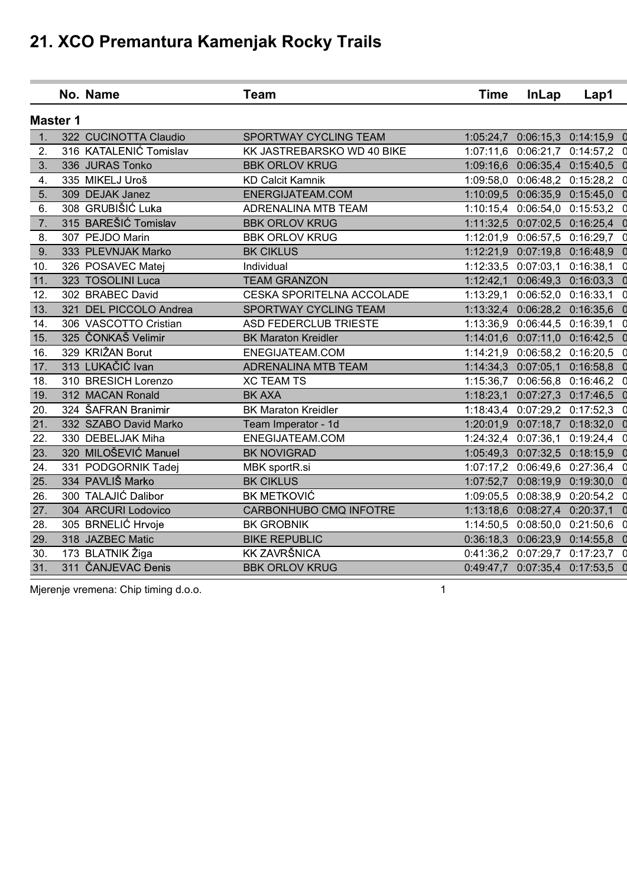|                  | No. Name               | <b>Team</b>                | <b>Time</b> | <b>InLap</b>                  | Lap1                          |             |
|------------------|------------------------|----------------------------|-------------|-------------------------------|-------------------------------|-------------|
| <b>Master 1</b>  |                        |                            |             |                               |                               |             |
| 1.               | 322 CUCINOTTA Claudio  | SPORTWAY CYCLING TEAM      |             |                               | 1:05:24,7 0:06:15,3 0:14:15,9 |             |
| 2.               | 316 KATALENIĆ Tomislav | KK JASTREBARSKO WD 40 BIKE |             | 1:07:11,6 0:06:21,7           | 0:14:57,2                     | 0           |
| 3.               | 336 JURAS Tonko        | <b>BBK ORLOV KRUG</b>      |             | 1:09:16,6 0:06:35,4 0:15:40,5 |                               |             |
| 4.               | 335 MIKELJ Uroš        | <b>KD Calcit Kamnik</b>    |             | 1:09:58,0 0:06:48,2 0:15:28,2 |                               | 0           |
| 5.               | 309 DEJAK Janez        | ENERGIJATEAM.COM           |             | 1:10:09,5 0:06:35,9 0:15:45,0 |                               |             |
| 6.               | 308 GRUBIŠIĆ Luka      | <b>ADRENALINA MTB TEAM</b> |             | 1:10:15,4 0:06:54,0 0:15:53,2 |                               |             |
| $\overline{7}$ . | 315 BAREŠIĆ Tomislav   | <b>BBK ORLOV KRUG</b>      |             | 1:11:32,5 0:07:02,5 0:16:25,4 |                               |             |
| 8.               | 307 PEJDO Marin        | <b>BBK ORLOV KRUG</b>      |             | 1:12:01,9 0:06:57,5 0:16:29,7 |                               | $\Omega$    |
| 9.               | 333 PLEVNJAK Marko     | <b>BK CIKLUS</b>           |             | 1:12:21,9 0:07:19,8 0:16:48,9 |                               |             |
| 10.              | 326 POSAVEC Matej      | Individual                 |             | 1:12:33,5 0:07:03,1 0:16:38,1 |                               | 0           |
| 11.              | 323 TOSOLINI Luca      | <b>TEAM GRANZON</b>        |             | 1:12:42,1 0:06:49,3 0:16:03,3 |                               |             |
| 12.              | 302 BRABEC David       | CESKA SPORITELNA ACCOLADE  | 1:13:29,1   | 0:06:52,0 0:16:33,1           |                               |             |
| 13.              | 321 DEL PICCOLO Andrea | SPORTWAY CYCLING TEAM      |             | 1:13:32,4 0:06:28,2 0:16:35,6 |                               |             |
| 14.              | 306 VASCOTTO Cristian  | ASD FEDERCLUB TRIESTE      |             | 1:13:36,9 0:06:44,5 0:16:39,1 |                               | 0           |
| 15.              | 325 ČONKAŠ Velimir     | <b>BK Maraton Kreidler</b> |             | 1:14:01,6 0:07:11,0 0:16:42,5 |                               |             |
| 16.              | 329 KRIŽAN Borut       | ENEGIJATEAM.COM            |             | 1:14:21,9 0:06:58,2 0:16:20,5 |                               |             |
| 17.              | 313 LUKAČIĆ Ivan       | <b>ADRENALINA MTB TEAM</b> |             | 1:14:34,3 0:07:05,1 0:16:58,8 |                               |             |
| 18.              | 310 BRESICH Lorenzo    | <b>XC TEAM TS</b>          |             | 1:15:36,7 0:06:56,8 0:16:46,2 |                               |             |
| 19.              | 312 MACAN Ronald       | <b>BK AXA</b>              | 1:18:23,1   | 0:07:27,3 0:17:46,5           |                               |             |
| 20.              | 324 ŠAFRAN Branimir    | <b>BK Maraton Kreidler</b> |             | 1:18:43,4 0:07:29,2 0:17:52,3 |                               | 0           |
| 21.              | 332 SZABO David Marko  | Team Imperator - 1d        |             | 1:20:01,9 0:07:18,7 0:18:32,0 |                               |             |
| 22.              | 330 DEBELJAK Miha      | ENEGIJATEAM.COM            |             | 1:24:32,4 0:07:36,1           | 0:19:24,4                     |             |
| 23.              | 320 MILOŠEVIĆ Manuel   | <b>BK NOVIGRAD</b>         |             | 1:05:49,3 0:07:32,5 0:18:15,9 |                               |             |
| 24.              | 331 PODGORNIK Tadej    | MBK sportR.si              |             | 1:07:17,2 0:06:49,6           | 0:27:36,4                     |             |
| 25.              | 334 PAVLIŠ Marko       | <b>BK CIKLUS</b>           |             | 1:07:52,7 0:08:19,9 0:19:30,0 |                               |             |
| 26.              | 300 TALAJIĆ Dalibor    | <b>BK METKOVIĆ</b>         |             | 1:09:05,5 0:08:38,9           | 0:20:54,2                     | O           |
| 27.              | 304 ARCURI Lodovico    | CARBONHUBO CMQ INFOTRE     |             | 1:13:18,6 0:08:27,4 0:20:37,1 |                               | $\mathbf 0$ |
| 28.              | 305 BRNELIĆ Hrvoje     | <b>BK GROBNIK</b>          |             | 1:14:50,5 0:08:50,0 0:21:50,6 |                               | 0           |
| 29.              | 318 JAZBEC Matic       | <b>BIKE REPUBLIC</b>       |             | 0:36:18,3 0:06:23,9 0:14:55,8 |                               |             |
| 30.              | 173 BLATNIK Žiga       | <b>KK ZAVRŠNICA</b>        |             | 0:41:36,2 0:07:29,7           | 0:17:23,7                     | $\Omega$    |
| 31.              | 311 ČANJEVAC Đenis     | <b>BBK ORLOV KRUG</b>      |             | 0:49:47,7 0:07:35,4 0:17:53,5 |                               | O           |
|                  |                        |                            |             |                               |                               |             |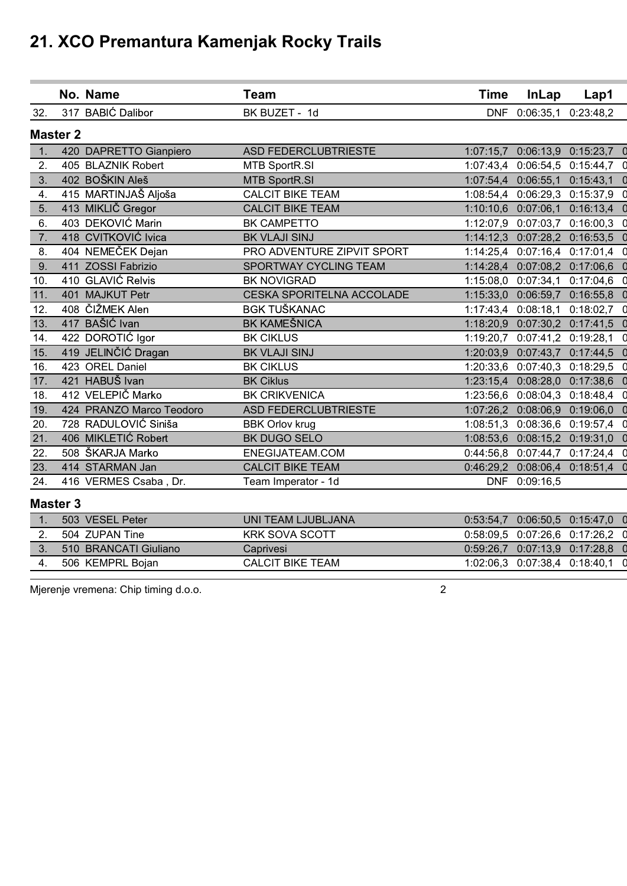|     |                 | No. Name                 | <b>Team</b>                      | <b>Time</b> | <b>InLap</b>                  | Lap1                            |   |
|-----|-----------------|--------------------------|----------------------------------|-------------|-------------------------------|---------------------------------|---|
| 32. |                 | 317 BABIĆ Dalibor        | BK BUZET - 1d                    |             | DNF 0:06:35,1                 | 0:23:48,2                       |   |
|     | <b>Master 2</b> |                          |                                  |             |                               |                                 |   |
| 1.  |                 | 420 DAPRETTO Gianpiero   | <b>ASD FEDERCLUBTRIESTE</b>      |             |                               | 1:07:15,7 0:06:13,9 0:15:23,7 0 |   |
| 2.  |                 | 405 BLAZNIK Robert       | <b>MTB SportR.SI</b>             | 1:07:43,4   | 0:06:54,5                     | 0:15:44,7                       | 0 |
| 3.  |                 | 402 BOŠKIN Aleš          | <b>MTB SportR.SI</b>             |             | 1:07:54,4 0:06:55,1           | 0:15:43,1                       |   |
| 4.  |                 | 415 MARTINJAŠ Aljoša     | <b>CALCIT BIKE TEAM</b>          |             | 1:08:54,4 0:06:29,3           | 0:15:37,9                       |   |
| 5.  |                 | 413 MIKLIČ Gregor        | <b>CALCIT BIKE TEAM</b>          |             | 1:10:10,6 0:07:06,1           | 0:16:13,4                       |   |
| 6.  |                 | 403 DEKOVIĆ Marin        | <b>BK CAMPETTO</b>               |             | 1:12:07,9 0:07:03,7           | 0:16:00,3                       |   |
| 7.  |                 | 418 CVITKOVIĆ Ivica      | <b>BK VLAJI SINJ</b>             |             | 1:14:12,3 0:07:28,2 0:16:53,5 |                                 |   |
| 8.  |                 | 404 NEMEČEK Dejan        | PRO ADVENTURE ZIPVIT SPORT       |             | 1:14:25,4 0:07:16,4 0:17:01,4 |                                 |   |
| 9.  |                 | 411 ZOSSI Fabrizio       | SPORTWAY CYCLING TEAM            | 1:14:28,4   | 0:07:08,2 0:17:06,6           |                                 |   |
| 10. |                 | 410 GLAVIĆ Relvis        | <b>BK NOVIGRAD</b>               | 1:15:08,0   | 0:07:34,1                     | 0:17:04,6                       |   |
| 11. |                 | 401 MAJKUT Petr          | <b>CESKA SPORITELNA ACCOLADE</b> |             | 1:15:33,0 0:06:59,7           | 0:16:55,8                       |   |
| 12. |                 | 408 ČIŽMEK Alen          | <b>BGK TUŠKANAC</b>              |             | 1:17:43,4 0:08:18,1           | 0:18:02,7                       | 0 |
| 13. |                 | 417 BAŠIĆ Ivan           | <b>BK KAMEŠNICA</b>              |             | 1:18:20,9 0:07:30,2 0:17:41,5 |                                 |   |
| 14. |                 | 422 DOROTIĆ Igor         | <b>BK CIKLUS</b>                 | 1:19:20,7   | 0:07:41,2                     | 0:19:28,1                       |   |
| 15. |                 | 419 JELINČIĆ Dragan      | <b>BK VLAJI SINJ</b>             |             | 1:20:03,9 0:07:43,7 0:17:44,5 |                                 |   |
| 16. |                 | 423 OREL Daniel          | <b>BK CIKLUS</b>                 |             | 1:20:33,6 0:07:40,3           | 0:18:29,5                       |   |
| 17. |                 | 421 HABUŠ Ivan           | <b>BK Ciklus</b>                 |             | 1:23:15,4 0:08:28,0           | 0:17:38,6                       |   |
| 18. |                 | 412 VELEPIČ Marko        | <b>BK CRIKVENICA</b>             | 1:23:56,6   | 0:08:04,3                     | 0:18:48,4                       |   |
| 19. |                 | 424 PRANZO Marco Teodoro | <b>ASD FEDERCLUBTRIESTE</b>      |             | 1:07:26,2 0:08:06,9 0:19:06,0 |                                 |   |
| 20. |                 | 728 RADULOVIĆ Siniša     | <b>BBK Orlov krug</b>            |             | 1:08:51,3 0:08:36,6           | 0:19:57,4                       |   |
| 21. |                 | 406 MIKLETIĆ Robert      | BK DUGO SELO                     |             | 1:08:53,6 0:08:15,2 0:19:31,0 |                                 |   |
| 22. |                 | 508 ŠKARJA Marko         | ENEGIJATEAM.COM                  |             | 0:44:56,8 0:07:44,7           | 0:17:24,4                       |   |
| 23. |                 | 414 STARMAN Jan          | <b>CALCIT BIKE TEAM</b>          | 0:46:29,2   |                               | $0.08:06,4$ $0.18:51,4$         |   |
| 24. |                 | 416 VERMES Csaba, Dr.    | Team Imperator - 1d              |             | DNF 0:09:16,5                 |                                 |   |
|     | <b>Master 3</b> |                          |                                  |             |                               |                                 |   |
|     |                 |                          |                                  |             |                               |                                 |   |

| 503 VESEL Peter       | UNI TEAM LJUBLJANA      | $0.53:54.7$ $0.06:50.5$ $0.15:47.0$ |  |
|-----------------------|-------------------------|-------------------------------------|--|
| 504 ZUPAN Tine        | <b>KRK SOVA SCOTT</b>   | $0.58.09.5$ $0.07.26.6$ $0.17.26.2$ |  |
| 510 BRANCATI Giuliano | Caprivesi               | $0:59:26,7$ $0:07:13,9$ $0:17:28,8$ |  |
| 506 KEMPRL Boian      | <b>CALCIT BIKE TEAM</b> | 1:02:06,3 0:07:38,4 0:18:40,1       |  |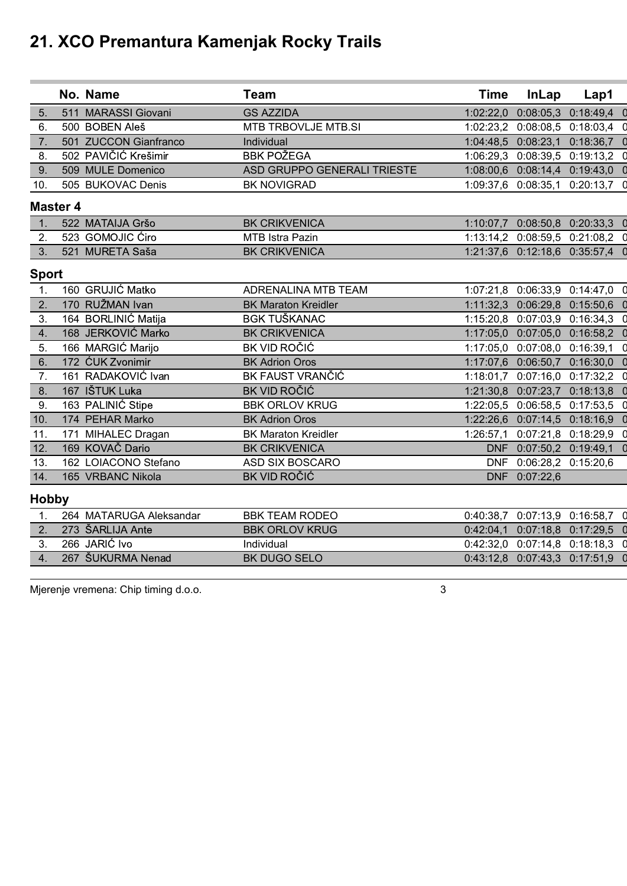|                 | No. Name                | <b>Team</b>                 | <b>Time</b> | <b>InLap</b>                  | Lap1                                |                |
|-----------------|-------------------------|-----------------------------|-------------|-------------------------------|-------------------------------------|----------------|
| 5.              | 511 MARASSI Giovani     | <b>GS AZZIDA</b>            |             | 1:02:22,0 0:08:05,3           | 0:18:49,4                           |                |
| 6.              | 500 BOBEN Aleš          | MTB TRBOVLJE MTB.SI         |             |                               | 1:02:23,2 0:08:08,5 0:18:03,4       | O              |
| 7.              | 501 ZUCCON Gianfranco   | Individual                  |             |                               | 1:04:48,5 0:08:23,1 0:18:36,7       | $\overline{0}$ |
| 8.              | 502 PAVIČIĆ Krešimir    | <b>BBK POŽEGA</b>           |             | 1:06:29,3 0:08:39,5 0:19:13,2 |                                     | 0              |
| 9.              | 509 MULE Domenico       | ASD GRUPPO GENERALI TRIESTE |             | 1:08:00,6 0:08:14,4 0:19:43,0 |                                     |                |
| 10.             | 505 BUKOVAC Denis       | <b>BK NOVIGRAD</b>          |             |                               | 1:09:37,6 0:08:35,1 0:20:13,7       | $\Omega$       |
| <b>Master 4</b> |                         |                             |             |                               |                                     |                |
| 1.              | 522 MATAIJA Gršo        | <b>BK CRIKVENICA</b>        |             |                               | 1:10:07,7 0:08:50,8 0:20:33,3 0     |                |
| 2.              | 523 GOMOJIC Ćiro        | MTB Istra Pazin             |             |                               | 1:13:14,2 0:08:59,5 0:21:08,2       | 0              |
| 3.              | 521 MURETA Saša         | <b>BK CRIKVENICA</b>        |             |                               | 1:21:37,6 0:12:18,6 0:35:57,4       |                |
| <b>Sport</b>    |                         |                             |             |                               |                                     |                |
| $\mathbf{1}$ .  | 160 GRUJIĆ Matko        | ADRENALINA MTB TEAM         |             |                               | 1:07:21,8 0:06:33,9 0:14:47,0 0     |                |
| 2.              | 170 RUŽMAN Ivan         | <b>BK Maraton Kreidler</b>  |             | 1:11:32,3 0:06:29,8 0:15:50,6 |                                     |                |
| 3.              | 164 BORLINIĆ Matija     | <b>BGK TUŠKANAC</b>         |             | 1:15:20,8 0:07:03,9 0:16:34,3 |                                     | 0              |
| 4.              | 168 JERKOVIĆ Marko      | <b>BK CRIKVENICA</b>        |             |                               | 1:17:05.0  0:07:05,0  0:16:58,2     | $\Omega$       |
| 5.              | 166 MARGIC Marijo       | BK VID ROČIĆ                |             | 1:17:05,0 0:07:08,0 0:16:39,1 |                                     | $\Omega$       |
| 6.              | 172 ĆUK Zvonimir        | <b>BK Adrion Oros</b>       |             | 1:17:07,6 0:06:50,7 0:16:30,0 |                                     |                |
| 7.              | 161 RADAKOVIĆ Ivan      | <b>BK FAUST VRANČIĆ</b>     |             |                               | 1:18:01,7 0:07:16,0 0:17:32,2       | 0              |
| 8.              | 167 IŠTUK Luka          | <b>BK VID ROČIĆ</b>         |             | 1:21:30,8 0:07:23,7 0:18:13,8 |                                     | $\mathbf 0$    |
| 9.              | 163 PALINIĆ Stipe       | <b>BBK ORLOV KRUG</b>       |             | 1:22:05,5 0:06:58,5 0:17:53,5 |                                     | 0              |
| 10.             | 174 PEHAR Marko         | <b>BK Adrion Oros</b>       |             | 1:22:26,6 0:07:14,5 0:18:16,9 |                                     |                |
| 11.             | 171 MIHALEC Dragan      | <b>BK Maraton Kreidler</b>  |             | 1:26:57,1 0:07:21,8 0:18:29,9 |                                     | 0              |
| 12.             | 169 KOVAČ Dario         | <b>BK CRIKVENICA</b>        |             | DNF 0:07:50,2 0:19:49,1       |                                     | $\mathbf 0$    |
| 13.             | 162 LOIACONO Stefano    | <b>ASD SIX BOSCARO</b>      |             | DNF 0:06:28,2 0:15:20,6       |                                     |                |
| 14.             | 165 VRBANC Nikola       | <b>BK VID ROČIĆ</b>         |             | DNF 0:07:22,6                 |                                     |                |
| <b>Hobby</b>    |                         |                             |             |                               |                                     |                |
| 1.              | 264 MATARUGA Aleksandar | <b>BBK TEAM RODEO</b>       |             |                               | 0:40:38,7 0:07:13,9 0:16:58,7 0     |                |
| 2.              | 273 ŠARLIJA Ante        | <b>BBK ORLOV KRUG</b>       |             |                               | 0:42:04,1 0:07:18,8 0:17:29,5       | $\mathbf 0$    |
| 3.              | 266 JARIĆ Ivo           | Individual                  |             |                               | $0.42.32,0$ $0.07.14,8$ $0.18.18,3$ | $\mathsf{C}$   |
| 4.              | 267 ŠUKURMA Nenad       | <b>BK DUGO SELO</b>         |             |                               | 0:43:12,8 0:07:43,3 0:17:51,9 0     |                |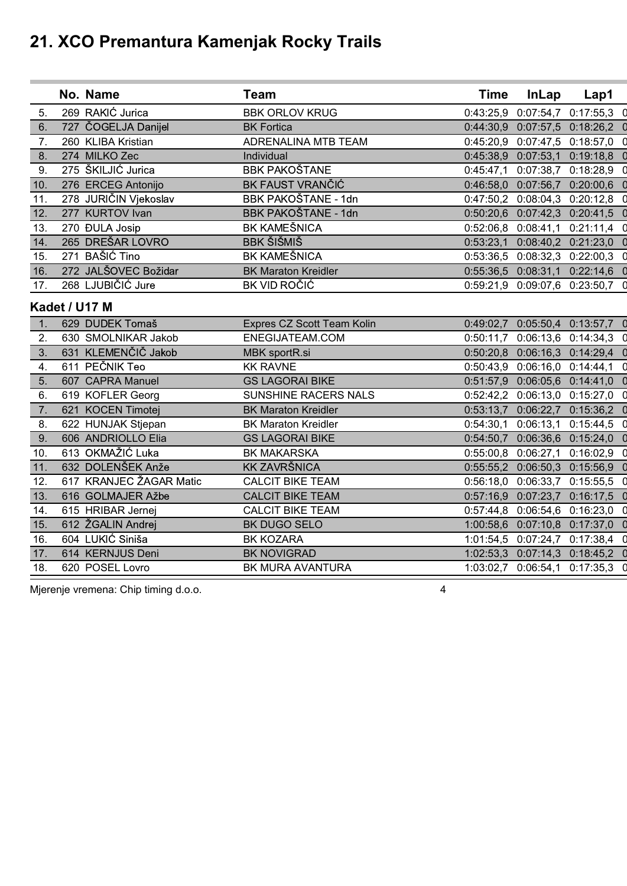|                  | No. Name                | <b>Team</b>                | <b>Time</b> | <b>InLap</b>                        | Lap1                            |             |
|------------------|-------------------------|----------------------------|-------------|-------------------------------------|---------------------------------|-------------|
| 5.               | 269 RAKIĆ Jurica        | <b>BBK ORLOV KRUG</b>      |             | 0:43:25,9 0:07:54,7                 | 0:17:55,3                       |             |
| 6.               | 727 ČOGELJA Danijel     | <b>BK Fortica</b>          |             | 0:44:30,9 0:07:57,5 0:18:26,2       |                                 | O           |
| 7.               | 260 KLIBA Kristian      | <b>ADRENALINA MTB TEAM</b> |             | 0:45:20,9 0:07:47,5 0:18:57,0       |                                 | 0           |
| 8.               | 274 MILKO Zec           | Individual                 |             | 0:45:38,9 0:07:53,1 0:19:18,8       |                                 |             |
| 9.               | 275 ŠKILJIĆ Jurica      | <b>BBK PAKOŠTANE</b>       |             | 0:45:47,1 0:07:38,7 0:18:28,9       |                                 | 0           |
| 10.              | 276 ERCEG Antonijo      | <b>BK FAUST VRANČIĆ</b>    |             | 0:46:58,0 0:07:56,7 0:20:00,6       |                                 |             |
| 11.              | 278 JURIČIN Vjekoslav   | BBK PAKOŠTANE - 1dn        |             | 0:47:50,2 0:08:04,3 0:20:12,8       |                                 | 0           |
| 12.              | 277 KURTOV Ivan         | BBK PAKOŠTANE - 1dn        |             | 0:50:20,6 0:07:42,3 0:20:41,5       |                                 |             |
| 13.              | 270 ĐULA Josip          | <b>BK KAMEŠNICA</b>        |             | 0:52:06,8 0:08:41,1 0:21:11,4       |                                 | 0           |
| 14.              | 265 DREŠAR LOVRO        | <b>BBK ŠIŠMIŠ</b>          |             | 0:53:23,1 0:08:40,2 0:21:23,0       |                                 |             |
| 15.              | 271 BAŠIĆ Tino          | <b>BK KAMEŠNICA</b>        |             | $0:53:36,5$ $0:08:32,3$ $0:22:00,3$ |                                 | 0           |
| 16.              | 272 JALŠOVEC Božidar    | <b>BK Maraton Kreidler</b> |             | 0:55:36,5 0:08:31,1 0:22:14,6       |                                 |             |
| 17.              | 268 LJUBIČIĆ Jure       | BK VID ROČIĆ               |             |                                     | 0:59:21,9 0:09:07,6 0:23:50,7 0 |             |
|                  | Kadet / U17 M           |                            |             |                                     |                                 |             |
| 1.               | 629 DUDEK Tomaš         | Expres CZ Scott Team Kolin |             |                                     | 0:49:02,7 0:05:50,4 0:13:57,7 0 |             |
| 2.               | 630 SMOLNIKAR Jakob     | ENEGIJATEAM.COM            |             | 0:50:11,7 0:06:13,6 0:14:34,3       |                                 | 0           |
| 3.               | 631 KLEMENČIČ Jakob     | MBK sportR.si              |             | 0:50:20,8 0:06:16,3 0:14:29,4       |                                 | $\mathbf 0$ |
| $\overline{4}$ . | 611 PEČNIK Teo          | <b>KK RAVNE</b>            |             | 0:50:43,9 0:06:16,0 0:14:44,1       |                                 | 0           |
| 5.               | 607 CAPRA Manuel        | <b>GS LAGORAI BIKE</b>     |             | 0:51:57,9 0:06:05,6 0:14:41,0       |                                 |             |
| 6.               | 619 KOFLER Georg        | SUNSHINE RACERS NALS       |             | 0:52:42,2 0:06:13,0 0:15:27,0       |                                 | 0           |
| $\overline{7}$ . | 621 KOCEN Timotej       | <b>BK Maraton Kreidler</b> |             | 0:53:13,7 0:06:22,7 0:15:36,2       |                                 |             |
| 8.               | 622 HUNJAK Stjepan      | <b>BK Maraton Kreidler</b> |             | 0:54:30,1 0:06:13,1 0:15:44,5       |                                 | 0           |
| 9.               | 606 ANDRIOLLO Elia      | <b>GS LAGORAI BIKE</b>     |             | 0:54:50,7 0:06:36,6 0:15:24,0       |                                 |             |
| 10.              | 613 OKMAŽIĆ Luka        | <b>BK MAKARSKA</b>         |             | 0:55:00,8 0:06:27,1 0:16:02,9       |                                 | 0           |
| 11.              | 632 DOLENŠEK Anže       | <b>KK ZAVRŠNICA</b>        |             | 0:55:55,2 0:06:50,3 0:15:56,9       |                                 |             |
| 12.              | 617 KRANJEC ŽAGAR Matic | <b>CALCIT BIKE TEAM</b>    |             | 0:56:18,0 0:06:33,7                 | 0:15:55,5                       |             |
| 13.              | 616 GOLMAJER Ažbe       | <b>CALCIT BIKE TEAM</b>    |             | 0:57:16,9 0:07:23,7 0:16:17,5       |                                 | O           |
| 14.              | 615 HRIBAR Jernej       | <b>CALCIT BIKE TEAM</b>    |             | 0:57:44,8 0:06:54,6 0:16:23,0       |                                 | 0           |
| 15.              | 612 ŽGALIN Andrej       | <b>BK DUGO SELO</b>        |             | 1:00:58,6 0:07:10,8 0:17:37,0       |                                 | O           |
| 16.              | 604 LUKIĆ Siniša        | <b>BK KOZARA</b>           |             | 1:01:54,5 0:07:24,7 0:17:38,4       |                                 | 0           |
| 17.              | 614 KERNJUS Deni        | <b>BK NOVIGRAD</b>         |             | 1:02:53,3 0:07:14,3 0:18:45,2       |                                 |             |
| 18.              | 620 POSEL Lovro         | BK MURA AVANTURA           |             | 1:03:02,7 0:06:54,1 0:17:35,3       |                                 | 0           |
|                  |                         |                            |             |                                     |                                 |             |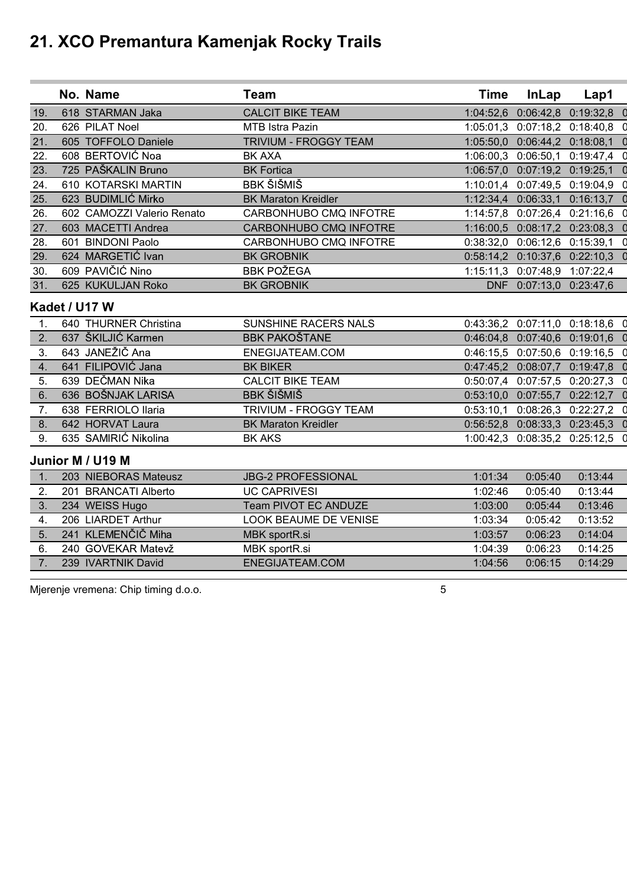|     | No. Name                   | <b>Team</b>                  | <b>Time</b> | <b>InLap</b>                  | Lap1                          |  |
|-----|----------------------------|------------------------------|-------------|-------------------------------|-------------------------------|--|
| 19. | 618 STARMAN Jaka           | <b>CALCIT BIKE TEAM</b>      |             | 1:04:52,6 0:06:42,8           | 0:19:32,8                     |  |
| 20. | 626 PILAT Noel             | MTB Istra Pazin              |             | 1:05:01,3 0:07:18,2 0:18:40,8 |                               |  |
| 21. | 605 TOFFOLO Daniele        | <b>TRIVIUM - FROGGY TEAM</b> | 1:05:50,0   | 0:06:44,2 0:18:08,1           |                               |  |
| 22. | 608 BERTOVIĆ Noa           | <b>BK AXA</b>                |             |                               | 1:06:00,3 0:06:50,1 0:19:47,4 |  |
| 23. | 725 PAŠKALIN Bruno         | <b>BK Fortica</b>            |             | 1:06:57,0 0:07:19,2 0:19:25,1 |                               |  |
| 24. | 610 KOTARSKI MARTIN        | BBK ŠIŠMIŠ                   |             | 1:10:01,4 0:07:49,5 0:19:04,9 |                               |  |
| 25. | 623 BUDIMLIĆ Mirko         | <b>BK Maraton Kreidler</b>   |             | 1:12:34,4 0:06:33,1 0:16:13,7 |                               |  |
| 26. | 602 CAMOZZI Valerio Renato | CARBONHUBO CMQ INFOTRE       |             | 1:14:57,8 0:07:26,4 0:21:16,6 |                               |  |
| 27. | 603 MACETTI Andrea         | CARBONHUBO CMQ INFOTRE       |             | 1:16:00,5 0:08:17,2 0:23:08,3 |                               |  |
| 28. | 601 BINDONI Paolo          | CARBONHUBO CMQ INFOTRE       |             | 0:38:32,0 0:06:12,6 0:15:39,1 |                               |  |
| 29. | 624 MARGETIĆ Ivan          | <b>BK GROBNIK</b>            |             | 0:58:14,2 0:10:37,6 0:22:10,3 |                               |  |
| 30. | 609 PAVIČIĆ Nino           | <b>BBK POŽEGA</b>            |             | 1:15:11,3 0:07:48,9 1:07:22,4 |                               |  |
| 31. | 625 KUKULJAN Roko          | <b>BK GROBNIK</b>            |             | DNF 0:07:13,0 0:23:47,6       |                               |  |
|     | Kadet / U17 W              |                              |             |                               |                               |  |
| 1.  | 640 THURNER Christina      | SUNSHINE RACERS NALS         |             |                               | 0:43:36,2 0:07:11,0 0:18:18,6 |  |
| 2.  | 637 ŠKILJIĆ Karmen         | <b>BBK PAKOŠTANE</b>         |             | 0:46:04,8 0:07:40,6 0:19:01,6 |                               |  |
| 3.  | 643 JANEŽIČ Ana            | ENEGIJATEAM.COM              |             | 0:46:15,5 0:07:50,6 0:19:16,5 |                               |  |
| 4.  | 641 FILIPOVIĆ Jana         | <b>BK BIKER</b>              |             | 0:47:45,2 0:08:07,7 0:19:47,8 |                               |  |
| 5.  | 639 DEČMAN Nika            | <b>CALCIT BIKE TEAM</b>      |             | 0:50:07,4 0:07:57,5 0:20:27,3 |                               |  |
| 6.  | 636 BOŠNJAK LARISA         | <b>BBK ŠIŠMIŠ</b>            | 0:53:10,0   | 0:07:55,7                     | 0:22:12,7                     |  |
| 7.  | 638 FERRIOLO Ilaria        | TRIVIUM - FROGGY TEAM        | 0:53:10,1   | $0:08:26,3$ $0:22:27,2$       |                               |  |
| 8.  | 642 HORVAT Laura           | <b>BK Maraton Kreidler</b>   |             | 0:56:52,8 0:08:33,3 0:23:45,3 |                               |  |
| 9.  | 635 SAMIRIĆ Nikolina       | <b>BK AKS</b>                |             | 1:00:42,3 0:08:35,2 0:25:12,5 |                               |  |

#### **Junior M / U19 M**

|    | 203 NIEBORAS Mateusz           | <b>JBG-2 PROFESSIONAL</b> | 1:01:34 | 0:05:40 | 0:13:44 |
|----|--------------------------------|---------------------------|---------|---------|---------|
|    | <b>BRANCATI Alberto</b><br>201 | <b>UC CAPRIVESI</b>       | 1:02:46 | 0:05:40 | 0:13:44 |
| 3. | 234 WEISS Hugo                 | Team PIVOT EC ANDUZE      | 1:03:00 | 0:05:44 | 0:13:46 |
|    | 206 LIARDET Arthur             | LOOK BEAUME DE VENISE     | 1:03:34 | 0:05:42 | 0:13:52 |
| 5. | 241 KLEMENČIČ Miha             | MBK sportR.si             | 1:03:57 | 0:06:23 | 0:14:04 |
| 6. | 240 GOVEKAR Matevž             | MBK sportR.si             | 1:04:39 | 0:06:23 | 0:14:25 |
|    | 239 IVARTNIK David             | ENEGIJATEAM.COM           | 1:04:56 | 0:06:15 | 0:14:29 |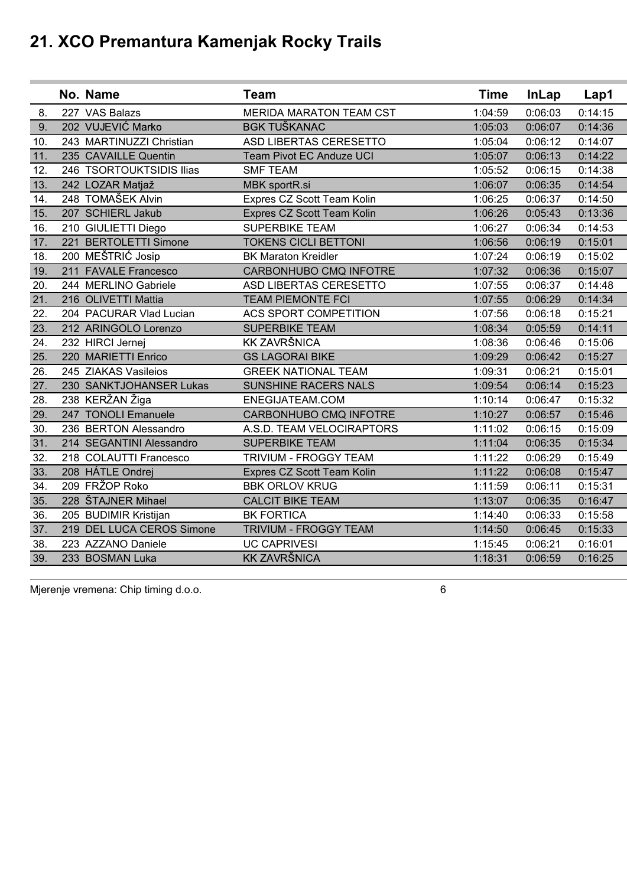|     | No. Name                  | <b>Team</b>                    | <b>Time</b> | <b>InLap</b> | Lap1    |
|-----|---------------------------|--------------------------------|-------------|--------------|---------|
| 8.  | 227 VAS Balazs            | <b>MERIDA MARATON TEAM CST</b> | 1:04:59     | 0:06:03      | 0:14:15 |
| 9.  | 202 VUJEVIĆ Marko         | <b>BGK TUŠKANAC</b>            | 1:05:03     | 0:06:07      | 0:14:36 |
| 10. | 243 MARTINUZZI Christian  | ASD LIBERTAS CERESETTO         | 1:05:04     | 0:06:12      | 0:14:07 |
| 11. | 235 CAVAILLE Quentin      | Team Pivot EC Anduze UCI       | 1:05:07     | 0:06:13      | 0:14:22 |
| 12. | 246 TSORTOUKTSIDIS Ilias  | <b>SMF TEAM</b>                | 1:05:52     | 0:06:15      | 0:14:38 |
| 13. | 242 LOZAR Matjaž          | MBK sportR.si                  | 1:06:07     | 0:06:35      | 0:14:54 |
| 14. | 248 TOMAŠEK Alvin         | Expres CZ Scott Team Kolin     | 1:06:25     | 0:06:37      | 0:14:50 |
| 15. | 207 SCHIERL Jakub         | Expres CZ Scott Team Kolin     | 1:06:26     | 0:05:43      | 0:13:36 |
| 16. | 210 GIULIETTI Diego       | SUPERBIKE TEAM                 | 1:06:27     | 0:06:34      | 0:14:53 |
| 17. | 221 BERTOLETTI Simone     | <b>TOKENS CICLI BETTONI</b>    | 1:06:56     | 0:06:19      | 0:15:01 |
| 18. | 200 MEŠTRIĆ Josip         | <b>BK Maraton Kreidler</b>     | 1:07:24     | 0:06:19      | 0:15:02 |
| 19. | 211 FAVALE Francesco      | CARBONHUBO CMQ INFOTRE         | 1:07:32     | 0:06:36      | 0:15:07 |
| 20. | 244 MERLINO Gabriele      | ASD LIBERTAS CERESETTO         | 1:07:55     | 0:06:37      | 0:14:48 |
| 21. | 216 OLIVETTI Mattia       | <b>TEAM PIEMONTE FCI</b>       | 1:07:55     | 0:06:29      | 0:14:34 |
| 22. | 204 PACURAR Vlad Lucian   | <b>ACS SPORT COMPETITION</b>   | 1:07:56     | 0:06:18      | 0:15:21 |
| 23. | 212 ARINGOLO Lorenzo      | <b>SUPERBIKE TEAM</b>          | 1:08:34     | 0:05:59      | 0:14:11 |
| 24. | 232 HIRCI Jernej          | <b>KK ZAVRŠNICA</b>            | 1:08:36     | 0:06:46      | 0:15:06 |
| 25. | 220 MARIETTI Enrico       | <b>GS LAGORAI BIKE</b>         | 1:09:29     | 0:06:42      | 0:15:27 |
| 26. | 245 ZIAKAS Vasileios      | <b>GREEK NATIONAL TEAM</b>     | 1:09:31     | 0:06:21      | 0:15:01 |
| 27. | 230 SANKTJOHANSER Lukas   | SUNSHINE RACERS NALS           | 1:09:54     | 0:06:14      | 0:15:23 |
| 28. | 238 KERŽAN Žiga           | ENEGIJATEAM.COM                | 1:10:14     | 0:06:47      | 0:15:32 |
| 29. | 247 TONOLI Emanuele       | CARBONHUBO CMQ INFOTRE         | 1:10:27     | 0:06:57      | 0:15:46 |
| 30. | 236 BERTON Alessandro     | A.S.D. TEAM VELOCIRAPTORS      | 1:11:02     | 0:06:15      | 0:15:09 |
| 31. | 214 SEGANTINI Alessandro  | <b>SUPERBIKE TEAM</b>          | 1:11:04     | 0:06:35      | 0:15:34 |
| 32. | 218 COLAUTTI Francesco    | TRIVIUM - FROGGY TEAM          | 1:11:22     | 0:06:29      | 0:15:49 |
| 33. | 208 HÁTLE Ondrej          | Expres CZ Scott Team Kolin     | 1:11:22     | 0:06:08      | 0:15:47 |
| 34. | 209 FRŽOP Roko            | <b>BBK ORLOV KRUG</b>          | 1:11:59     | 0:06:11      | 0:15:31 |
| 35. | 228 ŠTAJNER Mihael        | <b>CALCIT BIKE TEAM</b>        | 1:13:07     | 0:06:35      | 0:16:47 |
| 36. | 205 BUDIMIR Kristijan     | <b>BK FORTICA</b>              | 1:14:40     | 0:06:33      | 0:15:58 |
| 37. | 219 DEL LUCA CEROS Simone | TRIVIUM - FROGGY TEAM          | 1:14:50     | 0:06:45      | 0:15:33 |
| 38. | 223 AZZANO Daniele        | <b>UC CAPRIVESI</b>            | 1:15:45     | 0:06:21      | 0:16:01 |
| 39. | 233 BOSMAN Luka           | <b>KK ZAVRŠNICA</b>            | 1:18:31     | 0:06:59      | 0:16:25 |
|     |                           |                                |             |              |         |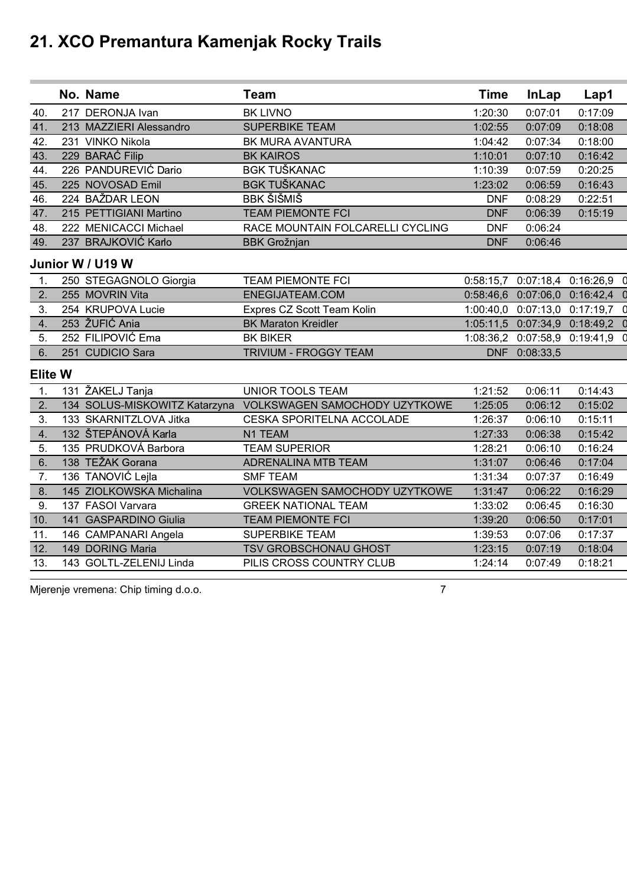|                | No. Name                 | <b>Team</b>                                                 | <b>Time</b> | <b>InLap</b>                  | Lap1                            |   |
|----------------|--------------------------|-------------------------------------------------------------|-------------|-------------------------------|---------------------------------|---|
| 40.            | 217 DERONJA Ivan         | <b>BK LIVNO</b>                                             | 1:20:30     | 0:07:01                       | 0:17:09                         |   |
| 41.            | 213 MAZZIERI Alessandro  | <b>SUPERBIKE TEAM</b>                                       | 1:02:55     | 0:07:09                       | 0:18:08                         |   |
| 42.            | 231 VINKO Nikola         | BK MURA AVANTURA                                            | 1:04:42     | 0:07:34                       | 0:18:00                         |   |
| 43.            | 229 BARAĆ Filip          | <b>BK KAIROS</b>                                            | 1:10:01     | 0:07:10                       | 0:16:42                         |   |
| 44.            | 226 PANDUREVIĆ Dario     | <b>BGK TUŠKANAC</b>                                         | 1:10:39     | 0:07:59                       | 0:20:25                         |   |
| 45.            | 225 NOVOSAD Emil         | <b>BGK TUŠKANAC</b>                                         | 1:23:02     | 0:06:59                       | 0:16:43                         |   |
| 46.            | 224 BAŽDAR LEON          | <b>BBK ŠIŠMIŠ</b>                                           | <b>DNF</b>  | 0:08:29                       | 0:22:51                         |   |
| 47.            | 215 PETTIGIANI Martino   | <b>TEAM PIEMONTE FCI</b>                                    | <b>DNF</b>  | 0:06:39                       | 0:15:19                         |   |
| 48.            | 222 MENICACCI Michael    | RACE MOUNTAIN FOLCARELLI CYCLING                            | <b>DNF</b>  | 0:06:24                       |                                 |   |
| 49.            | 237 BRAJKOVIĆ Karlo      | <b>BBK Grožnjan</b>                                         | <b>DNF</b>  | 0:06:46                       |                                 |   |
|                | Junior W / U19 W         |                                                             |             |                               |                                 |   |
| 1.             | 250 STEGAGNOLO Giorgia   | <b>TEAM PIEMONTE FCI</b>                                    |             |                               | 0:58:15,7 0:07:18,4 0:16:26,9   | 0 |
| 2.             | 255 MOVRIN Vita          | ENEGIJATEAM.COM                                             |             |                               | 0:58:46,6 0:07:06,0 0:16:42,4   | 0 |
| 3.             | 254 KRUPOVA Lucie        | Expres CZ Scott Team Kolin                                  |             |                               | 1:00:40,0 0:07:13,0 0:17:19,7   | 0 |
| 4.             | 253 ŽUFIĆ Ania           | <b>BK Maraton Kreidler</b>                                  |             | 1:05:11,5 0:07:34,9 0:18:49,2 |                                 |   |
| 5.             | 252 FILIPOVIĆ Ema        | <b>BK BIKER</b>                                             |             |                               | 1:08:36,2 0:07:58,9 0:19:41,9 0 |   |
| 6.             | 251 CUDICIO Sara         | <b>TRIVIUM - FROGGY TEAM</b>                                |             | DNF 0:08:33,5                 |                                 |   |
| <b>Elite W</b> |                          |                                                             |             |                               |                                 |   |
| 1.             | 131 ŽAKELJ Tanja         | <b>UNIOR TOOLS TEAM</b>                                     | 1:21:52     | 0:06:11                       | 0:14:43                         |   |
| 2.             |                          | 134 SOLUS-MISKOWITZ Katarzyna VOLKSWAGEN SAMOCHODY UZYTKOWE | 1:25:05     | 0:06:12                       | 0:15:02                         |   |
| 3.             | 133 SKARNITZLOVA Jitka   | CESKA SPORITELNA ACCOLADE                                   | 1:26:37     | 0:06:10                       | 0:15:11                         |   |
| 4.             | 132 ŠTEPÁNOVÁ Karla      | N1 TEAM                                                     | 1:27:33     | 0:06:38                       | 0:15:42                         |   |
| 5.             | 135 PRUDKOVÁ Barbora     | <b>TEAM SUPERIOR</b>                                        | 1:28:21     | 0:06:10                       | 0:16:24                         |   |
| 6.             | 138 TEŽAK Gorana         | ADRENALINA MTB TEAM                                         | 1:31:07     | 0:06:46                       | 0:17:04                         |   |
| 7.             | 136 TANOVIĆ Lejla        | <b>SMF TEAM</b>                                             | 1:31:34     | 0:07:37                       | 0:16:49                         |   |
| 8.             | 145 ZIOLKOWSKA Michalina | <b>VOLKSWAGEN SAMOCHODY UZYTKOWE</b>                        | 1:31:47     | 0:06:22                       | 0:16:29                         |   |
| 9.             | 137 FASOI Varvara        | <b>GREEK NATIONAL TEAM</b>                                  | 1:33:02     | 0:06:45                       | 0:16:30                         |   |
| 10.            | 141 GASPARDINO Giulia    | <b>TEAM PIEMONTE FCI</b>                                    | 1:39:20     | 0:06:50                       | 0:17:01                         |   |
| 11.            | 146 CAMPANARI Angela     | <b>SUPERBIKE TEAM</b>                                       | 1:39:53     | 0:07:06                       | 0:17:37                         |   |
| 12.            | 149 DORING Maria         | TSV GROBSCHONAU GHOST                                       | 1:23:15     | 0:07:19                       | 0:18:04                         |   |
| 13.            | 143 GOLTL-ZELENIJ Linda  | PILIS CROSS COUNTRY CLUB                                    | 1:24:14     | 0:07:49                       | 0:18:21                         |   |
|                |                          |                                                             |             |                               |                                 |   |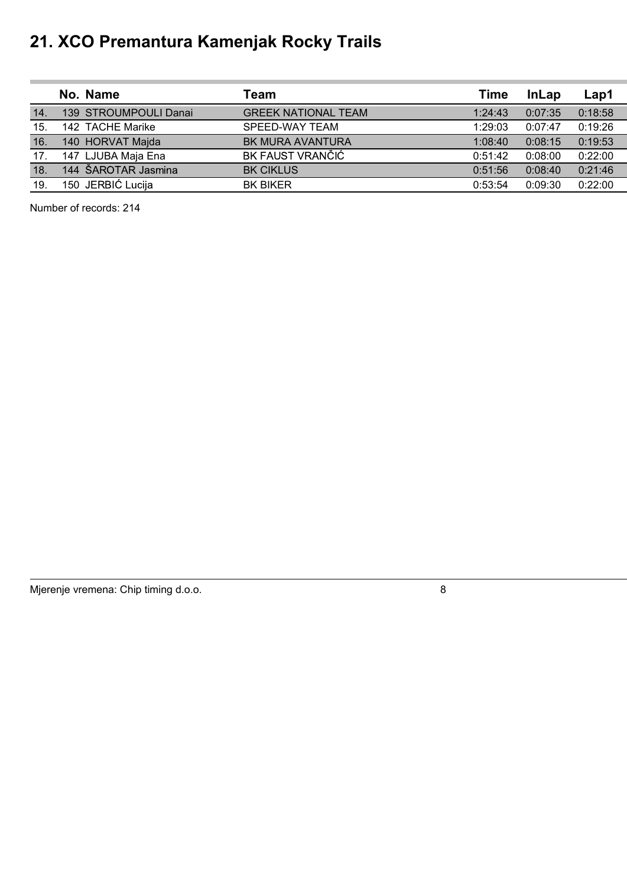|     | No. Name              | Team                       | Time    | <b>InLap</b> | Lap1    |
|-----|-----------------------|----------------------------|---------|--------------|---------|
| 14. | 139 STROUMPOULI Danai | <b>GREEK NATIONAL TEAM</b> | 1:24:43 | 0:07:35      | 0:18:58 |
| 15. | 142 TACHE Marike      | SPEED-WAY TEAM             | 1:29:03 | 0:07:47      | 0:19:26 |
| 16. | 140 HORVAT Majda      | <b>BK MURA AVANTURA</b>    | 1:08:40 | 0:08:15      | 0:19:53 |
| 17. | 147 LJUBA Maja Ena    | BK FAUST VRANČIĆ           | 0:51:42 | 0:08:00      | 0:22:00 |
| 18. | 144 ŠAROTAR Jasmina   | <b>BK CIKLUS</b>           | 0:51:56 | 0:08:40      | 0:21:46 |
| 19. | 150 JERBIĆ Lucija     | <b>BK BIKER</b>            | 0:53:54 | 0:09:30      | 0:22:00 |

Number of records: 214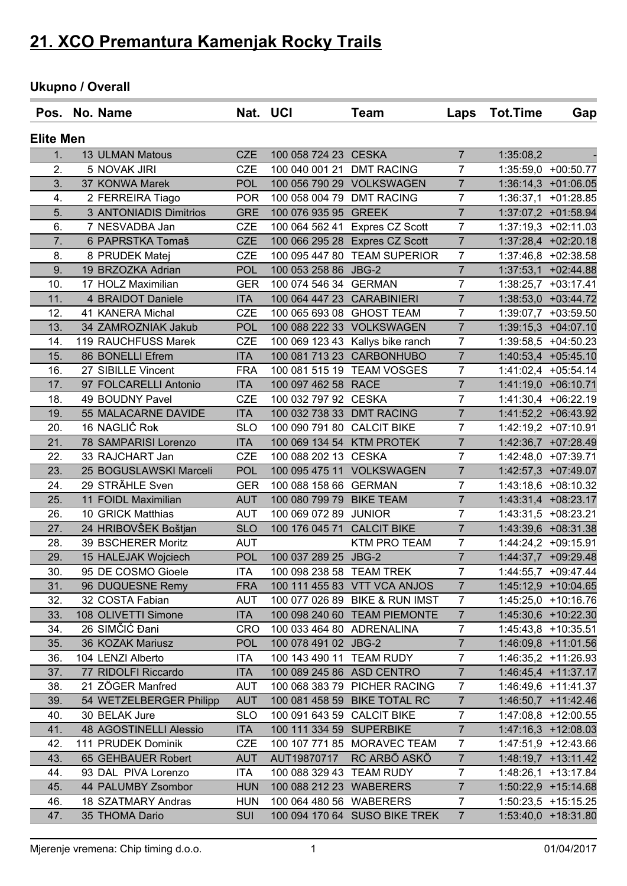### **Ukupno / Overall**

|                  | Pos. No. Name           |            | Nat. UCI                   | Team                             | Laps           | <b>Tot.Time</b> | Gap                   |
|------------------|-------------------------|------------|----------------------------|----------------------------------|----------------|-----------------|-----------------------|
| <b>Elite Men</b> |                         |            |                            |                                  |                |                 |                       |
| 1.               | 13 ULMAN Matous         | <b>CZE</b> | 100 058 724 23 CESKA       |                                  | $\overline{7}$ | 1:35:08,2       |                       |
| 2.               | 5 NOVAK JIRI            | <b>CZE</b> | 100 040 001 21             | <b>DMT RACING</b>                | $\overline{7}$ |                 | 1:35:59,0 +00:50.77   |
| 3.               | 37 KONWA Marek          | <b>POL</b> |                            | 100 056 790 29 VOLKSWAGEN        | $\overline{7}$ |                 | 1:36:14,3 +01:06.05   |
| 4.               | 2 FERREIRA Tiago        | <b>POR</b> | 100 058 004 79 DMT RACING  |                                  | $\overline{7}$ | 1:36:37,1       | $+01:28.85$           |
| 5.               | 3 ANTONIADIS Dimitrios  | <b>GRE</b> | 100 076 935 95             | <b>GREEK</b>                     | $\overline{7}$ |                 | 1:37:07,2 +01:58.94   |
| 6.               | 7 NESVADBA Jan          | <b>CZE</b> |                            | 100 064 562 41 Expres CZ Scott   | $\overline{7}$ |                 | $1:37:19,3$ +02:11.03 |
| 7.               | 6 PAPRSTKA Tomaš        | <b>CZE</b> |                            | 100 066 295 28 Expres CZ Scott   | $\overline{7}$ |                 | 1:37:28,4 +02:20.18   |
| 8.               | 8 PRUDEK Matej          | <b>CZE</b> |                            | 100 095 447 80 TEAM SUPERIOR     | $\overline{7}$ |                 | 1:37:46,8 +02:38.58   |
| 9.               | 19 BRZOZKA Adrian       | <b>POL</b> | 100 053 258 86 JBG-2       |                                  | $\overline{7}$ |                 | $1:37:53,1$ +02:44.88 |
| 10.              | 17 HOLZ Maximilian      | <b>GER</b> | 100 074 546 34             | <b>GERMAN</b>                    | 7              |                 | $1:38:25,7$ +03:17.41 |
| 11.              | 4 BRAIDOT Daniele       | <b>ITA</b> | 100 064 447 23 CARABINIERI |                                  | $\overline{7}$ |                 | 1:38:53,0 +03:44.72   |
| 12.              | 41 KANERA Michal        | <b>CZE</b> | 100 065 693 08 GHOST TEAM  |                                  | $\overline{7}$ |                 | 1:39:07,7 +03:59.50   |
| 13.              | 34 ZAMROZNIAK Jakub     | <b>POL</b> |                            | 100 088 222 33 VOLKSWAGEN        | $\overline{7}$ |                 | 1:39:15,3 +04:07.10   |
| 14.              | 119 RAUCHFUSS Marek     | <b>CZE</b> |                            | 100 069 123 43 Kallys bike ranch | $\overline{7}$ |                 | 1:39:58,5 +04:50.23   |
| 15.              | 86 BONELLI Efrem        | <b>ITA</b> |                            | 100 081 713 23 CARBONHUBO        | $\overline{7}$ |                 | 1:40:53,4 +05:45.10   |
| 16.              | 27 SIBILLE Vincent      | <b>FRA</b> |                            | 100 081 515 19 TEAM VOSGES       | $\overline{7}$ |                 | 1:41:02,4 +05:54.14   |
| 17.              | 97 FOLCARELLI Antonio   | <b>ITA</b> | 100 097 462 58 RACE        |                                  | $\overline{7}$ |                 | 1:41:19,0 +06:10.71   |
| 18.              | 49 BOUDNY Pavel         | <b>CZE</b> | 100 032 797 92 CESKA       |                                  | $\overline{7}$ |                 | 1:41:30,4 +06:22.19   |
| 19.              | 55 MALACARNE DAVIDE     | <b>ITA</b> | 100 032 738 33 DMT RACING  |                                  | $\overline{7}$ |                 | 1:41:52,2 +06:43.92   |
| 20.              | 16 NAGLIČ Rok           | <b>SLO</b> | 100 090 791 80 CALCIT BIKE |                                  | $\overline{7}$ |                 | $1:42:19,2$ +07:10.91 |
| 21.              | 78 SAMPARISI Lorenzo    | <b>ITA</b> | 100 069 134 54 KTM PROTEK  |                                  | $\overline{7}$ |                 | 1:42:36,7 +07:28.49   |
| 22.              | 33 RAJCHART Jan         | <b>CZE</b> | 100 088 202 13 CESKA       |                                  | $\overline{7}$ |                 | 1:42:48,0 +07:39.71   |
| 23.              | 25 BOGUSLAWSKI Marceli  | <b>POL</b> | 100 095 475 11             | <b>VOLKSWAGEN</b>                | $\overline{7}$ |                 | 1:42:57,3 +07:49.07   |
| 24.              | 29 STRÄHLE Sven         | <b>GER</b> | 100 088 158 66 GERMAN      |                                  | $\overline{7}$ |                 | 1:43:18,6 +08:10.32   |
| 25.              | 11 FOIDL Maximilian     | <b>AUT</b> | 100 080 799 79             | <b>BIKE TEAM</b>                 | $\overline{7}$ |                 | 1:43:31,4 +08:23.17   |
| 26.              | 10 GRICK Matthias       | <b>AUT</b> | 100 069 072 89 JUNIOR      |                                  | $\overline{7}$ |                 | 1:43:31,5 +08:23.21   |
| 27.              | 24 HRIBOVŠEK Boštjan    | <b>SLO</b> | 100 176 045 71             | <b>CALCIT BIKE</b>               | $\overline{7}$ |                 | 1:43:39,6 +08:31.38   |
| 28.              | 39 BSCHERER Moritz      | <b>AUT</b> |                            | <b>KTM PRO TEAM</b>              | $\overline{7}$ |                 | 1:44:24,2 +09:15.91   |
| 29.              | 15 HALEJAK Wojciech     | <b>POL</b> | 100 037 289 25             | JBG-2                            | $\overline{7}$ |                 | 1:44:37,7 +09:29.48   |
| 30.              | 95 DE COSMO Gioele      | <b>ITA</b> | 100 098 238 58 TEAM TREK   |                                  | $\overline{7}$ |                 | 1:44:55,7 +09:47.44   |
| 31.              | 96 DUQUESNE Remy        | <b>FRA</b> |                            | 100 111 455 83 VTT VCA ANJOS     | $\overline{7}$ |                 | 1:45:12,9 +10:04.65   |
| 32.              | 32 COSTA Fabian         | AUT        |                            | 100 077 026 89 BIKE & RUN IMST   | $\overline{7}$ |                 | 1:45:25,0 +10:16.76   |
| 33.              | 108 OLIVETTI Simone     | <b>ITA</b> |                            | 100 098 240 60 TEAM PIEMONTE     | $\overline{7}$ |                 | 1:45:30,6 +10:22.30   |
| 34.              | 26 SIMČIĆ Đani          | <b>CRO</b> | 100 033 464 80 ADRENALINA  |                                  | $\overline{7}$ |                 | $1:45:43,8$ +10:35.51 |
| 35.              | 36 KOZAK Mariusz        | <b>POL</b> | 100 078 491 02 JBG-2       |                                  | $\overline{7}$ |                 | 1:46:09,8 +11:01.56   |
| 36.              | 104 LENZI Alberto       | <b>ITA</b> | 100 143 490 11 TEAM RUDY   |                                  | $\overline{7}$ |                 | 1:46:35,2 +11:26.93   |
| 37.              | 77 RIDOLFI Riccardo     | <b>ITA</b> | 100 089 245 86 ASD CENTRO  |                                  | $\overline{7}$ |                 | $1:46:45,4$ +11:37.17 |
| 38.              | 21 ZÖGER Manfred        | <b>AUT</b> |                            | 100 068 383 79 PICHER RACING     | $\overline{7}$ |                 | $1:46:49,6$ +11:41.37 |
| 39.              | 54 WETZELBERGER Philipp | <b>AUT</b> |                            | 100 081 458 59 BIKE TOTAL RC     | $\overline{7}$ |                 | $1:46:50,7$ +11:42.46 |
| 40.              | 30 BELAK Jure           | <b>SLO</b> | 100 091 643 59 CALCIT BIKE |                                  | $\overline{7}$ |                 | 1:47:08,8 +12:00.55   |
| 41.              | 48 AGOSTINELLI Alessio  | <b>ITA</b> | 100 111 334 59 SUPERBIKE   |                                  | $\overline{7}$ |                 | 1:47:16,3 +12:08.03   |
| 42.              | 111 PRUDEK Dominik      | <b>CZE</b> |                            | 100 107 771 85 MORAVEC TEAM      | $\overline{7}$ |                 | 1:47:51,9 +12:43.66   |
| 43.              | 65 GEHBAUER Robert      | <b>AUT</b> | AUT19870717                | RC ARBÖ ASKÖ                     | $\overline{7}$ |                 | $1:48:19,7$ +13:11.42 |
| 44.              | 93 DAL PIVA Lorenzo     | <b>ITA</b> | 100 088 329 43 TEAM RUDY   |                                  | $\overline{7}$ |                 | 1:48:26,1 +13:17.84   |
| 45.              | 44 PALUMBY Zsombor      | <b>HUN</b> | 100 088 212 23 WABERERS    |                                  | $\overline{7}$ |                 | $1:50:22,9$ +15:14.68 |
| 46.              | 18 SZATMARY Andras      | <b>HUN</b> | 100 064 480 56 WABERERS    |                                  | $\overline{7}$ |                 | $1:50:23,5$ +15:15.25 |
| 47.              | 35 THOMA Dario          | <b>SUI</b> |                            | 100 094 170 64 SUSO BIKE TREK    | $\overline{7}$ |                 | 1:53:40,0 +18:31.80   |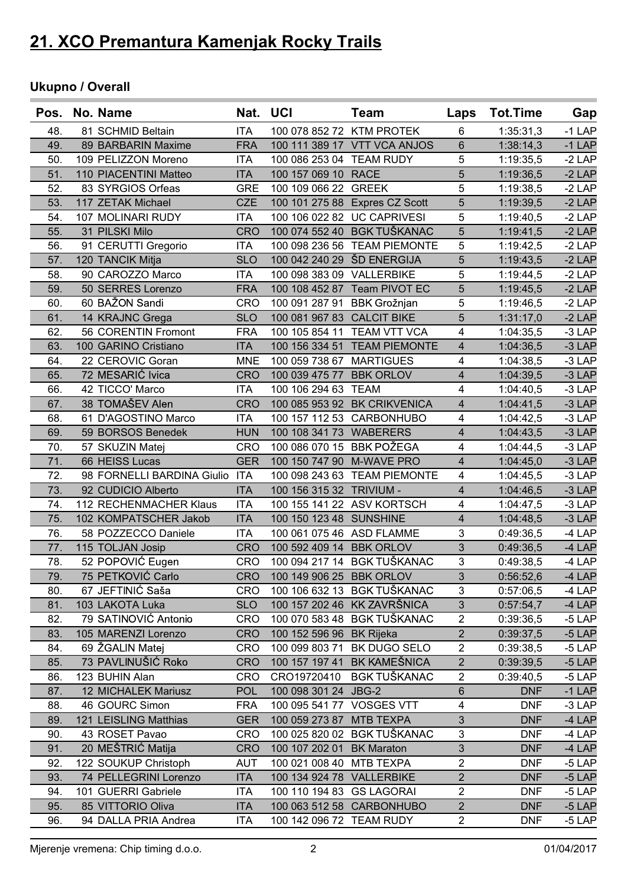### **Ukupno / Overall**

| Pos. | No. Name                       |            | Nat. UCI                     | <b>Team</b>                    | Laps                    | Tot.Time   | Gap      |
|------|--------------------------------|------------|------------------------------|--------------------------------|-------------------------|------------|----------|
| 48.  | 81 SCHMID Beltain              | <b>ITA</b> | 100 078 852 72 KTM PROTEK    |                                | 6                       | 1:35:31,3  | $-1$ LAP |
| 49.  | 89 BARBARIN Maxime             | <b>FRA</b> |                              | 100 111 389 17 VTT VCA ANJOS   | $6\phantom{1}$          | 1:38:14,3  | $-1$ LAP |
| 50.  | 109 PELIZZON Moreno            | <b>ITA</b> | 100 086 253 04 TEAM RUDY     |                                | 5                       | 1:19:35,5  | $-2$ LAP |
| 51.  | 110 PIACENTINI Matteo          | <b>ITA</b> | 100 157 069 10 RACE          |                                | 5                       | 1:19:36,5  | $-2$ LAP |
| 52.  | 83 SYRGIOS Orfeas              | <b>GRE</b> | 100 109 066 22 GREEK         |                                | 5                       | 1:19:38,5  | $-2$ LAP |
| 53.  | 117 ZETAK Michael              | <b>CZE</b> |                              | 100 101 275 88 Expres CZ Scott | 5                       | 1:19:39,5  | $-2$ LAP |
| 54.  | 107 MOLINARI RUDY              | <b>ITA</b> |                              | 100 106 022 82 UC CAPRIVESI    | 5                       | 1:19:40,5  | $-2$ LAP |
| 55.  | 31 PILSKI Milo                 | <b>CRO</b> |                              | 100 074 552 40 BGK TUŠKANAC    | 5                       | 1:19:41,5  | $-2$ LAP |
| 56.  | 91 CERUTTI Gregorio            | <b>ITA</b> |                              | 100 098 236 56 TEAM PIEMONTE   | 5                       | 1:19:42,5  | $-2$ LAP |
| 57.  | 120 TANCIK Mitja               | <b>SLO</b> | 100 042 240 29 ŠD ENERGIJA   |                                | 5                       | 1:19:43,5  | $-2$ LAP |
| 58.  | 90 CAROZZO Marco               | <b>ITA</b> | 100 098 383 09 VALLERBIKE    |                                | 5                       | 1:19:44,5  | $-2$ LAP |
| 59.  | 50 SERRES Lorenzo              | <b>FRA</b> |                              | 100 108 452 87 Team PIVOT EC   | 5                       | 1:19:45,5  | $-2$ LAP |
| 60.  | 60 BAŽON Sandi                 | <b>CRO</b> | 100 091 287 91 BBK Grožnjan  |                                | 5                       | 1:19:46,5  | $-2$ LAP |
| 61.  | 14 KRAJNC Grega                | <b>SLO</b> | 100 081 967 83 CALCIT BIKE   |                                | 5                       | 1:31:17,0  | $-2$ LAP |
| 62.  | 56 CORENTIN Fromont            | <b>FRA</b> |                              | 100 105 854 11 TEAM VTT VCA    | 4                       | 1:04:35,5  | $-3$ LAP |
| 63.  | 100 GARINO Cristiano           | <b>ITA</b> |                              | 100 156 334 51 TEAM PIEMONTE   | $\overline{4}$          | 1:04:36,5  | $-3$ LAP |
| 64.  | 22 CEROVIC Goran               | <b>MNE</b> | 100 059 738 67 MARTIGUES     |                                | $\overline{4}$          | 1:04:38,5  | $-3$ LAP |
| 65.  | 72 MESARIĆ Ivica               | <b>CRO</b> | 100 039 475 77 BBK ORLOV     |                                | $\overline{4}$          | 1:04:39,5  | $-3$ LAP |
| 66.  | 42 TICCO' Marco                | ITA        | 100 106 294 63 TEAM          |                                | 4                       | 1:04:40,5  | $-3$ LAP |
| 67.  | 38 TOMAŠEV Alen                | <b>CRO</b> |                              | 100 085 953 92 BK CRIKVENICA   | $\overline{4}$          | 1:04:41,5  | $-3$ LAP |
| 68.  | 61 D'AGOSTINO Marco            | <b>ITA</b> |                              | 100 157 112 53 CARBONHUBO      | $\overline{4}$          | 1:04:42,5  | $-3$ LAP |
| 69.  | 59 BORSOS Benedek              | <b>HUN</b> | 100 108 341 73 WABERERS      |                                | $\overline{4}$          | 1:04:43,5  | $-3$ LAP |
| 70.  | 57 SKUZIN Matej                | <b>CRO</b> | 100 086 070 15 BBK POŽEGA    |                                | $\overline{4}$          | 1:04:44,5  | $-3$ LAP |
| 71.  | 66 HEISS Lucas                 | <b>GER</b> | 100 150 747 90 M-WAVE PRO    |                                | $\overline{4}$          | 1:04:45,0  | $-3$ LAP |
| 72.  | 98 FORNELLI BARDINA Giulio ITA |            |                              | 100 098 243 63 TEAM PIEMONTE   | $\overline{4}$          | 1:04:45,5  | $-3$ LAP |
| 73.  | 92 CUDICIO Alberto             | <b>ITA</b> | 100 156 315 32 TRIVIUM -     |                                | $\overline{4}$          | 1:04:46,5  | $-3$ LAP |
| 74.  | 112 RECHENMACHER Klaus         | <b>ITA</b> |                              | 100 155 141 22 ASV KORTSCH     | $\overline{4}$          | 1:04:47,5  | $-3$ LAP |
| 75.  | 102 KOMPATSCHER Jakob          | <b>ITA</b> | 100 150 123 48 SUNSHINE      |                                | $\overline{4}$          | 1:04:48,5  | $-3$ LAP |
| 76.  | 58 POZZECCO Daniele            | <b>ITA</b> | 100 061 075 46 ASD FLAMME    |                                | 3                       | 0:49:36,5  | $-4$ LAP |
| 77.  | 115 TOLJAN Josip               | <b>CRO</b> | 100 592 409 14 BBK ORLOV     |                                | 3                       | 0:49:36,5  | $-4$ LAP |
| 78.  | 52 POPOVIĆ Eugen               | <b>CRO</b> |                              | 100 094 217 14 BGK TUŠKANAC    | 3                       | 0:49:38,5  | $-4$ LAP |
| 79.  | 75 PETKOVIĆ Carlo              |            | CRO 100 149 906 25 BBK ORLOV |                                | 3 <sup>1</sup>          | 0:56:52,6  | -4 LAP   |
| 80.  | 67 JEFTINIĆ Saša               | CRO        |                              | 100 106 632 13 BGK TUŠKANAC    | 3                       | 0:57:06,5  | $-4$ LAP |
| 81.  | 103 LAKOTA Luka                | <b>SLO</b> |                              | 100 157 202 46 KK ZAVRŠNICA    | $\mathfrak{S}$          | 0:57:54,7  | $-4$ LAP |
| 82.  | 79 SATINOVIĆ Antonio           | CRO        |                              | 100 070 583 48 BGK TUŠKANAC    | $\overline{2}$          | 0:39:36,5  | $-5$ LAP |
| 83.  | 105 MARENZI Lorenzo            | <b>CRO</b> | 100 152 596 96 BK Rijeka     |                                | $\mathbf{2}$            | 0:39:37,5  | $-5$ LAP |
| 84.  | 69 ŽGALIN Matej                | <b>CRO</b> |                              | 100 099 803 71 BK DUGO SELO    | $\overline{2}$          | 0:39:38,5  | $-5$ LAP |
| 85.  | 73 PAVLINUŠIĆ Roko             | <b>CRO</b> |                              | 100 157 197 41 BK KAMEŠNICA    | $\overline{2}$          | 0:39:39,5  | $-5$ LAP |
| 86.  | 123 BUHIN Alan                 | <b>CRO</b> |                              | CRO19720410 BGK TUŠKANAC       | $\overline{2}$          | 0:39:40,5  | $-5$ LAP |
| 87.  | 12 MICHALEK Mariusz            | <b>POL</b> | 100 098 301 24 JBG-2         |                                | $\,6$                   | <b>DNF</b> | $-1$ LAP |
| 88.  | 46 GOURC Simon                 | <b>FRA</b> | 100 095 541 77 VOSGES VTT    |                                | $\overline{\mathbf{4}}$ | <b>DNF</b> | $-3$ LAP |
| 89.  | 121 LEISLING Matthias          | <b>GER</b> | 100 059 273 87 MTB TEXPA     |                                | 3                       | <b>DNF</b> | -4 LAP   |
| 90.  | 43 ROSET Pavao                 | <b>CRO</b> |                              | 100 025 820 02 BGK TUŠKANAC    | 3                       | <b>DNF</b> | $-4$ LAP |
| 91.  | 20 MEŠTRIĆ Matija              | <b>CRO</b> | 100 107 202 01 BK Maraton    |                                | $\mathfrak{S}$          | <b>DNF</b> | $-4$ LAP |
| 92.  | 122 SOUKUP Christoph           | <b>AUT</b> | 100 021 008 40 MTB TEXPA     |                                | $\overline{2}$          | <b>DNF</b> | $-5$ LAP |
| 93.  | 74 PELLEGRINI Lorenzo          | <b>ITA</b> | 100 134 924 78 VALLERBIKE    |                                | $\overline{2}$          | <b>DNF</b> | $-5$ LAP |
| 94.  | 101 GUERRI Gabriele            | <b>ITA</b> | 100 110 194 83 GS LAGORAI    |                                | $\overline{2}$          | <b>DNF</b> | $-5$ LAP |
| 95.  | 85 VITTORIO Oliva              | <b>ITA</b> |                              | 100 063 512 58 CARBONHUBO      | $\overline{2}$          | <b>DNF</b> | $-5$ LAP |
|      |                                |            |                              |                                |                         |            |          |
| 96.  | 94 DALLA PRIA Andrea           | <b>ITA</b> | 100 142 096 72 TEAM RUDY     |                                | $\overline{2}$          | <b>DNF</b> | $-5$ LAP |

Mjerenje vremena: Chip timing d.o.o. 2 01/04/2017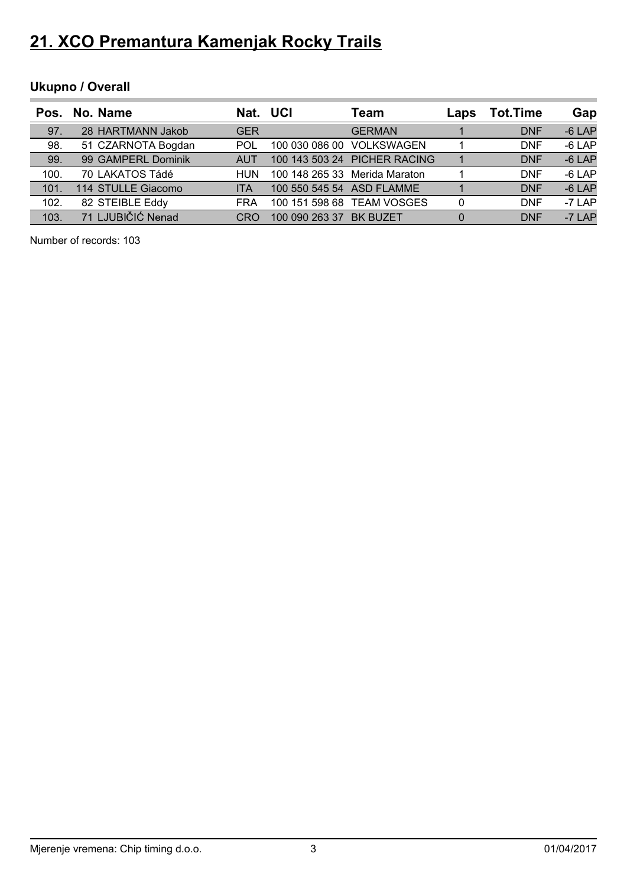### **Ukupno / Overall**

| Pos. | No. Name           | Nat. UCI   |                           | Team                          | Laps     | <b>Tot.Time</b> | Gap      |
|------|--------------------|------------|---------------------------|-------------------------------|----------|-----------------|----------|
| 97.  | 28 HARTMANN Jakob  | <b>GER</b> |                           | <b>GERMAN</b>                 |          | <b>DNF</b>      | $-6$ LAP |
| 98.  | 51 CZARNOTA Bogdan | <b>POL</b> |                           | 100 030 086 00 VOLKSWAGEN     |          | <b>DNF</b>      | $-6$ LAP |
| 99.  | 99 GAMPERL Dominik | <b>AUT</b> |                           | 100 143 503 24 PICHER RACING  |          | <b>DNF</b>      | $-6$ LAP |
| 100. | 70 LAKATOS Tádé    | HUN        |                           | 100 148 265 33 Merida Maraton |          | <b>DNF</b>      | $-6$ LAP |
| 101. | 114 STULLE Giacomo | <b>ITA</b> | 100 550 545 54 ASD FLAMME |                               |          | <b>DNF</b>      | $-6$ LAP |
| 102. | 82 STEIBLE Eddy    | <b>FRA</b> |                           | 100 151 598 68 TEAM VOSGES    | 0        | <b>DNF</b>      | $-7$ LAP |
| 103. | 71 LJUBIČIĆ Nenad  | CRO        | 100 090 263 37            | <b>BK BUZET</b>               | $\Omega$ | <b>DNF</b>      | $-7$ LAP |

Number of records: 103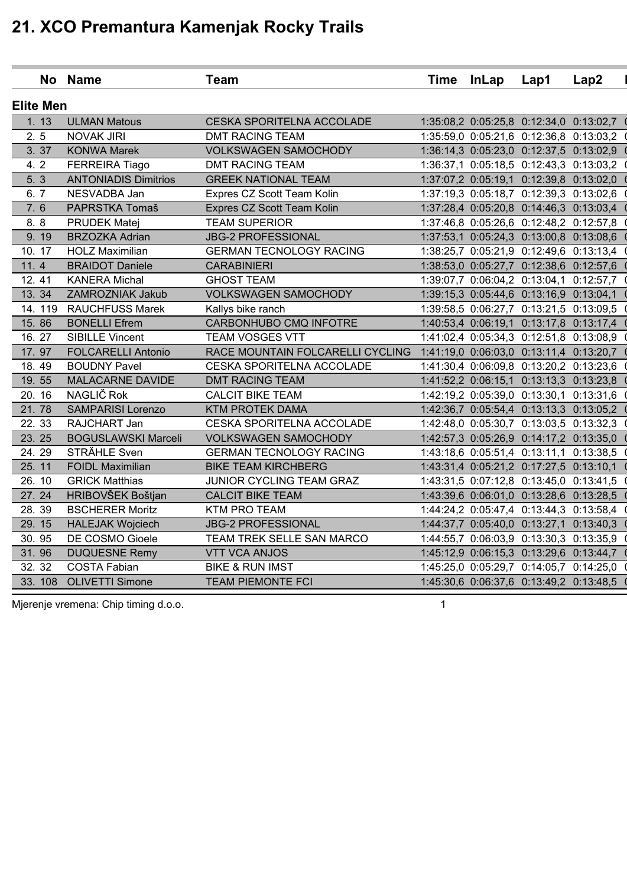|                  | No Name                                                                                | <b>Team</b>                      |  | Time InLap | Lap1                                    | Lap2                                    |  |  |
|------------------|----------------------------------------------------------------------------------------|----------------------------------|--|------------|-----------------------------------------|-----------------------------------------|--|--|
| <b>Elite Men</b> |                                                                                        |                                  |  |            |                                         |                                         |  |  |
| 1.13             | <b>ULMAN Matous</b>                                                                    | CESKA SPORITELNA ACCOLADE        |  |            |                                         | 1:35:08,2 0:05:25,8 0:12:34,0 0:13:02,7 |  |  |
| 2.5              | <b>NOVAK JIRI</b><br><b>DMT RACING TEAM</b><br>1:35:59,0 0:05:21,6 0:12:36,8 0:13:03,2 |                                  |  |            |                                         |                                         |  |  |
| 3.37             | <b>KONWA Marek</b>                                                                     | <b>VOLKSWAGEN SAMOCHODY</b>      |  |            | 1:36:14,3 0:05:23,0 0:12:37,5 0:13:02,9 |                                         |  |  |
| 4.2              | FERREIRA Tiago                                                                         | <b>DMT RACING TEAM</b>           |  |            | 1:36:37,1 0:05:18,5 0:12:43,3 0:13:03,2 |                                         |  |  |
| 5. 3             | <b>ANTONIADIS Dimitrios</b>                                                            | <b>GREEK NATIONAL TEAM</b>       |  |            | 1:37:07,2 0:05:19,1 0:12:39,8 0:13:02,0 |                                         |  |  |
| 6.7              | NESVADBA Jan                                                                           | Expres CZ Scott Team Kolin       |  |            | 1:37:19,3 0:05:18,7 0:12:39,3 0:13:02,6 |                                         |  |  |
| 7.6              | PAPRSTKA Tomaš                                                                         | Expres CZ Scott Team Kolin       |  |            | 1:37:28,4 0:05:20,8 0:14:46,3 0:13:03,4 |                                         |  |  |
| 8.8              | PRUDEK Matej                                                                           | <b>TEAM SUPERIOR</b>             |  |            | 1:37:46,8 0:05:26,6 0:12:48,2 0:12:57,8 |                                         |  |  |
| 9.19             | <b>BRZOZKA Adrian</b>                                                                  | <b>JBG-2 PROFESSIONAL</b>        |  |            | 1:37:53,1 0:05:24,3 0:13:00,8 0:13:08,6 |                                         |  |  |
| 10.17            | <b>HOLZ Maximilian</b>                                                                 | <b>GERMAN TECNOLOGY RACING</b>   |  |            | 1:38:25,7 0:05:21,9 0:12:49,6 0:13:13,4 |                                         |  |  |
| 11.4             | <b>BRAIDOT Daniele</b>                                                                 | <b>CARABINIERI</b>               |  |            | 1:38:53,0 0:05:27,7 0:12:38,6 0:12:57,6 |                                         |  |  |
| 12.41            | <b>KANERA Michal</b>                                                                   | <b>GHOST TEAM</b>                |  |            | 1:39:07,7 0:06:04,2 0:13:04,1 0:12:57,7 |                                         |  |  |
| 13.34            | ZAMROZNIAK Jakub                                                                       | <b>VOLKSWAGEN SAMOCHODY</b>      |  |            | 1:39:15,3 0:05:44,6 0:13:16,9 0:13:04,1 |                                         |  |  |
| 14.119           | <b>RAUCHFUSS Marek</b>                                                                 | Kallys bike ranch                |  |            | 1:39:58,5 0:06:27,7 0:13:21,5 0:13:09,5 |                                         |  |  |
| 15.86            | <b>BONELLI Efrem</b>                                                                   | CARBONHUBO CMQ INFOTRE           |  |            | 1:40:53,4 0:06:19,1 0:13:17,8 0:13:17,4 |                                         |  |  |
| 16.27            | <b>SIBILLE Vincent</b>                                                                 | <b>TEAM VOSGES VTT</b>           |  |            | 1:41:02,4 0:05:34,3 0:12:51,8 0:13:08,9 |                                         |  |  |
| 17.97            | <b>FOLCARELLI Antonio</b>                                                              | RACE MOUNTAIN FOLCARELLI CYCLING |  |            | 1:41:19,0 0:06:03,0 0:13:11,4 0:13:20,7 |                                         |  |  |
| 18.49            | <b>BOUDNY Pavel</b>                                                                    | CESKA SPORITELNA ACCOLADE        |  |            | 1:41:30,4 0:06:09,8 0:13:20,2 0:13:23,6 |                                         |  |  |
| 19.55            | <b>MALACARNE DAVIDE</b>                                                                | <b>DMT RACING TEAM</b>           |  |            | 1:41:52,2 0:06:15,1 0:13:13,3 0:13:23,8 |                                         |  |  |
| 20.16            | NAGLIČ Rok                                                                             | <b>CALCIT BIKE TEAM</b>          |  |            | 1:42:19,2 0:05:39,0 0:13:30,1 0:13:31,6 |                                         |  |  |
| 21.78            | <b>SAMPARISI Lorenzo</b>                                                               | <b>KTM PROTEK DAMA</b>           |  |            | 1:42:36,7 0:05:54,4 0:13:13,3 0:13:05,2 |                                         |  |  |
| 22.33            | RAJCHART Jan                                                                           | CESKA SPORITELNA ACCOLADE        |  |            | 1:42:48,0 0:05:30,7 0:13:03,5 0:13:32,3 |                                         |  |  |
| 23.25            | <b>BOGUSLAWSKI Marceli</b>                                                             | <b>VOLKSWAGEN SAMOCHODY</b>      |  |            | 1:42:57,3 0:05:26,9 0:14:17,2 0:13:35,0 |                                         |  |  |
| 24.29            | STRÄHLE Sven                                                                           | <b>GERMAN TECNOLOGY RACING</b>   |  |            | 1:43:18,6 0:05:51,4 0:13:11,1 0:13:38,5 |                                         |  |  |
| 25.11            | <b>FOIDL Maximilian</b>                                                                | <b>BIKE TEAM KIRCHBERG</b>       |  |            | 1:43:31,4 0:05:21,2 0:17:27,5 0:13:10,1 |                                         |  |  |
| 26.10            | <b>GRICK Matthias</b>                                                                  | JUNIOR CYCLING TEAM GRAZ         |  |            | 1:43:31,5 0:07:12,8 0:13:45,0 0:13:41,5 |                                         |  |  |
| 27.24            | HRIBOVŠEK Boštjan                                                                      | <b>CALCIT BIKE TEAM</b>          |  |            | 1:43:39,6 0:06:01,0 0:13:28,6 0:13:28,5 |                                         |  |  |
| 28.39            | <b>BSCHERER Moritz</b>                                                                 | <b>KTM PRO TEAM</b>              |  |            | 1:44:24,2 0:05:47,4 0:13:44,3 0:13:58,4 |                                         |  |  |
| 29.15            | <b>HALEJAK Wojciech</b>                                                                | <b>JBG-2 PROFESSIONAL</b>        |  |            | 1:44:37,7 0:05:40,0 0:13:27,1 0:13:40,3 |                                         |  |  |
| 30.95            | DE COSMO Gioele                                                                        | TEAM TREK SELLE SAN MARCO        |  |            | 1:44:55,7 0:06:03,9 0:13:30,3 0:13:35,9 |                                         |  |  |
| 31.96            | <b>DUQUESNE Remy</b>                                                                   | <b>VTT VCA ANJOS</b>             |  |            |                                         | 1:45:12,9 0:06:15,3 0:13:29,6 0:13:44,7 |  |  |
| 32. 32           | <b>COSTA Fabian</b>                                                                    | <b>BIKE &amp; RUN IMST</b>       |  |            | 1:45:25,0 0:05:29,7 0:14:05,7 0:14:25,0 |                                         |  |  |
| 33.108           | <b>OLIVETTI Simone</b>                                                                 | <b>TEAM PIEMONTE FCI</b>         |  |            | 1:45:30,6 0:06:37,6 0:13:49,2 0:13:48,5 |                                         |  |  |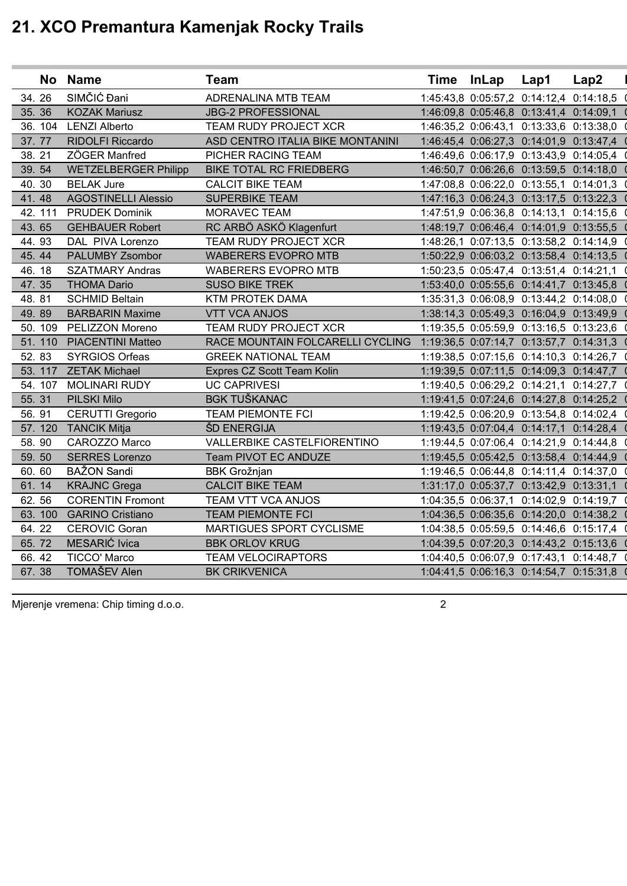|         | No Name                     | <b>Team</b>                                                              | <b>Time</b> | <b>InLap</b> | Lap1                                    | Lap2                                    |
|---------|-----------------------------|--------------------------------------------------------------------------|-------------|--------------|-----------------------------------------|-----------------------------------------|
| 34.26   | SIMČIĆ Đani                 | ADRENALINA MTB TEAM                                                      |             |              | 1:45:43,8 0:05:57,2 0:14:12,4 0:14:18,5 |                                         |
| 35.36   | <b>KOZAK Mariusz</b>        | <b>JBG-2 PROFESSIONAL</b>                                                |             |              | 1:46:09,8 0:05:46,8 0:13:41,4 0:14:09,1 |                                         |
| 36.104  | <b>LENZI Alberto</b>        | TEAM RUDY PROJECT XCR                                                    |             |              | 1:46:35,2 0:06:43,1 0:13:33,6 0:13:38,0 |                                         |
| 37.77   | <b>RIDOLFI Riccardo</b>     | ASD CENTRO ITALIA BIKE MONTANINI                                         |             |              | 1:46:45,4 0:06:27,3 0:14:01,9 0:13:47,4 |                                         |
| 38.21   | ZÖGER Manfred               | PICHER RACING TEAM                                                       |             |              | 1:46:49,6 0:06:17,9 0:13:43,9 0:14:05,4 |                                         |
| 39.54   | <b>WETZELBERGER Philipp</b> | <b>BIKE TOTAL RC FRIEDBERG</b>                                           |             |              | 1:46:50,7 0:06:26,6 0:13:59,5 0:14:18,0 |                                         |
| 40.30   | <b>BELAK Jure</b>           | <b>CALCIT BIKE TEAM</b>                                                  |             |              | 1:47:08,8 0:06:22,0 0:13:55,1 0:14:01,3 |                                         |
| 41.48   | <b>AGOSTINELLI Alessio</b>  | <b>SUPERBIKE TEAM</b>                                                    |             |              | 1:47:16,3 0:06:24,3 0:13:17,5 0:13:22,3 |                                         |
| 42. 111 | <b>PRUDEK Dominik</b>       | MORAVEC TEAM                                                             |             |              | 1:47:51,9 0:06:36,8 0:14:13,1 0:14:15,6 |                                         |
| 43.65   | <b>GEHBAUER Robert</b>      | RC ARBÖ ASKÖ Klagenfurt                                                  |             |              | 1:48:19,7 0:06:46,4 0:14:01,9 0:13:55,5 |                                         |
| 44.93   | DAL PIVA Lorenzo            | TEAM RUDY PROJECT XCR                                                    |             |              | 1:48:26,1 0:07:13,5 0:13:58,2 0:14:14,9 |                                         |
| 45.44   | PALUMBY Zsombor             | <b>WABERERS EVOPRO MTB</b>                                               |             |              | 1:50:22,9 0:06:03,2 0:13:58,4 0:14:13,5 |                                         |
| 46.18   | <b>SZATMARY Andras</b>      | <b>WABERERS EVOPRO MTB</b>                                               |             |              | 1:50:23,5 0:05:47,4 0:13:51,4 0:14:21,1 |                                         |
| 47.35   | <b>THOMA Dario</b>          | <b>SUSO BIKE TREK</b>                                                    |             |              | 1:53:40,0 0:05:55,6 0:14:41,7 0:13:45,8 |                                         |
| 48.81   | <b>SCHMID Beltain</b>       | <b>KTM PROTEK DAMA</b>                                                   |             |              | 1:35:31,3 0:06:08,9 0:13:44,2 0:14:08,0 |                                         |
| 49.89   | <b>BARBARIN Maxime</b>      | <b>VTT VCA ANJOS</b>                                                     |             |              | 1:38:14,3 0:05:49,3 0:16:04,9 0:13:49,9 |                                         |
| 50.109  | PELIZZON Moreno             | TEAM RUDY PROJECT XCR                                                    |             |              | 1:19:35,5 0:05:59,9 0:13:16,5 0:13:23,6 |                                         |
| 51.110  | <b>PIACENTINI Matteo</b>    | RACE MOUNTAIN FOLCARELLI CYCLING 1:19:36,5 0:07:14,7 0:13:57,7 0:14:31,3 |             |              |                                         |                                         |
| 52.83   | <b>SYRGIOS Orfeas</b>       | <b>GREEK NATIONAL TEAM</b>                                               |             |              | 1:19:38,5 0:07:15,6 0:14:10,3 0:14:26,7 |                                         |
| 53.117  | <b>ZETAK Michael</b>        | Expres CZ Scott Team Kolin                                               |             |              | 1:19:39,5 0:07:11,5 0:14:09,3 0:14:47,7 |                                         |
| 54. 107 | <b>MOLINARI RUDY</b>        | <b>UC CAPRIVESI</b>                                                      |             |              | 1:19:40,5 0:06:29,2 0:14:21,1 0:14:27,7 |                                         |
| 55.31   | PILSKI Milo                 | <b>BGK TUŠKANAC</b>                                                      |             |              | 1:19:41,5 0:07:24,6 0:14:27,8 0:14:25,2 |                                         |
| 56.91   | <b>CERUTTI Gregorio</b>     | <b>TEAM PIEMONTE FCI</b>                                                 |             |              | 1:19:42,5 0:06:20,9 0:13:54,8 0:14:02,4 |                                         |
| 57.120  | <b>TANCIK Mitja</b>         | ŠD ENERGIJA                                                              |             |              | 1:19:43,5 0:07:04,4 0:14:17,1 0:14:28,4 |                                         |
| 58.90   | CAROZZO Marco               | VALLERBIKE CASTELFIORENTINO                                              |             |              | 1:19:44,5 0:07:06,4 0:14:21,9 0:14:44,8 |                                         |
| 59.50   | <b>SERRES Lorenzo</b>       | Team PIVOT EC ANDUZE                                                     |             |              | 1:19:45,5 0:05:42,5 0:13:58,4 0:14:44,9 |                                         |
| 60.60   | <b>BAŽON Sandi</b>          | <b>BBK Grožnjan</b>                                                      |             |              | 1:19:46,5 0:06:44,8 0:14:11,4 0:14:37,0 |                                         |
| 61.14   | <b>KRAJNC Grega</b>         | <b>CALCIT BIKE TEAM</b>                                                  |             |              | 1:31:17,0 0:05:37,7 0:13:42,9 0:13:31,1 |                                         |
| 62.56   | <b>CORENTIN Fromont</b>     | TEAM VTT VCA ANJOS                                                       |             |              | 1:04:35,5 0:06:37,1 0:14:02,9 0:14:19,7 |                                         |
| 63.100  | <b>GARINO Cristiano</b>     | <b>TEAM PIEMONTE FCI</b>                                                 |             |              | 1:04:36,5 0:06:35,6 0:14:20,0 0:14:38,2 |                                         |
| 64.22   | <b>CEROVIC Goran</b>        | MARTIGUES SPORT CYCLISME                                                 |             |              | 1:04:38,5 0:05:59,5 0:14:46,6 0:15:17,4 |                                         |
| 65.72   | MESARIĆ Ivica               | <b>BBK ORLOV KRUG</b>                                                    |             |              |                                         | 1:04:39,5 0:07:20,3 0:14:43,2 0:15:13,6 |
| 66.42   | <b>TICCO' Marco</b>         | <b>TEAM VELOCIRAPTORS</b>                                                |             |              |                                         | 1:04:40,5 0:06:07,9 0:17:43,1 0:14:48,7 |
| 67.38   | TOMAŠEV Alen                | <b>BK CRIKVENICA</b>                                                     |             |              | 1:04:41,5 0:06:16,3 0:14:54,7 0:15:31,8 |                                         |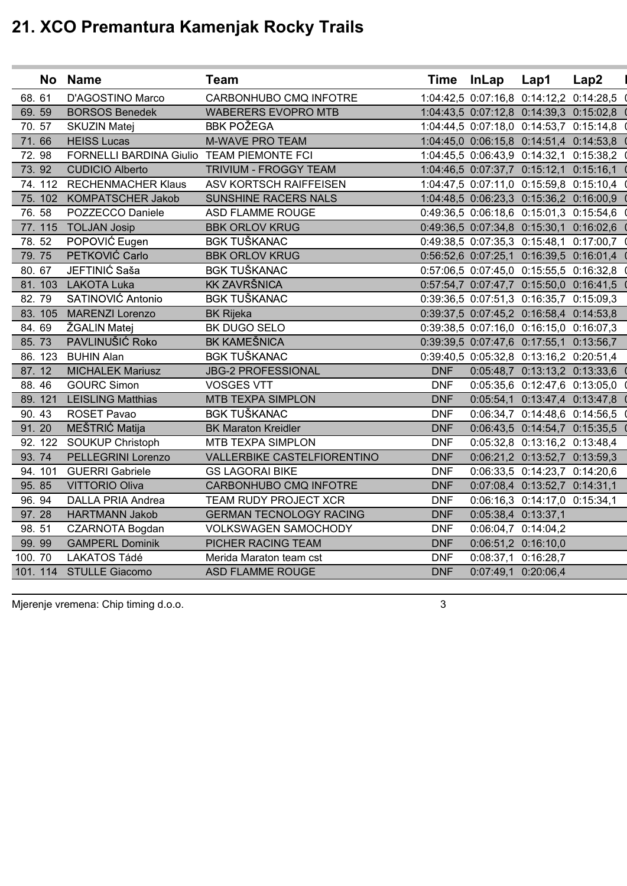|        |         | No Name                                   | <b>Team</b>                        |            | Time InLap | Lap1                                    | Lap2 |
|--------|---------|-------------------------------------------|------------------------------------|------------|------------|-----------------------------------------|------|
| 68.61  |         | D'AGOSTINO Marco                          | CARBONHUBO CMQ INFOTRE             |            |            | 1:04:42,5 0:07:16,8 0:14:12,2 0:14:28,5 |      |
|        | 69.59   | <b>BORSOS Benedek</b>                     | <b>WABERERS EVOPRO MTB</b>         |            |            | 1:04:43,5 0:07:12,8 0:14:39,3 0:15:02,8 |      |
|        | 70.57   | <b>SKUZIN Matej</b>                       | <b>BBK POŽEGA</b>                  |            |            | 1:04:44,5 0:07:18,0 0:14:53,7 0:15:14,8 |      |
|        | 71.66   | <b>HEISS Lucas</b>                        | <b>M-WAVE PRO TEAM</b>             |            |            | 1:04:45,0 0:06:15,8 0:14:51,4 0:14:53,8 |      |
|        | 72.98   | FORNELLI BARDINA Giulio TEAM PIEMONTE FCI |                                    |            |            | 1:04:45,5 0:06:43,9 0:14:32,1 0:15:38,2 |      |
|        | 73.92   | <b>CUDICIO Alberto</b>                    | TRIVIUM - FROGGY TEAM              |            |            | 1:04:46,5 0:07:37,7 0:15:12,1 0:15:16,1 |      |
|        | 74.112  | <b>RECHENMACHER Klaus</b>                 | ASV KORTSCH RAIFFEISEN             |            |            | 1:04:47,5 0:07:11,0 0:15:59,8 0:15:10,4 |      |
|        |         | 75. 102 KOMPATSCHER Jakob                 | SUNSHINE RACERS NALS               |            |            | 1:04:48,5 0:06:23,3 0:15:36,2 0:16:00,9 |      |
|        | 76.58   | POZZECCO Daniele                          | <b>ASD FLAMME ROUGE</b>            |            |            | 0:49:36,5 0:06:18,6 0:15:01,3 0:15:54,6 |      |
|        | 77.115  | <b>TOLJAN Josip</b>                       | <b>BBK ORLOV KRUG</b>              |            |            | 0:49:36,5 0:07:34,8 0:15:30,1 0:16:02,6 |      |
|        | 78.52   | POPOVIĆ Eugen                             | <b>BGK TUŠKANAC</b>                |            |            | 0:49:38,5 0:07:35,3 0:15:48,1 0:17:00,7 |      |
|        | 79.75   | PETKOVIĆ Carlo                            | <b>BBK ORLOV KRUG</b>              |            |            | 0:56:52,6 0:07:25,1 0:16:39,5 0:16:01,4 |      |
|        | 80.67   | JEFTINIĆ Saša                             | <b>BGK TUŠKANAC</b>                |            |            | 0:57:06,5 0:07:45,0 0:15:55,5 0:16:32,8 |      |
|        |         | 81. 103 LAKOTA Luka                       | <b>KK ZAVRŠNICA</b>                |            |            | 0:57:54,7 0:07:47,7 0:15:50,0 0:16:41,5 |      |
|        | 82.79   | SATINOVIĆ Antonio                         | <b>BGK TUŠKANAC</b>                |            |            | 0:39:36,5 0:07:51,3 0:16:35,7 0:15:09,3 |      |
|        | 83. 105 | <b>MARENZI Lorenzo</b>                    | <b>BK Rijeka</b>                   |            |            | 0:39:37,5 0:07:45,2 0:16:58,4 0:14:53,8 |      |
|        | 84.69   | ŽGALIN Matej                              | BK DUGO SELO                       |            |            | 0:39:38,5 0:07:16,0 0:16:15,0 0:16:07,3 |      |
|        | 85.73   | PAVLINUŠIĆ Roko                           | <b>BK KAMEŠNICA</b>                |            |            | 0:39:39,5 0:07:47,6 0:17:55,1 0:13:56,7 |      |
|        | 86. 123 | <b>BUHIN Alan</b>                         | <b>BGK TUŠKANAC</b>                |            |            | 0:39:40,5 0:05:32,8 0:13:16,2 0:20:51,4 |      |
|        | 87.12   | <b>MICHALEK Mariusz</b>                   | <b>JBG-2 PROFESSIONAL</b>          | <b>DNF</b> |            | 0:05:48,7 0:13:13,2 0:13:33,6           |      |
|        | 88.46   | <b>GOURC Simon</b>                        | <b>VOSGES VTT</b>                  | <b>DNF</b> |            | 0:05:35,6 0:12:47,6 0:13:05,0           |      |
|        | 89. 121 | <b>LEISLING Matthias</b>                  | <b>MTB TEXPA SIMPLON</b>           | <b>DNF</b> |            | 0:05:54,1 0:13:47,4 0:13:47,8           |      |
|        | 90.43   | <b>ROSET Pavao</b>                        | <b>BGK TUŠKANAC</b>                | <b>DNF</b> |            | 0:06:34,7 0:14:48,6 0:14:56,5           |      |
|        | 91.20   | MEŠTRIĆ Matija                            | <b>BK Maraton Kreidler</b>         | <b>DNF</b> |            | 0:06:43,5 0:14:54,7 0:15:35,5           |      |
|        | 92. 122 | <b>SOUKUP Christoph</b>                   | <b>MTB TEXPA SIMPLON</b>           | <b>DNF</b> |            | 0:05:32,8 0:13:16,2 0:13:48,4           |      |
|        | 93.74   | PELLEGRINI Lorenzo                        | <b>VALLERBIKE CASTELFIORENTINO</b> | <b>DNF</b> |            | 0:06:21,2 0:13:52,7 0:13:59,3           |      |
|        | 94. 101 | <b>GUERRI Gabriele</b>                    | <b>GS LAGORAI BIKE</b>             | <b>DNF</b> |            | 0:06:33,5 0:14:23,7 0:14:20,6           |      |
|        | 95.85   | <b>VITTORIO Oliva</b>                     | CARBONHUBO CMQ INFOTRE             | <b>DNF</b> |            | 0:07:08,4 0:13:52,7 0:14:31,1           |      |
|        | 96.94   | DALLA PRIA Andrea                         | TEAM RUDY PROJECT XCR              | <b>DNF</b> |            | 0:06:16,3 0:14:17,0 0:15:34,1           |      |
|        | 97.28   | <b>HARTMANN Jakob</b>                     | <b>GERMAN TECNOLOGY RACING</b>     | <b>DNF</b> |            | 0:05:38,4 0:13:37,1                     |      |
|        | 98.51   | <b>CZARNOTA Bogdan</b>                    | <b>VOLKSWAGEN SAMOCHODY</b>        | <b>DNF</b> |            | 0:06:04,7 0:14:04,2                     |      |
|        | 99.99   | <b>GAMPERL Dominik</b>                    | PICHER RACING TEAM                 | <b>DNF</b> |            | 0:06:51,2 0:16:10,0                     |      |
| 100.70 |         | LAKATOS Tádé                              | Merida Maraton team cst            | <b>DNF</b> |            | 0:08:37,1 0:16:28,7                     |      |
|        |         | 101. 114 STULLE Giacomo                   | <b>ASD FLAMME ROUGE</b>            | <b>DNF</b> |            | 0:07:49,1 0:20:06,4                     |      |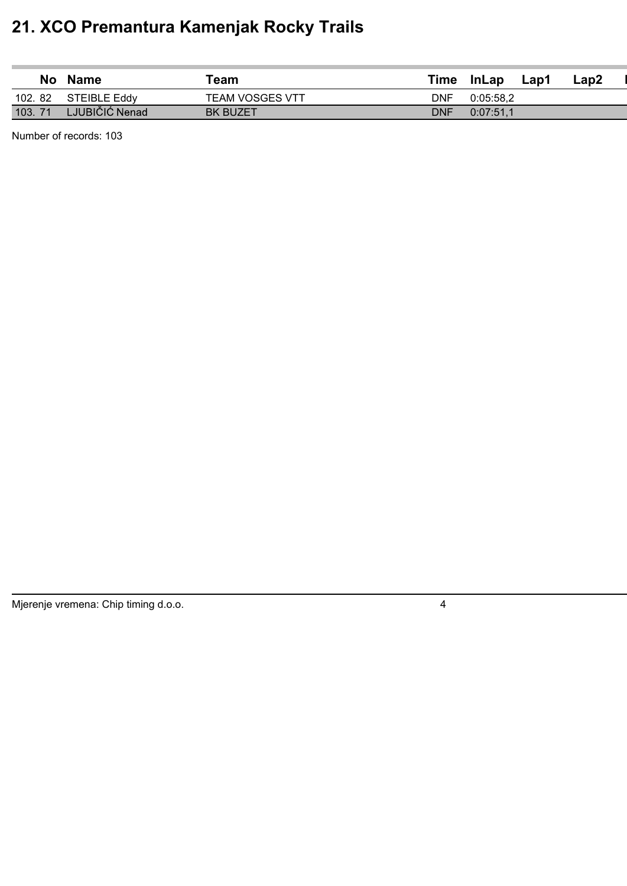| No     | <b>Name</b>         | ™eam                   | Time | <b>InLap</b> | Lap1 | Lap2 |  |
|--------|---------------------|------------------------|------|--------------|------|------|--|
| 102.82 | <b>STEIBLE Eddy</b> | <b>TEAM VOSGES VTT</b> | DNF  | 0:05:58.2    |      |      |  |
| 103.71 | LJUBIČIĆ Nenad      | <b>BK BUZET</b>        | DNF  | 0:07:51.1    |      |      |  |

Number of records: 103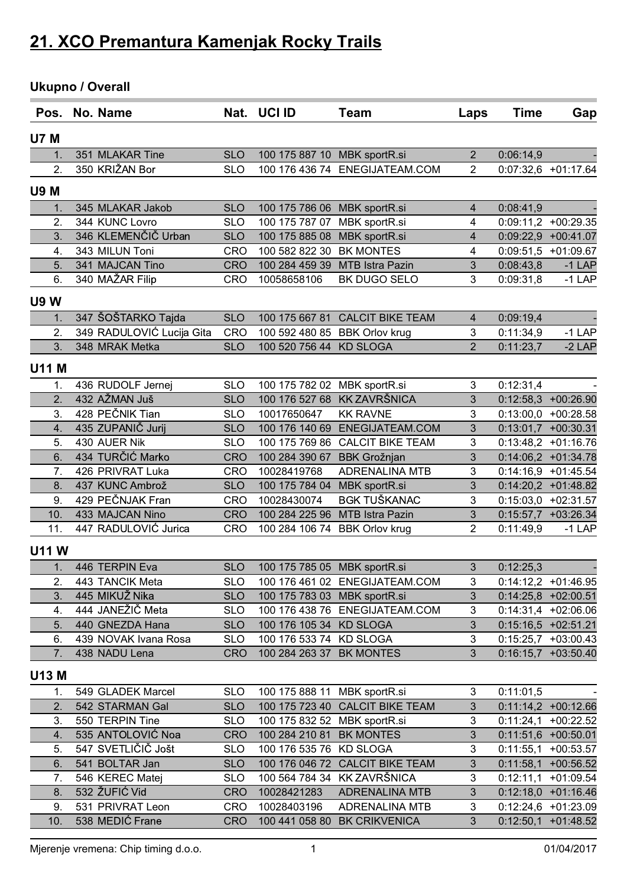### **Ukupno / Overall**

| Pos.             | No. Name                  |            | Nat. UCI ID                  | Team                            | Laps           | <b>Time</b> | Gap                   |
|------------------|---------------------------|------------|------------------------------|---------------------------------|----------------|-------------|-----------------------|
| <b>U7 M</b>      |                           |            |                              |                                 |                |             |                       |
| 1.               | 351 MLAKAR Tine           | <b>SLO</b> | 100 175 887 10 MBK sportR.si |                                 | $\overline{2}$ | 0:06:14,9   |                       |
| 2.               | 350 KRIŽAN Bor            | <b>SLO</b> | 100 176 436 74               | ENEGIJATEAM.COM                 | $\overline{2}$ |             | 0:07:32,6 +01:17.64   |
| <b>U9 M</b>      |                           |            |                              |                                 |                |             |                       |
| 1.               | 345 MLAKAR Jakob          | <b>SLO</b> | 100 175 786 06               | MBK sportR.si                   | 4              | 0:08:41,9   |                       |
| 2.               | 344 KUNC Lovro            | <b>SLO</b> | 100 175 787 07               | MBK sportR.si                   | 4              | 0:09:11,2   | $+00:29.35$           |
| 3.               | 346 KLEMENČIČ Urban       | <b>SLO</b> | 100 175 885 08               | MBK sportR.si                   | 4              |             | $0:09:22,9$ +00:41.07 |
| 4.               | 343 MILUN Toni            | <b>CRO</b> | 100 582 822 30               | <b>BK MONTES</b>                | 4              |             | $0:09:51,5$ +01:09.67 |
| 5.               | 341 MAJCAN Tino           | <b>CRO</b> | 100 284 459 39               | <b>MTB Istra Pazin</b>          | 3              | 0:08:43,8   | $-1$ LAP              |
| 6.               | 340 MAŽAR Filip           | <b>CRO</b> | 10058658106                  | BK DUGO SELO                    | 3              | 0:09:31,8   | $-1$ LAP              |
| <b>U9W</b>       |                           |            |                              |                                 |                |             |                       |
| 1.               | 347 ŠOŠTARKO Tajda        | <b>SLO</b> | 100 175 667 81               | <b>CALCIT BIKE TEAM</b>         | 4              | 0:09:19,4   |                       |
| 2.               | 349 RADULOVIĆ Lucija Gita | <b>CRO</b> | 100 592 480 85               | <b>BBK Orlov krug</b>           | 3              | 0:11:34,9   | $-1$ LAP              |
| 3.               | 348 MRAK Metka            | <b>SLO</b> | 100 520 756 44               | <b>KD SLOGA</b>                 | $\overline{2}$ | 0:11:23,7   | $-2$ LAP              |
| <b>U11 M</b>     |                           |            |                              |                                 |                |             |                       |
| 1.               | 436 RUDOLF Jernej         | <b>SLO</b> | 100 175 782 02               | MBK sportR.si                   | 3              | 0:12:31,4   |                       |
| $\overline{2}$ . | 432 AŽMAN Juš             | <b>SLO</b> | 100 176 527 68               | <b>KK ZAVRŠNICA</b>             | 3              |             | $0:12:58,3$ +00:26.90 |
| 3.               | 428 PEČNIK Tian           | <b>SLO</b> | 10017650647                  | <b>KK RAVNE</b>                 | 3              |             | $0:13:00,0$ +00:28.58 |
| 4.               | 435 ZUPANIČ Jurij         | <b>SLO</b> | 100 176 140 69               | ENEGIJATEAM.COM                 | 3              |             | $0:13:01,7$ +00:30.31 |
| 5.               | 430 AUER Nik              | <b>SLO</b> | 100 175 769 86               | <b>CALCIT BIKE TEAM</b>         | 3              |             | $0:13:48,2$ +01:16.76 |
| 6.               | 434 TURČIĆ Marko          | <b>CRO</b> | 100 284 390 67               | <b>BBK Grožnjan</b>             | 3              |             | $0:14:06,2$ +01:34.78 |
| 7.               | 426 PRIVRAT Luka          | <b>CRO</b> | 10028419768                  | <b>ADRENALINA MTB</b>           | 3              |             | $0:14:16,9$ +01:45.54 |
| 8.               | 437 KUNC Ambrož           | <b>SLO</b> | 100 175 784 04               | MBK sportR.si                   | 3              |             | $0:14:20,2$ +01:48.82 |
| 9.               | 429 PEČNJAK Fran          | <b>CRO</b> | 10028430074                  | <b>BGK TUŠKANAC</b>             | 3              | 0:15:03,0   | $+02:31.57$           |
| 10.              | 433 MAJCAN Nino           | <b>CRO</b> | 100 284 225 96               | <b>MTB Istra Pazin</b>          | 3              |             | $0:15:57,7$ +03:26.34 |
| 11.              | 447 RADULOVIĆ Jurica      | <b>CRO</b> | 100 284 106 74               | <b>BBK Orlov krug</b>           | $\overline{2}$ | 0:11:49,9   | $-1$ LAP              |
| <b>U11W</b>      |                           |            |                              |                                 |                |             |                       |
| 1.               | 446 TERPIN Eva            | <b>SLO</b> | 100 175 785 05 MBK sportR.si |                                 | 3              | 0:12:25,3   |                       |
| 2.               | 443 TANCIK Meta           | <b>SLO</b> |                              | 100 176 461 02 ENEGIJATEAM.COM  | 3              |             | $0:14:12,2$ +01:46.95 |
| 3.               | 445 MIKUŽ Nika            | <b>SLO</b> | 100 175 783 03 MBK sportR.si |                                 | 3              |             | $0:14:25,8$ +02:00.51 |
| 4.               | 444 JANEŽIČ Meta          | <b>SLO</b> |                              | 100 176 438 76 ENEGIJATEAM.COM  | 3              |             | $0:14:31,4$ +02:06.06 |
| 5.               | 440 GNEZDA Hana           | <b>SLO</b> | 100 176 105 34 KD SLOGA      |                                 | $\mathfrak{S}$ |             | $0:15:16,5$ +02:51.21 |
| 6.               | 439 NOVAK Ivana Rosa      | <b>SLO</b> | 100 176 533 74 KD SLOGA      |                                 | 3              |             | $0:15:25,7$ +03:00.43 |
| 7.               | 438 NADU Lena             | <b>CRO</b> | 100 284 263 37 BK MONTES     |                                 | 3              |             | $0:16:15,7$ +03:50.40 |
| U13 M            |                           |            |                              |                                 |                |             |                       |
| 1.               | 549 GLADEK Marcel         | <b>SLO</b> | 100 175 888 11 MBK sportR.si |                                 | 3              | 0:11:01,5   |                       |
| 2.               | 542 STARMAN Gal           | <b>SLO</b> | 100 175 723 40               | <b>CALCIT BIKE TEAM</b>         | 3              |             | $0:11:14,2$ +00:12.66 |
| 3.               | 550 TERPIN Tine           | <b>SLO</b> | 100 175 832 52               | MBK sportR.si                   | 3              | 0:11:24,1   | $+00:22.52$           |
| 4.               | 535 ANTOLOVIĆ Noa         | <b>CRO</b> | 100 284 210 81 BK MONTES     |                                 | 3              |             | $0:11:51,6$ +00:50.01 |
| 5.               | 547 SVETLIČIČ Jošt        | <b>SLO</b> | 100 176 535 76 KD SLOGA      |                                 | 3              |             | $0:11:55,1$ +00:53.57 |
| 6.               | 541 BOLTAR Jan            | <b>SLO</b> |                              | 100 176 046 72 CALCIT BIKE TEAM | 3              |             | $0:11:58,1$ +00:56.52 |
| 7.               | 546 KEREC Matej           | <b>SLO</b> | 100 564 784 34               | <b>KK ZAVRŠNICA</b>             | 3              | 0:12:11,1   | $+01:09.54$           |
| 8.               | 532 ŽUFIĆ Vid             | <b>CRO</b> | 10028421283                  | <b>ADRENALINA MTB</b>           | 3              |             | $0:12:18,0$ +01:16.46 |
| 9.               | 531 PRIVRAT Leon          | <b>CRO</b> | 10028403196                  | <b>ADRENALINA MTB</b>           | 3              |             | $0:12:24,6$ +01:23.09 |
| 10.              | 538 MEDIĆ Frane           | <b>CRO</b> |                              | 100 441 058 80 BK CRIKVENICA    | 3              |             | $0:12:50,1$ +01:48.52 |
|                  |                           |            |                              |                                 |                |             |                       |

Mjerenje vremena: Chip timing d.o.o. 1 01/04/2017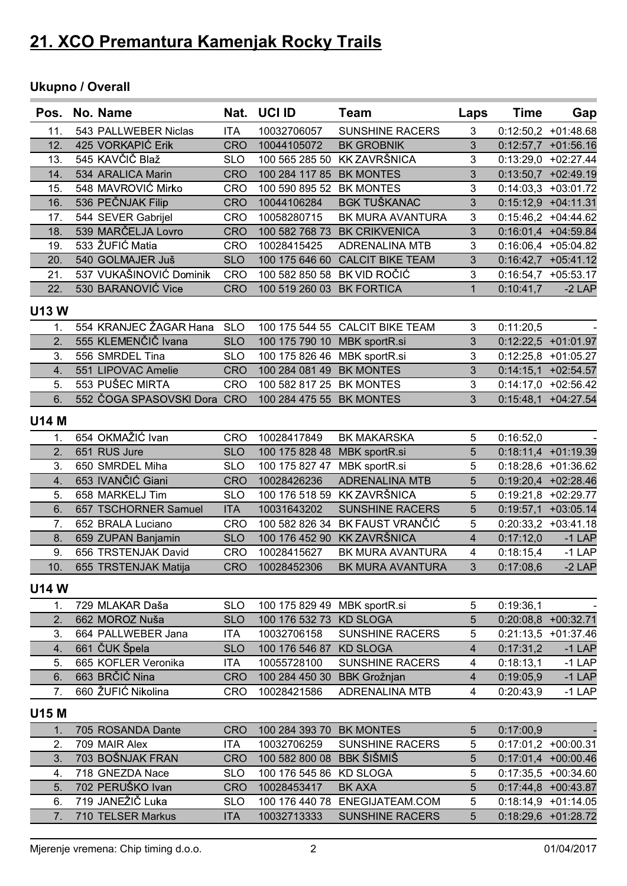#### **Ukupno / Overall**

| Pos.         | No. Name                             | Nat.       | UCI ID                       | Team                            | Laps                    | <b>Time</b> | Gap                   |
|--------------|--------------------------------------|------------|------------------------------|---------------------------------|-------------------------|-------------|-----------------------|
| 11.          | 543 PALLWEBER Niclas                 | <b>ITA</b> | 10032706057                  | <b>SUNSHINE RACERS</b>          | 3                       |             | $0:12:50,2$ +01:48.68 |
| 12.          | 425 VORKAPIĆ Erik                    | <b>CRO</b> | 10044105072                  | <b>BK GROBNIK</b>               | 3                       |             | $0:12:57,7$ +01:56.16 |
| 13.          | 545 KAVČIČ Blaž                      | <b>SLO</b> | 100 565 285 50               | <b>KK ZAVRŠNICA</b>             | 3                       |             | $0:13:29,0$ +02:27.44 |
| 14.          | 534 ARALICA Marin                    | <b>CRO</b> | 100 284 117 85               | <b>BK MONTES</b>                | 3                       |             | $0:13:50,7$ +02:49.19 |
| 15.          | 548 MAVROVIĆ Mirko                   | <b>CRO</b> | 100 590 895 52               | <b>BK MONTES</b>                | 3                       |             | $0:14:03,3$ +03:01.72 |
| 16.          | 536 PEČNJAK Filip                    | <b>CRO</b> | 10044106284                  | <b>BGK TUŠKANAC</b>             | 3                       |             | $0:15:12,9$ +04:11.31 |
| 17.          | 544 SEVER Gabrijel                   | <b>CRO</b> | 10058280715                  | BK MURA AVANTURA                | 3                       |             | $0:15:46,2$ +04:44.62 |
| 18.          | 539 MARČELJA Lovro                   | <b>CRO</b> | 100 582 768 73               | <b>BK CRIKVENICA</b>            | 3                       |             | 0:16:01,4 +04:59.84   |
| 19.          | 533 ŽUFIĆ Matia                      | <b>CRO</b> | 10028415425                  | <b>ADRENALINA MTB</b>           | 3                       |             | 0:16:06,4 +05:04.82   |
| 20.          | 540 GOLMAJER Juš                     | <b>SLO</b> | 100 175 646 60               | <b>CALCIT BIKE TEAM</b>         | 3                       |             | $0:16:42,7$ +05:41.12 |
| 21.          | 537 VUKAŠINOVIĆ Dominik              | <b>CRO</b> | 100 582 850 58               | BK VID ROČIĆ                    | 3                       |             | $0:16:54,7$ +05:53.17 |
| 22.          | 530 BARANOVIĆ Vice                   | <b>CRO</b> | 100 519 260 03               | <b>BK FORTICA</b>               | $\mathbf{1}$            | 0:10:41,7   | $-2$ LAP              |
|              |                                      |            |                              |                                 |                         |             |                       |
| <b>U13W</b>  |                                      |            |                              |                                 |                         |             |                       |
| 1.           | 554 KRANJEC ŽAGAR Hana               | <b>SLO</b> |                              | 100 175 544 55 CALCIT BIKE TEAM | 3                       | 0:11:20,5   |                       |
| 2.           | 555 KLEMENČIČ Ivana                  | <b>SLO</b> | 100 175 790 10 MBK sportR.si |                                 | 3                       |             | $0:12:22,5$ +01:01.97 |
| 3.           | 556 SMRDEL Tina                      | <b>SLO</b> | 100 175 826 46               | MBK sportR.si                   | 3                       |             | $0:12:25,8$ +01:05.27 |
| 4.           | 551 LIPOVAC Amelie                   | <b>CRO</b> | 100 284 081 49               | <b>BK MONTES</b>                | 3                       |             | $0:14:15,1$ +02:54.57 |
| 5.           | 553 PUŠEC MIRTA                      | <b>CRO</b> | 100 582 817 25               | <b>BK MONTES</b>                | 3                       |             | $0:14:17,0$ +02:56.42 |
| 6.           | 552 ČOGA SPASOVSKI Dora CRO          |            | 100 284 475 55 BK MONTES     |                                 | 3                       |             | $0:15:48,1$ +04:27.54 |
| <b>U14 M</b> |                                      |            |                              |                                 |                         |             |                       |
| 1.           | 654 OKMAŽIĆ Ivan                     | <b>CRO</b> | 10028417849                  | <b>BK MAKARSKA</b>              | 5                       | 0:16:52,0   |                       |
| 2.           | 651 RUS Jure                         | <b>SLO</b> | 100 175 828 48               | MBK sportR.si                   | 5                       |             | $0:18:11,4$ +01:19.39 |
| 3.           | 650 SMRDEL Miha                      | <b>SLO</b> | 100 175 827 47               | MBK sportR.si                   | 5                       |             | $0:18:28,6$ +01:36.62 |
| 4.           | 653 IVANČIĆ Giani                    | <b>CRO</b> | 10028426236                  | <b>ADRENALINA MTB</b>           | 5                       |             | $0:19:20,4$ +02:28.46 |
| 5.           | 658 MARKELJ Tim                      | <b>SLO</b> | 100 176 518 59               | <b>KK ZAVRŠNICA</b>             | 5                       |             | 0:19:21,8 +02:29.77   |
| 6.           | 657 TSCHORNER Samuel                 | <b>ITA</b> | 10031643202                  | <b>SUNSHINE RACERS</b>          | 5                       |             | $0:19:57,1$ +03:05.14 |
| 7.           | 652 BRALA Luciano                    | <b>CRO</b> | 100 582 826 34               | BK FAUST VRANČIĆ                | 5                       |             | $0:20:33,2$ +03:41.18 |
| 8.           | 659 ZUPAN Banjamin                   | <b>SLO</b> | 100 176 452 90               | <b>KK ZAVRŠNICA</b>             | $\overline{\mathbf{4}}$ | 0:17:12,0   | $-1$ LAP              |
| 9.           | 656 TRSTENJAK David                  | <b>CRO</b> | 10028415627                  | BK MURA AVANTURA                | 4                       | 0:18:15,4   | $-1$ LAP              |
| 10.          | 655 TRSTENJAK Matija                 | <b>CRO</b> | 10028452306                  | BK MURA AVANTURA                | 3                       | 0:17:08,6   | $-2$ LAP              |
|              |                                      |            |                              |                                 |                         |             |                       |
| <b>U14W</b>  |                                      |            |                              |                                 |                         |             |                       |
| 1.           | 729 MLAKAR Daša                      | <b>SLO</b> | 100 175 829 49 MBK sportR.si |                                 | 5                       | 0:19:36,1   |                       |
| 2.           | 662 MOROZ Nuša                       | <b>SLO</b> | 100 176 532 73 KD SLOGA      |                                 | 5                       |             | 0:20:08,8 +00:32.71   |
| 3.           | 664 PALLWEBER Jana                   | <b>ITA</b> | 10032706158                  | <b>SUNSHINE RACERS</b>          | 5                       |             | $0:21:13.5 +01:37.46$ |
| 4.           | 661 ČUK Špela                        | <b>SLO</b> | 100 176 546 87               | <b>KD SLOGA</b>                 | 4                       | 0:17:31,2   | $-1$ LAP              |
| 5.           | 665 KOFLER Veronika                  | <b>ITA</b> | 10055728100                  | <b>SUNSHINE RACERS</b>          | 4                       | 0:18:13,1   | $-1$ LAP              |
| 6.           | 663 BRČIĆ Nina<br>660 ŽUFIĆ Nikolina | <b>CRO</b> | 100 284 450 30               | <b>BBK Grožnjan</b>             | $\overline{4}$          | 0:19:05,9   | $-1$ LAP              |
| 7.           |                                      | <b>CRO</b> | 10028421586                  | <b>ADRENALINA MTB</b>           | 4                       | 0:20:43,9   | $-1$ LAP              |
| <b>U15 M</b> |                                      |            |                              |                                 |                         |             |                       |
| 1.           | 705 ROSANDA Dante                    | <b>CRO</b> | 100 284 393 70 BK MONTES     |                                 | 5                       | 0:17:00,9   |                       |
| 2.           | 709 MAIR Alex                        | <b>ITA</b> | 10032706259                  | <b>SUNSHINE RACERS</b>          | 5                       |             | $0:17:01,2$ +00:00.31 |
| 3.           | 703 BOŠNJAK FRAN                     | <b>CRO</b> | 100 582 800 08               | <b>BBK ŠIŠMIŠ</b>               | 5                       |             | $0:17:01,4$ +00:00.46 |
| 4.           | 718 GNEZDA Nace                      | <b>SLO</b> | 100 176 545 86               | <b>KD SLOGA</b>                 | 5                       |             | $0:17:35,5$ +00:34.60 |
| 5.           | 702 PERUŠKO Ivan                     | <b>CRO</b> | 10028453417                  | <b>BK AXA</b>                   | 5                       |             | $0:17:44,8$ +00:43.87 |
| 6.           | 719 JANEŽIČ Luka                     | <b>SLO</b> |                              | 100 176 440 78 ENEGIJATEAM.COM  | 5                       |             | $0:18:14,9$ +01:14.05 |
| 7.           | 710 TELSER Markus                    | <b>ITA</b> | 10032713333                  | <b>SUNSHINE RACERS</b>          | 5                       |             | 0:18:29,6 +01:28.72   |
|              |                                      |            |                              |                                 |                         |             |                       |

Mjerenje vremena: Chip timing d.o.o. 2 01/04/2017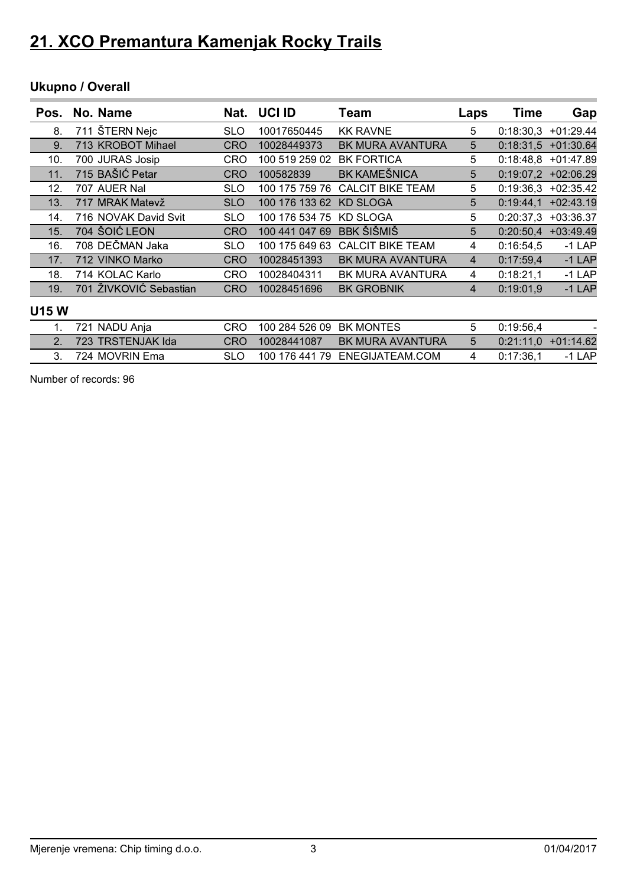### **Ukupno / Overall**

| Pos. | No. Name               | Nat.       | UCI ID         | Team                    | Laps | <b>Time</b> | Gap                   |
|------|------------------------|------------|----------------|-------------------------|------|-------------|-----------------------|
| 8.   | 711 ŠTERN Nejc         | <b>SLO</b> | 10017650445    | <b>KK RAVNE</b>         | 5    |             | $0:18:30,3$ +01:29.44 |
| 9.   | 713 KROBOT Mihael      | <b>CRO</b> | 10028449373    | <b>BK MURA AVANTURA</b> | 5    |             | $0:18:31,5$ +01:30.64 |
| 10.  | 700 JURAS Josip        | CRO        | 100 519 259 02 | <b>BK FORTICA</b>       | 5    |             | $0:18:48,8$ +01:47.89 |
| 11.  | 715 BAŠIĆ Petar        | <b>CRO</b> | 100582839      | <b>BK KAMEŠNICA</b>     | 5    |             | $0:19:07,2$ +02:06.29 |
| 12.  | 707 AUER Nal           | <b>SLO</b> | 100 175 759 76 | <b>CALCIT BIKE TEAM</b> | 5    |             | $0:19:36,3$ +02:35.42 |
| 13.  | 717 MRAK Matevž        | <b>SLO</b> | 100 176 133 62 | <b>KD SLOGA</b>         | 5    | 0:19:44.1   | $+02:43.19$           |
| 14.  | 716 NOVAK David Svit   | <b>SLO</b> | 100 176 534 75 | <b>KD SLOGA</b>         | 5    | 0:20:37.3   | $+03:36.37$           |
| 15.  | 704 ŠOIĆ LEON          | <b>CRO</b> | 100 441 047 69 | <b>BBK ŠIŠMIŠ</b>       | 5    | 0:20:50.4   | $+03:49.49$           |
| 16.  | 708 DEČMAN Jaka        | <b>SLO</b> | 100 175 649 63 | <b>CALCIT BIKE TEAM</b> | 4    | 0:16:54.5   | $-1$ LAP              |
| 17.  | 712 VINKO Marko        | <b>CRO</b> | 10028451393    | <b>BK MURA AVANTURA</b> | 4    | 0:17:59.4   | $-1$ LAP              |
| 18.  | 714 KOLAC Karlo        | <b>CRO</b> | 10028404311    | BK MURA AVANTURA        | 4    | 0:18:21.1   | $-1$ LAP              |
| 19.  | 701 ŽIVKOVIĆ Sebastian | <b>CRO</b> | 10028451696    | <b>BK GROBNIK</b>       | 4    | 0:19:01.9   | $-1$ LAP              |

#### **U15 W**

| -721 NADU Ania       | CRO. | 100 284 526 09 BK MONTES |                                | 0:19:56.4 |                       |
|----------------------|------|--------------------------|--------------------------------|-----------|-----------------------|
| 2. 723 TRSTENJAK Ida | CRO. | 10028441087              | BK MURA AVANTURA               |           | $0:21:11,0$ +01:14.62 |
| 3. 724 MOVRIN Ema    |      |                          | 100 176 441 79 ENEGIJATEAM.COM | 0:17:36.1 | $-1$ I AP             |

Number of records: 96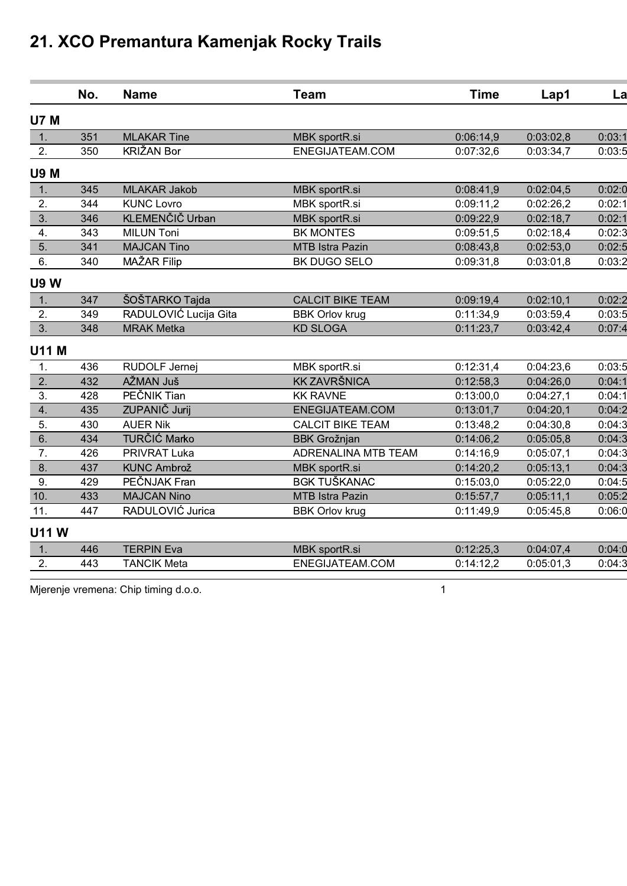|                  | No. | <b>Name</b>           | <b>Team</b>             | <b>Time</b> | Lap1      | La     |
|------------------|-----|-----------------------|-------------------------|-------------|-----------|--------|
| <b>U7 M</b>      |     |                       |                         |             |           |        |
| 1.               | 351 | <b>MLAKAR Tine</b>    | MBK sportR.si           | 0:06:14,9   | 0:03:02,8 | 0:03:1 |
| 2.               | 350 | KRIŽAN Bor            | ENEGIJATEAM.COM         | 0:07:32,6   | 0:03:34,7 | 0:03:5 |
| <b>U9 M</b>      |     |                       |                         |             |           |        |
| 1.               | 345 | <b>MLAKAR Jakob</b>   | MBK sportR.si           | 0:08:41,9   | 0:02:04,5 | 0:02:0 |
| 2.               | 344 | <b>KUNC Lovro</b>     | MBK sportR.si           | 0:09:11,2   | 0:02:26,2 | 0:02:1 |
| 3.               | 346 | KLEMENČIČ Urban       | MBK sportR.si           | 0:09:22,9   | 0:02:18,7 | 0:02:1 |
| $\overline{4}$ . | 343 | <b>MILUN Toni</b>     | <b>BK MONTES</b>        | 0:09:51,5   | 0:02:18,4 | 0:02:3 |
| 5.               | 341 | <b>MAJCAN Tino</b>    | <b>MTB Istra Pazin</b>  | 0:08:43,8   | 0:02:53,0 | 0:02:5 |
| 6.               | 340 | MAŽAR Filip           | BK DUGO SELO            | 0:09:31,8   | 0:03:01,8 | 0:03:2 |
| <b>U9W</b>       |     |                       |                         |             |           |        |
| 1.               | 347 | ŠOŠTARKO Tajda        | <b>CALCIT BIKE TEAM</b> | 0:09:19,4   | 0:02:10,1 | 0:02:2 |
| 2.               | 349 | RADULOVIĆ Lucija Gita | <b>BBK Orlov krug</b>   | 0:11:34,9   | 0:03:59,4 | 0:03:5 |
| 3.               | 348 | <b>MRAK Metka</b>     | <b>KD SLOGA</b>         | 0:11:23,7   | 0:03:42,4 | 0:07:4 |
| <b>U11 M</b>     |     |                       |                         |             |           |        |
| 1.               | 436 | RUDOLF Jernej         | MBK sportR.si           | 0:12:31,4   | 0:04:23,6 | 0:03:5 |
| 2.               | 432 | AŽMAN Juš             | <b>KK ZAVRŠNICA</b>     | 0:12:58,3   | 0:04:26,0 | 0:04:1 |
| 3.               | 428 | PEČNIK Tian           | <b>KK RAVNE</b>         | 0:13:00,0   | 0:04:27,1 | 0:04:1 |
| 4.               | 435 | ZUPANIČ Jurij         | ENEGIJATEAM.COM         | 0:13:01,7   | 0:04:20,1 | 0:04:2 |
| 5.               | 430 | <b>AUER Nik</b>       | <b>CALCIT BIKE TEAM</b> | 0:13:48,2   | 0:04:30,8 | 0:04:3 |
| 6.               | 434 | <b>TURČIĆ Marko</b>   | <b>BBK Grožnjan</b>     | 0:14:06,2   | 0:05:05,8 | 0:04:3 |
| 7.               | 426 | <b>PRIVRAT Luka</b>   | ADRENALINA MTB TEAM     | 0:14:16,9   | 0:05:07,1 | 0:04:3 |
| 8.               | 437 | <b>KUNC Ambrož</b>    | MBK sportR.si           | 0:14:20,2   | 0:05:13,1 | 0:04:3 |
| 9.               | 429 | PEČNJAK Fran          | <b>BGK TUŠKANAC</b>     | 0:15:03,0   | 0:05:22,0 | 0:04:5 |
| 10.              | 433 | <b>MAJCAN Nino</b>    | <b>MTB Istra Pazin</b>  | 0:15:57,7   | 0:05:11,1 | 0:05:2 |
| 11.              | 447 | RADULOVIĆ Jurica      | <b>BBK Orlov krug</b>   | 0:11:49.9   | 0:05:45,8 | 0:06:0 |
| <b>U11W</b>      |     |                       |                         |             |           |        |
| 1.               | 446 | <b>TERPIN Eva</b>     | MBK sportR.si           | 0:12:25,3   | 0:04:07,4 | 0:04:0 |
| 2.               | 443 | <b>TANCIK Meta</b>    | ENEGIJATEAM.COM         | 0:14:12,2   | 0:05:01,3 | 0:04:3 |
|                  |     |                       |                         |             |           |        |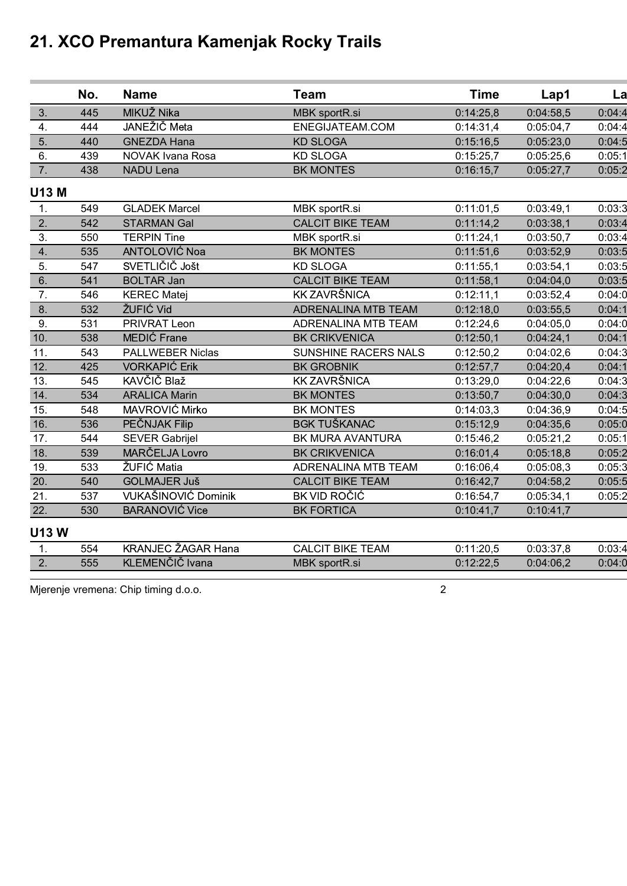|                  | No. | <b>Name</b>               | <b>Team</b>                | <b>Time</b> | Lap1      | La     |
|------------------|-----|---------------------------|----------------------------|-------------|-----------|--------|
| 3.               | 445 | MIKUŽ Nika                | MBK sportR.si              | 0:14:25,8   | 0:04:58,5 | 0:04:4 |
| $\overline{4}$ . | 444 | JANEŽIČ Meta              | ENEGIJATEAM.COM            | 0:14:31,4   | 0:05:04,7 | 0:04:4 |
| 5.               | 440 | <b>GNEZDA Hana</b>        | <b>KD SLOGA</b>            | 0:15:16,5   | 0:05:23,0 | 0:04:5 |
| 6.               | 439 | NOVAK Ivana Rosa          | <b>KD SLOGA</b>            | 0:15:25,7   | 0:05:25,6 | 0:05:1 |
| 7.               | 438 | <b>NADU Lena</b>          | <b>BK MONTES</b>           | 0:16:15,7   | 0:05:27,7 | 0:05:2 |
| <b>U13 M</b>     |     |                           |                            |             |           |        |
| $\mathbf{1}$ .   | 549 | <b>GLADEK Marcel</b>      | MBK sportR.si              | 0:11:01,5   | 0:03:49,1 | 0:03:3 |
| 2.               | 542 | <b>STARMAN Gal</b>        | <b>CALCIT BIKE TEAM</b>    | 0:11:14,2   | 0:03:38,1 | 0:03:4 |
| 3.               | 550 | <b>TERPIN Tine</b>        | MBK sportR.si              | 0:11:24,1   | 0:03:50,7 | 0:03:4 |
| 4.               | 535 | <b>ANTOLOVIĆ Noa</b>      | <b>BK MONTES</b>           | 0:11:51,6   | 0:03:52,9 | 0:03:5 |
| 5.               | 547 | SVETLIČIČ Jošt            | <b>KD SLOGA</b>            | 0:11:55,1   | 0:03:54,1 | 0:03:5 |
| 6.               | 541 | <b>BOLTAR Jan</b>         | <b>CALCIT BIKE TEAM</b>    | 0:11:58,1   | 0:04:04,0 | 0:03:5 |
| 7.               | 546 | <b>KEREC Matej</b>        | <b>KK ZAVRŠNICA</b>        | 0:12:11,1   | 0:03:52,4 | 0:04:0 |
| 8.               | 532 | ŽUFIĆ Vid                 | <b>ADRENALINA MTB TEAM</b> | 0:12:18,0   | 0:03:55,5 | 0:04:1 |
| $\overline{9}$ . | 531 | PRIVRAT Leon              | ADRENALINA MTB TEAM        | 0:12:24,6   | 0:04:05,0 | 0:04:0 |
| 10.              | 538 | <b>MEDIĆ Frane</b>        | <b>BK CRIKVENICA</b>       | 0:12:50,1   | 0:04:24,1 | 0:04:1 |
| 11.              | 543 | <b>PALLWEBER Niclas</b>   | SUNSHINE RACERS NALS       | 0:12:50,2   | 0:04:02,6 | 0:04:3 |
| 12.              | 425 | <b>VORKAPIĆ Erik</b>      | <b>BK GROBNIK</b>          | 0:12:57,7   | 0:04:20,4 | 0:04:1 |
| 13.              | 545 | KAVČIČ Blaž               | <b>KK ZAVRŠNICA</b>        | 0:13:29,0   | 0:04:22,6 | 0:04:3 |
| 14.              | 534 | <b>ARALICA Marin</b>      | <b>BK MONTES</b>           | 0:13:50,7   | 0:04:30,0 | 0:04:3 |
| 15.              | 548 | MAVROVIĆ Mirko            | <b>BK MONTES</b>           | 0:14:03,3   | 0:04:36,9 | 0:04:5 |
| 16.              | 536 | PEČNJAK Filip             | <b>BGK TUŠKANAC</b>        | 0:15:12,9   | 0:04:35,6 | 0:05:0 |
| 17.              | 544 | <b>SEVER Gabrijel</b>     | BK MURA AVANTURA           | 0:15:46,2   | 0:05:21,2 | 0:05:1 |
| 18.              | 539 | MARČELJA Lovro            | <b>BK CRIKVENICA</b>       | 0:16:01,4   | 0:05:18,8 | 0:05:2 |
| 19.              | 533 | ŽUFIĆ Matia               | ADRENALINA MTB TEAM        | 0:16:06,4   | 0:05:08,3 | 0:05:3 |
| 20.              | 540 | <b>GOLMAJER Juš</b>       | <b>CALCIT BIKE TEAM</b>    | 0:16:42,7   | 0:04:58,2 | 0:05:5 |
| 21.              | 537 | VUKAŠINOVIĆ Dominik       | BK VID ROČIĆ               | 0:16:54,7   | 0:05:34,1 | 0:05:2 |
| 22.              | 530 | <b>BARANOVIĆ Vice</b>     | <b>BK FORTICA</b>          | 0:10:41,7   | 0:10:41,7 |        |
| <b>U13W</b>      |     |                           |                            |             |           |        |
| 1.               | 554 | <b>KRANJEC ŽAGAR Hana</b> | <b>CALCIT BIKE TEAM</b>    | 0:11:20,5   | 0:03:37,8 | 0:03:4 |
| 2.               | 555 | KLEMENČIČ Ivana           | MBK sportR.si              | 0:12:22,5   | 0:04:06,2 | 0:04:0 |
|                  |     |                           |                            |             |           |        |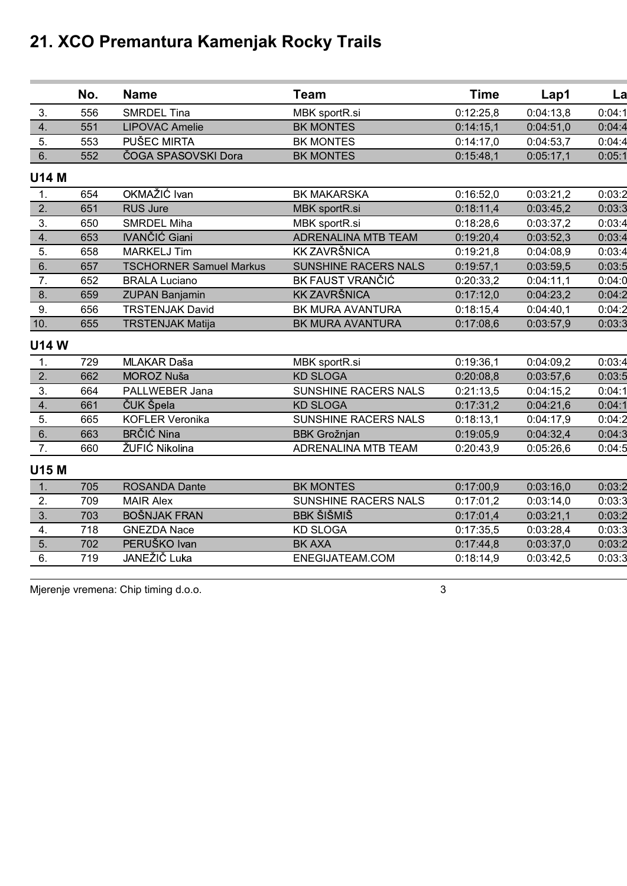|                  | No. | <b>Name</b>                    | <b>Team</b>          | <b>Time</b> | Lap1      | La     |
|------------------|-----|--------------------------------|----------------------|-------------|-----------|--------|
| 3.               | 556 | SMRDEL Tina                    | MBK sportR.si        | 0:12:25,8   | 0:04:13,8 | 0:04:1 |
| 4.               | 551 | <b>LIPOVAC Amelie</b>          | <b>BK MONTES</b>     | 0:14:15,1   | 0:04:51,0 | 0:04:4 |
| 5.               | 553 | <b>PUŠEC MIRTA</b>             | <b>BK MONTES</b>     | 0:14:17,0   | 0:04:53,7 | 0:04:4 |
| 6.               | 552 | ČOGA SPASOVSKI Dora            | <b>BK MONTES</b>     | 0:15:48,1   | 0:05:17,1 | 0:05:1 |
| <b>U14 M</b>     |     |                                |                      |             |           |        |
| 1.               | 654 | OKMAŽIĆ Ivan                   | <b>BK MAKARSKA</b>   | 0:16:52,0   | 0:03:21,2 | 0:03:2 |
| 2.               | 651 | <b>RUS Jure</b>                | MBK sportR.si        | 0:18:11,4   | 0:03:45,2 | 0:03:3 |
| 3.               | 650 | <b>SMRDEL Miha</b>             | MBK sportR.si        | 0:18:28,6   | 0:03:37,2 | 0:03:4 |
| 4.               | 653 | <b>IVANČIĆ Giani</b>           | ADRENALINA MTB TEAM  | 0:19:20,4   | 0:03:52,3 | 0:03:4 |
| 5.               | 658 | <b>MARKELJ Tim</b>             | <b>KK ZAVRŠNICA</b>  | 0:19:21,8   | 0:04:08,9 | 0:03:4 |
| 6.               | 657 | <b>TSCHORNER Samuel Markus</b> | SUNSHINE RACERS NALS | 0:19:57,1   | 0:03:59,5 | 0:03:5 |
| 7.               | 652 | <b>BRALA Luciano</b>           | BK FAUST VRANČIĆ     | 0:20:33,2   | 0:04:11,1 | 0:04:0 |
| 8.               | 659 | <b>ZUPAN Banjamin</b>          | <b>KK ZAVRŠNICA</b>  | 0:17:12,0   | 0:04:23,2 | 0:04:2 |
| 9.               | 656 | <b>TRSTENJAK David</b>         | BK MURA AVANTURA     | 0:18:15,4   | 0:04:40,1 | 0:04:2 |
| 10.              | 655 | <b>TRSTENJAK Matija</b>        | BK MURA AVANTURA     | 0:17:08,6   | 0:03:57,9 | 0:03:3 |
| <b>U14W</b>      |     |                                |                      |             |           |        |
| 1.               | 729 | MLAKAR Daša                    | MBK sportR.si        | 0:19:36,1   | 0:04:09,2 | 0:03:4 |
| 2.               | 662 | MOROZ Nuša                     | <b>KD SLOGA</b>      | 0:20:08,8   | 0:03:57,6 | 0:03:5 |
| $\overline{3}$ . | 664 | PALLWEBER Jana                 | SUNSHINE RACERS NALS | 0:21:13,5   | 0:04:15,2 | 0:04:1 |
| 4.               | 661 | ČUK Špela                      | <b>KD SLOGA</b>      | 0:17:31,2   | 0:04:21,6 | 0:04:1 |
| 5.               | 665 | <b>KOFLER Veronika</b>         | SUNSHINE RACERS NALS | 0:18:13,1   | 0:04:17,9 | 0:04:2 |
| 6.               | 663 | <b>BRČIĆ Nina</b>              | <b>BBK Grožnjan</b>  | 0:19:05,9   | 0:04:32,4 | 0:04:3 |
| 7.               | 660 | ŽUFIĆ Nikolina                 | ADRENALINA MTB TEAM  | 0:20:43,9   | 0:05:26,6 | 0:04:5 |
| U15 M            |     |                                |                      |             |           |        |
| 1.               | 705 | <b>ROSANDA Dante</b>           | <b>BK MONTES</b>     | 0:17:00,9   | 0:03:16,0 | 0:03:2 |
| 2.               | 709 | <b>MAIR Alex</b>               | SUNSHINE RACERS NALS | 0:17:01,2   | 0:03:14,0 | 0:03:3 |
| 3.               | 703 | <b>BOŠNJAK FRAN</b>            | <b>BBK ŠIŠMIŠ</b>    | 0:17:01,4   | 0:03:21,1 | 0:03:2 |
| 4.               | 718 | <b>GNEZDA Nace</b>             | <b>KD SLOGA</b>      | 0:17:35,5   | 0:03:28,4 | 0:03:3 |
| 5.               | 702 | PERUŠKO Ivan                   | <b>BK AXA</b>        | 0:17:44,8   | 0:03:37,0 | 0:03:2 |
| 6.               | 719 | JANEŽIČ Luka                   | ENEGIJATEAM.COM      | 0:18:14,9   | 0:03:42,5 | 0:03:3 |
|                  |     |                                |                      |             |           |        |